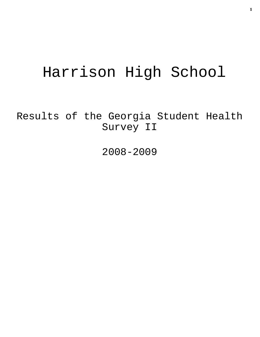# Harrison High School

Results of the Georgia Student Health Survey II

2008-2009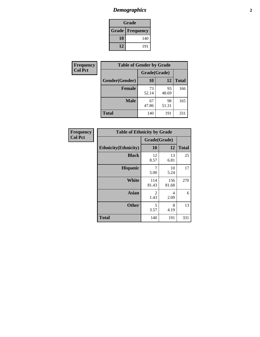# *Demographics* **2**

| Grade                    |     |  |  |  |
|--------------------------|-----|--|--|--|
| <b>Grade   Frequency</b> |     |  |  |  |
| 10                       | 140 |  |  |  |
| 12                       | 191 |  |  |  |

| Frequency      | <b>Table of Gender by Grade</b> |              |             |              |  |
|----------------|---------------------------------|--------------|-------------|--------------|--|
| <b>Col Pct</b> |                                 | Grade(Grade) |             |              |  |
|                | Gender(Gender)                  | 10           | 12          | <b>Total</b> |  |
|                | <b>Female</b>                   | 73<br>52.14  | 93<br>48.69 | 166          |  |
|                | <b>Male</b>                     | 67<br>47.86  | 98<br>51.31 | 165          |  |
|                | <b>Total</b>                    | 140          | 191         | 331          |  |

| Frequency      |
|----------------|
| <b>Col Pct</b> |

|                              | <b>Table of Ethnicity by Grade</b> |              |              |  |  |  |
|------------------------------|------------------------------------|--------------|--------------|--|--|--|
|                              |                                    | Grade(Grade) |              |  |  |  |
| <b>Ethnicity</b> (Ethnicity) | 10                                 | 12           | <b>Total</b> |  |  |  |
| <b>Black</b>                 | 12<br>8.57                         | 13<br>6.81   | 25           |  |  |  |
| <b>Hispanic</b>              | 7<br>5.00                          | 10<br>5.24   | 17           |  |  |  |
| White                        | 114<br>81.43                       | 156<br>81.68 | 270          |  |  |  |
| <b>Asian</b>                 | $\overline{2}$<br>1.43             | 4<br>2.09    | 6            |  |  |  |
| <b>Other</b>                 | 5<br>3.57                          | 8<br>4.19    | 13           |  |  |  |
| <b>Total</b>                 | 140                                | 191          | 331          |  |  |  |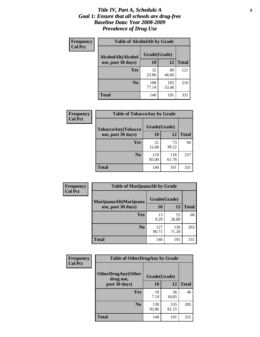### *Title IV, Part A, Schedule A* **3** *Goal 1: Ensure that all schools are drug-free Baseline Data: Year 2008-2009 Prevalence of Drug Use*

| Frequency<br><b>Col Pct</b> | <b>Table of AlcoholAlt by Grade</b> |              |              |              |  |
|-----------------------------|-------------------------------------|--------------|--------------|--------------|--|
|                             | AlcoholAlt(Alcohol                  | Grade(Grade) |              |              |  |
|                             | use, past 30 days)                  | <b>10</b>    | 12           | <b>Total</b> |  |
|                             | <b>Yes</b>                          | 32<br>22.86  | 89<br>46.60  | 121          |  |
|                             | N <sub>0</sub>                      | 108<br>77.14 | 102<br>53.40 | 210          |  |
|                             | Total                               | 140          | 191          | 331          |  |

| Frequency      | <b>Table of TobaccoAny by Grade</b> |              |              |              |  |
|----------------|-------------------------------------|--------------|--------------|--------------|--|
| <b>Col Pct</b> | <b>TobaccoAny(Tobacco</b>           | Grade(Grade) |              |              |  |
|                | use, past 30 days)                  | 10           | 12           | <b>Total</b> |  |
|                | Yes                                 | 21<br>15.00  | 73<br>38.22  | 94           |  |
|                | N <sub>0</sub>                      | 119<br>85.00 | 118<br>61.78 | 237          |  |
|                | <b>Total</b>                        | 140          | 191          | 331          |  |

| Frequency<br><b>Col Pct</b> | <b>Table of MarijuanaAlt by Grade</b> |              |              |              |  |
|-----------------------------|---------------------------------------|--------------|--------------|--------------|--|
|                             | MarijuanaAlt(Marijuana                | Grade(Grade) |              |              |  |
|                             | use, past 30 days)                    | 10           | 12           | <b>Total</b> |  |
|                             | Yes                                   | 13<br>9.29   | 55<br>28.80  | 68           |  |
|                             | N <sub>0</sub>                        | 127<br>90.71 | 136<br>71.20 | 263          |  |
|                             | <b>Total</b>                          | 140          | 191          | 331          |  |

| Frequency      | <b>Table of OtherDrugAny by Grade</b>  |              |              |              |  |
|----------------|----------------------------------------|--------------|--------------|--------------|--|
| <b>Col Pct</b> | <b>OtherDrugAny(Other</b><br>drug use, | Grade(Grade) |              |              |  |
|                | past 30 days)                          | 10           | 12           | <b>Total</b> |  |
|                | Yes                                    | 10<br>7.14   | 36<br>18.85  | 46           |  |
|                | N <sub>0</sub>                         | 130<br>92.86 | 155<br>81.15 | 285          |  |
|                | <b>Total</b>                           | 140          | 191          | 331          |  |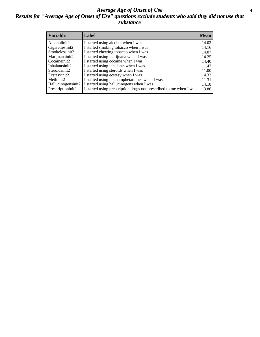### *Average Age of Onset of Use* **4** *Results for "Average Age of Onset of Use" questions exclude students who said they did not use that substance*

| <b>Variable</b>    | Label                                                              | <b>Mean</b> |
|--------------------|--------------------------------------------------------------------|-------------|
| Alcoholinit2       | I started using alcohol when I was                                 | 14.03       |
| Cigarettesinit2    | I started smoking tobacco when I was                               | 14.16       |
| Smokelessinit2     | I started chewing tobacco when I was                               | 14.07       |
| Marijuanainit2     | I started using marijuana when I was                               | 14.25       |
| Cocaineinit2       | I started using cocaine when I was                                 | 14.40       |
| Inhalantsinit2     | I started using inhalants when I was                               | 11.47       |
| Steroidsinit2      | I started using steroids when I was                                | 11.00       |
| Ecstasyinit2       | I started using ecstasy when I was                                 | 14.32       |
| Methinit2          | I started using methamphetamines when I was                        | 11.31       |
| Hallucinogensinit2 | I started using hallucinogens when I was                           | 14.18       |
| Prescriptioninit2  | I started using prescription drugs not prescribed to me when I was | 13.86       |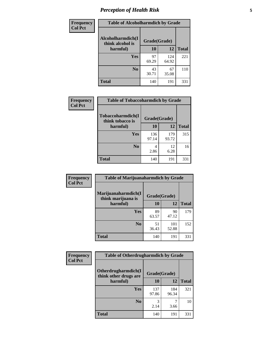# *Perception of Health Risk* **5**

| <b>Frequency</b> | <b>Table of Alcoholharmdich by Grade</b> |              |              |              |
|------------------|------------------------------------------|--------------|--------------|--------------|
| <b>Col Pct</b>   | Alcoholharmdich(I<br>think alcohol is    | Grade(Grade) |              |              |
|                  | harmful)                                 | 10           | 12           | <b>Total</b> |
|                  | <b>Yes</b>                               | 97<br>69.29  | 124<br>64.92 | 221          |
|                  | N <sub>0</sub>                           | 43<br>30.71  | 67<br>35.08  | 110          |
|                  | <b>Total</b>                             | 140          | 191          | 331          |

| Frequency      | <b>Table of Tobaccoharmdich by Grade</b> |              |              |              |  |
|----------------|------------------------------------------|--------------|--------------|--------------|--|
| <b>Col Pct</b> | Tobaccoharmdich(I<br>think tobacco is    | Grade(Grade) |              |              |  |
|                | harmful)                                 | 10           | 12           | <b>Total</b> |  |
|                | Yes                                      | 136<br>97.14 | 179<br>93.72 | 315          |  |
|                | N <sub>0</sub>                           | 4<br>2.86    | 12<br>6.28   | 16           |  |
|                | <b>Total</b>                             | 140          | 191          | 331          |  |

| Frequency      | <b>Table of Marijuanaharmdich by Grade</b> |              |              |              |  |
|----------------|--------------------------------------------|--------------|--------------|--------------|--|
| <b>Col Pct</b> | Marijuanaharmdich(I<br>think marijuana is  | Grade(Grade) |              |              |  |
|                | harmful)                                   | 10           | 12           | <b>Total</b> |  |
|                | <b>Yes</b>                                 | 89<br>63.57  | 90<br>47.12  | 179          |  |
|                | N <sub>0</sub>                             | 51<br>36.43  | 101<br>52.88 | 152          |  |
|                | <b>Total</b>                               | 140          | 191          | 331          |  |

| <b>Frequency</b> | <b>Table of Otherdrugharmdich by Grade</b>   |              |              |              |  |  |
|------------------|----------------------------------------------|--------------|--------------|--------------|--|--|
| <b>Col Pct</b>   | Otherdrugharmdich(I<br>think other drugs are | Grade(Grade) |              |              |  |  |
|                  | harmful)                                     | <b>10</b>    | 12           | <b>Total</b> |  |  |
|                  | <b>Yes</b>                                   | 137<br>97.86 | 184<br>96.34 | 321          |  |  |
|                  | N <sub>0</sub>                               | 2.14         | 3.66         | 10           |  |  |
|                  | <b>Total</b>                                 | 140          | 191          | 331          |  |  |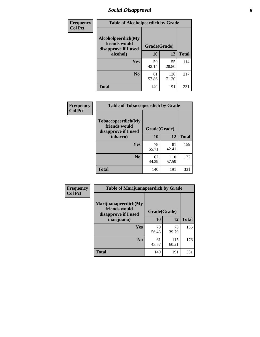# *Social Disapproval* **6**

| Frequency      | <b>Table of Alcoholpeerdich by Grade</b>                    |              |              |              |  |  |  |
|----------------|-------------------------------------------------------------|--------------|--------------|--------------|--|--|--|
| <b>Col Pct</b> | Alcoholpeerdich(My<br>friends would<br>disapprove if I used | Grade(Grade) |              |              |  |  |  |
|                | alcohol)                                                    | 10           | 12           | <b>Total</b> |  |  |  |
|                | <b>Yes</b>                                                  | 59<br>42.14  | 55<br>28.80  | 114          |  |  |  |
|                | N <sub>0</sub>                                              | 81<br>57.86  | 136<br>71.20 | 217          |  |  |  |
|                | <b>Total</b>                                                | 140          | 191          | 331          |  |  |  |

| <b>Frequency</b> |
|------------------|
| <b>Col Pct</b>   |

| <b>Table of Tobaccopeerdich by Grade</b>                    |              |              |              |  |  |
|-------------------------------------------------------------|--------------|--------------|--------------|--|--|
| Tobaccopeerdich(My<br>friends would<br>disapprove if I used | Grade(Grade) |              |              |  |  |
| tobacco)                                                    | 10           | 12           | <b>Total</b> |  |  |
| <b>Yes</b>                                                  | 78<br>55.71  | 81<br>42.41  | 159          |  |  |
| N <sub>0</sub>                                              | 62<br>44.29  | 110<br>57.59 | 172          |  |  |
| <b>Total</b>                                                | 140          | 191          | 331          |  |  |

| Frequency      | <b>Table of Marijuanapeerdich by Grade</b>                    |              |              |              |  |  |
|----------------|---------------------------------------------------------------|--------------|--------------|--------------|--|--|
| <b>Col Pct</b> | Marijuanapeerdich(My<br>friends would<br>disapprove if I used | Grade(Grade) |              |              |  |  |
|                | marijuana)                                                    | 10           | 12           | <b>Total</b> |  |  |
|                | <b>Yes</b>                                                    | 79<br>56.43  | 76<br>39.79  | 155          |  |  |
|                | N <sub>0</sub>                                                | 61<br>43.57  | 115<br>60.21 | 176          |  |  |
|                | <b>Total</b>                                                  | 140          | 191          | 331          |  |  |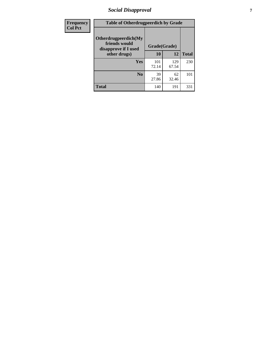# *Social Disapproval* **7**

| Frequency      | <b>Table of Otherdrugpeerdich by Grade</b>                    |              |              |              |  |  |
|----------------|---------------------------------------------------------------|--------------|--------------|--------------|--|--|
| <b>Col Pct</b> | Otherdrugpeerdich(My<br>friends would<br>disapprove if I used | Grade(Grade) |              |              |  |  |
|                | other drugs)                                                  | 10           | 12           | <b>Total</b> |  |  |
|                | Yes                                                           | 101<br>72.14 | 129<br>67.54 | 230          |  |  |
|                | N <sub>0</sub>                                                | 39<br>27.86  | 62<br>32.46  | 101          |  |  |
|                | <b>Total</b>                                                  | 140          | 191          | 331          |  |  |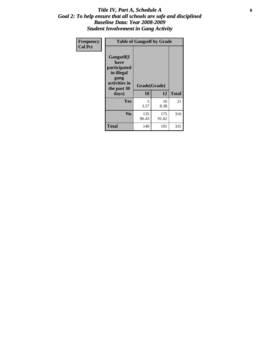### Title IV, Part A, Schedule A **8** *Goal 2: To help ensure that all schools are safe and disciplined Baseline Data: Year 2008-2009 Student Involvement in Gang Activity*

| Frequency      | <b>Table of Gangself by Grade</b>                                                                 |                    |              |              |  |
|----------------|---------------------------------------------------------------------------------------------------|--------------------|--------------|--------------|--|
| <b>Col Pct</b> | Gangself(I<br>have<br>participated<br>in illegal<br>gang<br>activities in<br>the past 30<br>days) | Grade(Grade)<br>10 | 12           | <b>Total</b> |  |
|                | Yes                                                                                               | 5<br>3.57          | 16<br>8.38   | 21           |  |
|                | N <sub>0</sub>                                                                                    | 135<br>96.43       | 175<br>91.62 | 310          |  |
|                | <b>Total</b>                                                                                      | 140                | 191          | 331          |  |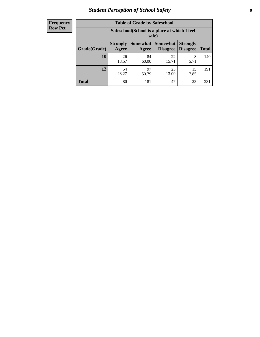# *Student Perception of School Safety* **9**

| <b>Frequency</b><br>Row Pct |
|-----------------------------|
|                             |

| <b>Table of Grade by Safeschool</b> |                                                                                                                                   |                                                        |             |            |     |  |
|-------------------------------------|-----------------------------------------------------------------------------------------------------------------------------------|--------------------------------------------------------|-------------|------------|-----|--|
|                                     |                                                                                                                                   | Safeschool (School is a place at which I feel<br>safe) |             |            |     |  |
| Grade(Grade)                        | <b>Somewhat   Somewhat</b><br><b>Strongly</b><br><b>Strongly</b><br><b>Disagree</b><br>Agree<br>Disagree<br><b>Total</b><br>Agree |                                                        |             |            |     |  |
| 10                                  | 26<br>18.57                                                                                                                       | 84<br>60.00                                            | 22<br>15.71 | 8<br>5.71  | 140 |  |
| 12                                  | 54<br>28.27                                                                                                                       | 97<br>50.79                                            | 25<br>13.09 | 15<br>7.85 | 191 |  |
| <b>Total</b>                        | 80                                                                                                                                | 181                                                    | 47          | 23         | 331 |  |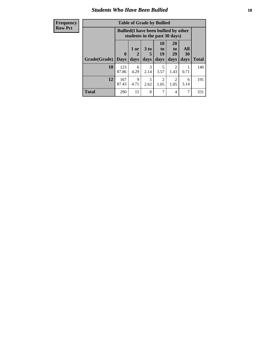### *Students Who Have Been Bullied* **10**

| <b>Frequency</b> | <b>Table of Grade by Bullied</b>                                              |              |           |                       |                        |                       |                  |              |
|------------------|-------------------------------------------------------------------------------|--------------|-----------|-----------------------|------------------------|-----------------------|------------------|--------------|
| <b>Row Pct</b>   | <b>Bullied</b> (I have been bullied by other<br>students in the past 30 days) |              |           |                       |                        |                       |                  |              |
|                  |                                                                               | $\mathbf{0}$ | 1 or<br>2 | 3 <sub>to</sub><br>5  | 10<br>to  <br>19       | <b>20</b><br>to<br>29 | All<br><b>30</b> |              |
|                  | Grade(Grade)                                                                  | <b>Days</b>  | days      | days                  | days                   | days                  | days             | <b>Total</b> |
|                  | 10                                                                            | 123<br>87.86 | 6<br>4.29 | $\mathcal{E}$<br>2.14 | 5<br>3.57              | 2<br>1.43             | 0.71             | 140          |
|                  | 12                                                                            | 167<br>87.43 | 9<br>4.71 | 5<br>2.62             | $\mathfrak{D}$<br>1.05 | 2<br>1.05             | 6<br>3.14        | 191          |
|                  | <b>Total</b>                                                                  | 290          | 15        | 8                     | 7                      | $\overline{4}$        | 7                | 331          |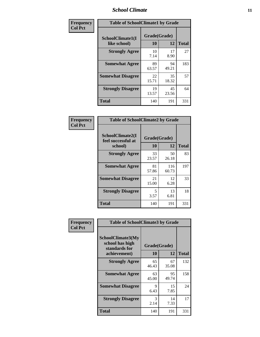### *School Climate* **11**

| Frequency      | <b>Table of SchoolClimate1 by Grade</b>                      |             |              |     |  |  |
|----------------|--------------------------------------------------------------|-------------|--------------|-----|--|--|
| <b>Col Pct</b> | Grade(Grade)<br>SchoolClimate1(I<br>10<br>12<br>like school) |             | <b>Total</b> |     |  |  |
|                | <b>Strongly Agree</b>                                        | 10<br>7.14  | 17<br>8.90   | 27  |  |  |
|                | <b>Somewhat Agree</b>                                        | 89<br>63.57 | 94<br>49.21  | 183 |  |  |
|                | <b>Somewhat Disagree</b>                                     | 22<br>15.71 | 35<br>18.32  | 57  |  |  |
|                | <b>Strongly Disagree</b>                                     | 19<br>13.57 | 45<br>23.56  | 64  |  |  |
|                | <b>Total</b>                                                 | 140         | 191          | 331 |  |  |

| <b>Frequency</b> |
|------------------|
| <b>Col Pct</b>   |

| <b>Table of SchoolClimate2 by Grade</b>           |                    |              |              |  |  |
|---------------------------------------------------|--------------------|--------------|--------------|--|--|
| SchoolClimate2(I<br>feel successful at<br>school) | Grade(Grade)<br>10 | 12           | <b>Total</b> |  |  |
| <b>Strongly Agree</b>                             | 33<br>23.57        | 50<br>26.18  | 83           |  |  |
| <b>Somewhat Agree</b>                             | 81<br>57.86        | 116<br>60.73 | 197          |  |  |
| <b>Somewhat Disagree</b>                          | 21<br>15.00        | 12<br>6.28   | 33           |  |  |
| <b>Strongly Disagree</b>                          | 5<br>3.57          | 13<br>6.81   | 18           |  |  |
| <b>Total</b>                                      | 140                | 191          | 331          |  |  |

| Frequency      | <b>Table of SchoolClimate3 by Grade</b>                                      |                    |             |              |
|----------------|------------------------------------------------------------------------------|--------------------|-------------|--------------|
| <b>Col Pct</b> | <b>SchoolClimate3(My</b><br>school has high<br>standards for<br>achievement) | Grade(Grade)<br>10 | 12          | <b>Total</b> |
|                | <b>Strongly Agree</b>                                                        | 65<br>46.43        | 67<br>35.08 | 132          |
|                | <b>Somewhat Agree</b>                                                        | 63<br>45.00        | 95<br>49.74 | 158          |
|                | <b>Somewhat Disagree</b>                                                     | 9<br>6.43          | 15<br>7.85  | 24           |
|                | <b>Strongly Disagree</b>                                                     | 3<br>2.14          | 14<br>7.33  | 17           |
|                | Total                                                                        | 140                | 191         | 331          |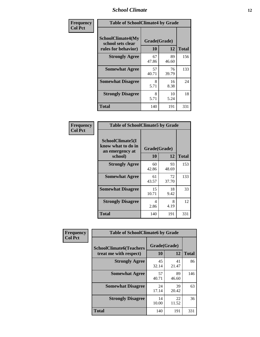### *School Climate* **12**

| Frequency      |                                                                      | <b>Table of SchoolClimate4 by Grade</b> |             |              |  |
|----------------|----------------------------------------------------------------------|-----------------------------------------|-------------|--------------|--|
| <b>Col Pct</b> | <b>SchoolClimate4(My</b><br>school sets clear<br>rules for behavior) | Grade(Grade)<br>10                      | 12          | <b>Total</b> |  |
|                | <b>Strongly Agree</b>                                                | 67<br>47.86                             | 89<br>46.60 | 156          |  |
|                | <b>Somewhat Agree</b>                                                | 57<br>40.71                             | 76<br>39.79 | 133          |  |
|                | <b>Somewhat Disagree</b>                                             | 8<br>5.71                               | 16<br>8.38  | 24           |  |
|                | <b>Strongly Disagree</b>                                             | 8<br>5.71                               | 10<br>5.24  | 18           |  |
|                | Total                                                                | 140                                     | 191         | 331          |  |

| <b>Table of SchoolClimate5 by Grade</b>                              |                    |             |              |  |
|----------------------------------------------------------------------|--------------------|-------------|--------------|--|
| SchoolClimate5(I<br>know what to do in<br>an emergency at<br>school) | Grade(Grade)<br>10 | 12          | <b>Total</b> |  |
| <b>Strongly Agree</b>                                                | 60<br>42.86        | 93<br>48.69 | 153          |  |
| <b>Somewhat Agree</b>                                                | 61<br>43.57        | 72<br>37.70 | 133          |  |
| <b>Somewhat Disagree</b>                                             | 15<br>10.71        | 18<br>9.42  | 33           |  |
| <b>Strongly Disagree</b>                                             | 4<br>2.86          | 8<br>4.19   | 12           |  |
| Total                                                                | 140                | 191         | 331          |  |

| Frequency      | <b>Table of SchoolClimate6 by Grade</b>                  |                    |             |              |
|----------------|----------------------------------------------------------|--------------------|-------------|--------------|
| <b>Col Pct</b> | <b>SchoolClimate6(Teachers</b><br>treat me with respect) | Grade(Grade)<br>10 | 12          | <b>Total</b> |
|                | <b>Strongly Agree</b>                                    | 45<br>32.14        | 41<br>21.47 | 86           |
|                | <b>Somewhat Agree</b>                                    | 57<br>40.71        | 89<br>46.60 | 146          |
|                | <b>Somewhat Disagree</b>                                 | 24<br>17.14        | 39<br>20.42 | 63           |
|                | <b>Strongly Disagree</b>                                 | 14<br>10.00        | 22<br>11.52 | 36           |
|                | <b>Total</b>                                             | 140                | 191         | 331          |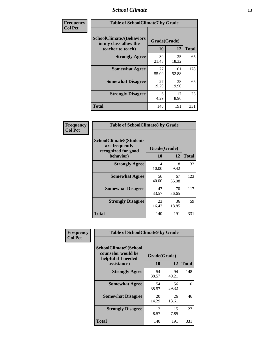### *School Climate* **13**

| Frequency      | <b>Table of SchoolClimate7 by Grade</b>                                       |                           |              |              |
|----------------|-------------------------------------------------------------------------------|---------------------------|--------------|--------------|
| <b>Col Pct</b> | <b>SchoolClimate7(Behaviors</b><br>in my class allow the<br>teacher to teach) | Grade(Grade)<br><b>10</b> | 12           | <b>Total</b> |
|                | <b>Strongly Agree</b>                                                         | 30<br>21.43               | 35<br>18.32  | 65           |
|                | <b>Somewhat Agree</b>                                                         | 77<br>55.00               | 101<br>52.88 | 178          |
|                | <b>Somewhat Disagree</b>                                                      | 27<br>19.29               | 38<br>19.90  | 65           |
|                | <b>Strongly Disagree</b>                                                      | 6<br>4.29                 | 17<br>8.90   | 23           |
|                | <b>Total</b>                                                                  | 140                       | 191          | 331          |

| Frequency      | <b>Table of SchoolClimate8 by Grade</b>                                              |                    |             |              |
|----------------|--------------------------------------------------------------------------------------|--------------------|-------------|--------------|
| <b>Col Pct</b> | <b>SchoolClimate8(Students</b><br>are frequently<br>recognized for good<br>behavior) | Grade(Grade)<br>10 | 12          | <b>Total</b> |
|                | <b>Strongly Agree</b>                                                                | 14<br>10.00        | 18<br>9.42  | 32           |
|                | <b>Somewhat Agree</b>                                                                | 56<br>40.00        | 67<br>35.08 | 123          |
|                | <b>Somewhat Disagree</b>                                                             | 47<br>33.57        | 70<br>36.65 | 117          |
|                | <b>Strongly Disagree</b>                                                             | 23<br>16.43        | 36<br>18.85 | 59           |
|                | <b>Total</b>                                                                         | 140                | 191         | 331          |

| Frequency      | <b>Table of SchoolClimate9 by Grade</b>                                           |                    |             |              |
|----------------|-----------------------------------------------------------------------------------|--------------------|-------------|--------------|
| <b>Col Pct</b> | SchoolClimate9(School<br>counselor would be<br>helpful if I needed<br>assistance) | Grade(Grade)<br>10 | 12          | <b>Total</b> |
|                | <b>Strongly Agree</b>                                                             | 54<br>38.57        | 94<br>49.21 | 148          |
|                | <b>Somewhat Agree</b>                                                             | 54<br>38.57        | 56<br>29.32 | 110          |
|                | <b>Somewhat Disagree</b>                                                          | 20<br>14.29        | 26<br>13.61 | 46           |
|                | <b>Strongly Disagree</b>                                                          | 12<br>8.57         | 15<br>7.85  | 27           |
|                | Total                                                                             | 140                | 191         | 331          |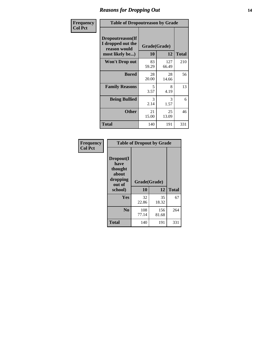### *Reasons for Dropping Out* **14**

| Frequency      | <b>Table of Dropoutreason by Grade</b>                                   |                    |              |              |
|----------------|--------------------------------------------------------------------------|--------------------|--------------|--------------|
| <b>Col Pct</b> | Dropoutreason(If<br>I dropped out the<br>reason would<br>most likely be) | Grade(Grade)<br>10 | 12           | <b>Total</b> |
|                | <b>Won't Drop out</b>                                                    | 83<br>59.29        | 127<br>66.49 | 210          |
|                | <b>Bored</b>                                                             | 28<br>20.00        | 28<br>14.66  | 56           |
|                | <b>Family Reasons</b>                                                    | 5<br>3.57          | 8<br>4.19    | 13           |
|                | <b>Being Bullied</b>                                                     | 3<br>2.14          | 3<br>1.57    | 6            |
|                | <b>Other</b>                                                             | 21<br>15.00        | 25<br>13.09  | 46           |
|                | <b>Total</b>                                                             | 140                | 191          | 331          |

| Frequency      | <b>Table of Dropout by Grade</b>                            |              |              |              |  |
|----------------|-------------------------------------------------------------|--------------|--------------|--------------|--|
| <b>Col Pct</b> | Dropout(I<br>have<br>thought<br>about<br>dropping<br>out of | Grade(Grade) |              |              |  |
|                | school)                                                     | 10           | 12           | <b>Total</b> |  |
|                | <b>Yes</b>                                                  | 32<br>22.86  | 35<br>18.32  | 67           |  |
|                | N <sub>0</sub>                                              | 108<br>77.14 | 156<br>81.68 | 264          |  |
|                | <b>Total</b>                                                | 140          | 191          | 331          |  |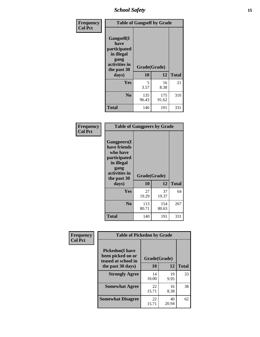*School Safety* **15**

| Frequency      | <b>Table of Gangself by Grade</b>                                                                 |                    |              |              |
|----------------|---------------------------------------------------------------------------------------------------|--------------------|--------------|--------------|
| <b>Col Pct</b> | Gangself(I<br>have<br>participated<br>in illegal<br>gang<br>activities in<br>the past 30<br>days) | Grade(Grade)<br>10 | 12           | <b>Total</b> |
|                | Yes                                                                                               | 5<br>3.57          | 16<br>8.38   | 21           |
|                | N <sub>0</sub>                                                                                    | 135<br>96.43       | 175<br>91.62 | 310          |
|                | <b>Total</b>                                                                                      | 140                | 191          | 331          |

| Frequency<br><b>Col Pct</b> | <b>Table of Gangpeers by Grade</b>                                                                                             |                    |              |              |
|-----------------------------|--------------------------------------------------------------------------------------------------------------------------------|--------------------|--------------|--------------|
|                             | <b>Gangpeers</b> (I<br>have friends<br>who have<br>participated<br>in illegal<br>gang<br>activities in<br>the past 30<br>days) | Grade(Grade)<br>10 | 12           | <b>Total</b> |
|                             | Yes                                                                                                                            | 27<br>19.29        | 37<br>19.37  | 64           |
|                             | N <sub>0</sub>                                                                                                                 | 113<br>80.71       | 154<br>80.63 | 267          |
|                             | <b>Total</b>                                                                                                                   | 140                | 191          | 331          |

| Frequency      |                                                                                         | <b>Table of Pickedon by Grade</b> |                  |    |  |  |  |  |  |
|----------------|-----------------------------------------------------------------------------------------|-----------------------------------|------------------|----|--|--|--|--|--|
| <b>Col Pct</b> | <b>Pickedon(I have</b><br>been picked on or<br>teased at school in<br>the past 30 days) | Grade(Grade)<br>10                | <b>Total</b>     |    |  |  |  |  |  |
|                | <b>Strongly Agree</b>                                                                   | 14<br>10.00                       | 12<br>19<br>9.95 | 33 |  |  |  |  |  |
|                | <b>Somewhat Agree</b>                                                                   | 22<br>15.71                       | 16<br>8.38       | 38 |  |  |  |  |  |
|                | <b>Somewhat Disagree</b>                                                                | 22<br>15.71                       | 40<br>20.94      | 62 |  |  |  |  |  |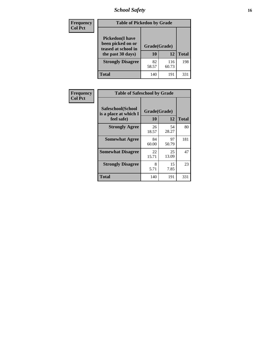# *School Safety* **16**

| <b>Frequency</b> |                                                                                          | <b>Table of Pickedon by Grade</b> |              |              |  |  |  |  |  |  |
|------------------|------------------------------------------------------------------------------------------|-----------------------------------|--------------|--------------|--|--|--|--|--|--|
| <b>Col Pct</b>   | <b>Pickedon</b> (I have<br>been picked on or<br>teased at school in<br>the past 30 days) | Grade(Grade)<br>10                | 12           | <b>Total</b> |  |  |  |  |  |  |
|                  | <b>Strongly Disagree</b>                                                                 | 82<br>58.57                       | 116<br>60.73 | 198          |  |  |  |  |  |  |
|                  | <b>Total</b>                                                                             | 140                               | 191          | 331          |  |  |  |  |  |  |

| Frequency      | <b>Table of Safeschool by Grade</b>                      |                    |              |     |
|----------------|----------------------------------------------------------|--------------------|--------------|-----|
| <b>Col Pct</b> | Safeschool(School<br>is a place at which I<br>feel safe) | Grade(Grade)<br>10 | <b>Total</b> |     |
|                | <b>Strongly Agree</b>                                    | 26<br>18.57        | 54<br>28.27  | 80  |
|                | <b>Somewhat Agree</b>                                    | 84<br>60.00        | 97<br>50.79  | 181 |
|                | <b>Somewhat Disagree</b>                                 | 22<br>15.71        | 25<br>13.09  | 47  |
|                | <b>Strongly Disagree</b>                                 | 8<br>5.71          | 15<br>7.85   | 23  |
|                | <b>Total</b>                                             | 140                | 191          | 331 |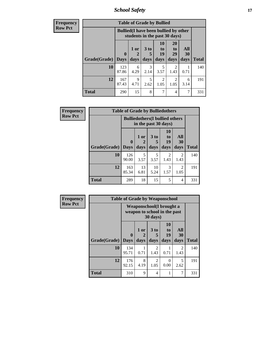*School Safety* **17**

| <b>Frequency</b> |              |                            | <b>Table of Grade by Bullied</b>                                              |                              |                                  |                               |                          |              |  |  |
|------------------|--------------|----------------------------|-------------------------------------------------------------------------------|------------------------------|----------------------------------|-------------------------------|--------------------------|--------------|--|--|
| <b>Row Pct</b>   |              |                            | <b>Bullied</b> (I have been bullied by other<br>students in the past 30 days) |                              |                                  |                               |                          |              |  |  |
|                  | Grade(Grade) | $\mathbf 0$<br><b>Days</b> | 1 or<br>days                                                                  | 3 <sub>to</sub><br>5<br>days | 10<br>$\mathbf{t}$<br>19<br>days | <b>20</b><br>to<br>29<br>days | All<br><b>30</b><br>days | <b>Total</b> |  |  |
|                  |              |                            |                                                                               |                              |                                  |                               |                          |              |  |  |
|                  | 10           | 123<br>87.86               | 6<br>4.29                                                                     | $\mathcal{R}$<br>2.14        | 5<br>3.57                        | 2<br>1.43                     | 0.71                     | 140          |  |  |
|                  | 12           | 167<br>87.43               | $\mathbf Q$<br>4.71                                                           | 2.62                         | 2<br>1.05                        | 2<br>1.05                     | 6<br>3.14                | 191          |  |  |
|                  | <b>Total</b> | 290                        | 15                                                                            | 8                            | 7                                | 4                             | 7                        | 331          |  |  |

| <b>Frequency</b> |                     | <b>Table of Grade by Bulliedothers</b> |                                                                |                              |                               |                        |              |  |  |
|------------------|---------------------|----------------------------------------|----------------------------------------------------------------|------------------------------|-------------------------------|------------------------|--------------|--|--|
| <b>Row Pct</b>   |                     |                                        | <b>Bulliedothers</b> (I bullied others<br>in the past 30 days) |                              |                               |                        |              |  |  |
|                  | Grade(Grade)   Days | $\mathbf{0}$                           | 1 or<br>days                                                   | 3 <sub>to</sub><br>5<br>days | <b>10</b><br>to<br>19<br>days | All<br>30<br>days      | <b>Total</b> |  |  |
|                  | 10                  | 126<br>90.00                           | 5<br>3.57                                                      | 5<br>3.57                    | $\mathfrak{D}$<br>1.43        | 2<br>1.43              | 140          |  |  |
|                  | 12                  | 163<br>85.34                           | 13<br>6.81                                                     | 10<br>5.24                   | 3<br>1.57                     | $\mathfrak{D}$<br>1.05 | 191          |  |  |
|                  | <b>Total</b>        | 289                                    | 18                                                             | 15                           | 5                             | 4                      | 331          |  |  |

| <b>Frequency</b> |              | <b>Table of Grade by Weaponschool</b>                     |                   |                        |                        |                        |              |
|------------------|--------------|-----------------------------------------------------------|-------------------|------------------------|------------------------|------------------------|--------------|
| <b>Row Pct</b>   |              | Weaponschool (I brought a<br>weapon to school in the past |                   |                        |                        |                        |              |
|                  | Grade(Grade) | $\bf{0}$<br><b>Days</b>                                   | 1 or<br>2<br>days | 3 to<br>5<br>days      | 10<br>to<br>19<br>days | All<br>30<br>days      | <b>Total</b> |
|                  | 10           | 134<br>95.71                                              | 0.71              | $\overline{2}$<br>1.43 | 0.71                   | $\mathfrak{D}$<br>1.43 | 140          |
|                  | 12           | 176<br>92.15                                              | 8<br>4.19         | 2<br>1.05              | $\Omega$<br>0.00       | 5<br>2.62              | 191          |
|                  | <b>Total</b> | 310                                                       | 9                 | 4                      |                        | 7                      | 331          |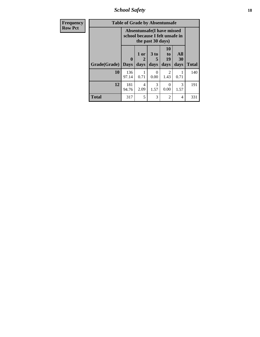*School Safety* **18**

| Frequency      | <b>Table of Grade by Absentunsafe</b> |                                                                |                   |              |                        |                   |              |  |  |  |
|----------------|---------------------------------------|----------------------------------------------------------------|-------------------|--------------|------------------------|-------------------|--------------|--|--|--|
| <b>Row Pct</b> |                                       | Absentunsafe (I have missed<br>school because I felt unsafe in |                   |              |                        |                   |              |  |  |  |
|                | Grade(Grade)                          | $\mathbf{0}$<br><b>Days</b>                                    | 1 or<br>2<br>days | 3 to<br>days | 10<br>to<br>19<br>days | All<br>30<br>days | <b>Total</b> |  |  |  |
|                | 10                                    | 136<br>97.14                                                   | 1<br>0.71         | 0<br>0.00    | $\mathfrak{D}$<br>1.43 | 0.71              | 140          |  |  |  |
|                | 12                                    | 181<br>94.76                                                   | 4<br>2.09         | 3<br>1.57    | 0.00                   | 3<br>1.57         | 191          |  |  |  |
|                | <b>Total</b>                          | 317                                                            | 5                 | 3            | $\overline{2}$         | 4                 | 331          |  |  |  |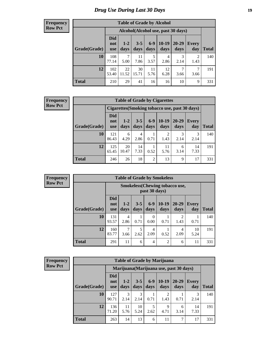### *Drug Use During Last 30 Days* **19**

#### **Frequency Row Pct**

| <b>Table of Grade by Alcohol</b> |                                 |                 |                 |               |                 |                                    |                     |       |  |  |  |
|----------------------------------|---------------------------------|-----------------|-----------------|---------------|-----------------|------------------------------------|---------------------|-------|--|--|--|
|                                  |                                 |                 |                 |               |                 | Alcohol(Alcohol use, past 30 days) |                     |       |  |  |  |
| Grade(Grade)                     | <b>Did</b><br>not<br><b>use</b> | $1 - 2$<br>days | $3 - 5$<br>days | $6-9$<br>days | $10-19$<br>days | $20 - 29$<br>days                  | <b>Every</b><br>day | Total |  |  |  |
| 10                               | 108<br>77.14                    | 7<br>5.00       | 11<br>7.86      | 5<br>3.57     | 4<br>2.86       | 3<br>2.14                          | 2<br>1.43           | 140   |  |  |  |
| 12                               | 102<br>53.40                    | 22<br>11.52     | 30<br>15.71     | 11<br>5.76    | 12<br>6.28      | 7<br>3.66                          | 7<br>3.66           | 191   |  |  |  |
| <b>Total</b>                     | 210                             | 29              | 41              | 16            | 16              | 10                                 | 9                   | 331   |  |  |  |

#### **Frequency Row Pct**

| <b>Table of Grade by Cigarettes</b> |                          |                                                |                 |                 |               |               |                     |              |  |  |  |  |
|-------------------------------------|--------------------------|------------------------------------------------|-----------------|-----------------|---------------|---------------|---------------------|--------------|--|--|--|--|
|                                     |                          | Cigarettes (Smoking tobacco use, past 30 days) |                 |                 |               |               |                     |              |  |  |  |  |
| Grade(Grade)                        | Did<br>not<br><b>use</b> | $1 - 2$<br>days                                | $3 - 5$<br>days | $6 - 9$<br>days | 10-19<br>days | 20-29<br>days | <b>Every</b><br>day | <b>Total</b> |  |  |  |  |
| 10                                  | 121<br>86.43             | 6<br>4.29                                      | 4<br>2.86       | 0.71            | 1.43          | 2.14          | 3<br>2.14           | 140          |  |  |  |  |
| 12                                  | 125<br>65.45             | 20<br>10.47                                    | 14<br>7.33      | 0.52            | 11<br>5.76    | 6<br>3.14     | 14<br>7.33          | 191          |  |  |  |  |
| <b>Total</b>                        | 246                      | 26                                             | 18              | $\overline{c}$  | 13            | 9             | 17                  | 331          |  |  |  |  |

**Frequency Row Pct**

| <b>Table of Grade by Smokeless</b> |                                 |                                                         |                 |               |                 |                        |              |       |  |  |
|------------------------------------|---------------------------------|---------------------------------------------------------|-----------------|---------------|-----------------|------------------------|--------------|-------|--|--|
|                                    |                                 | <b>Smokeless</b> (Chewing tobacco use,<br>past 30 days) |                 |               |                 |                        |              |       |  |  |
| Grade(Grade)                       | <b>Did</b><br>not<br><b>use</b> | $1 - 2$<br>days                                         | $3 - 5$<br>days | $6-9$<br>days | $10-19$<br>days | 20-29<br>days          | Every<br>day | Total |  |  |
| 10                                 | 131<br>93.57                    | 4<br>2.86                                               | 0.71            | 0<br>0.00     | 0.71            | $\mathfrak{D}$<br>1.43 | 0.71         | 140   |  |  |
| 12                                 | 160<br>83.77                    | 7<br>3.66                                               | 5<br>2.62       | 4<br>2.09     | 0.52            | 4<br>2.09              | 10<br>5.24   | 191   |  |  |
| <b>Total</b>                       | 291                             | 11                                                      | 6               | 4             | $\overline{2}$  | 6                      | 11           | 331   |  |  |

**Frequency Row Pct**

| <b>Table of Grade by Marijuana</b> |                                 |                 |                 |               |                                         |                   |                     |              |  |  |
|------------------------------------|---------------------------------|-----------------|-----------------|---------------|-----------------------------------------|-------------------|---------------------|--------------|--|--|
|                                    |                                 |                 |                 |               | Marijuana (Marijuana use, past 30 days) |                   |                     |              |  |  |
| Grade(Grade)                       | <b>Did</b><br>not<br><b>use</b> | $1 - 2$<br>days | $3 - 5$<br>days | $6-9$<br>days | $10-19$<br>days                         | $20 - 29$<br>days | <b>Every</b><br>day | <b>Total</b> |  |  |
| 10                                 | 127<br>90.71                    | 3<br>2.14       | 3<br>2.14       | 0.71          | 2<br>1.43                               | 0.71              | 3<br>2.14           | 140          |  |  |
| 12                                 | 136<br>71.20                    | 11<br>5.76      | 10<br>5.24      | 5<br>2.62     | 9<br>4.71                               | 6<br>3.14         | 14<br>7.33          | 191          |  |  |
| <b>Total</b>                       | 263                             | 14              | 13              | 6             | 11                                      | 7                 | 17                  | 331          |  |  |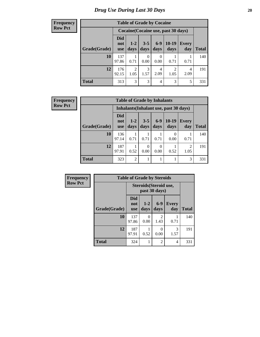#### **Frequency Row Pct**

| <b>Table of Grade by Cocaine</b> |                                 |                        |                 |                 |                                     |                     |              |  |  |  |  |
|----------------------------------|---------------------------------|------------------------|-----------------|-----------------|-------------------------------------|---------------------|--------------|--|--|--|--|
|                                  |                                 |                        |                 |                 | Cocaine (Cocaine use, past 30 days) |                     |              |  |  |  |  |
| Grade(Grade)                     | <b>Did</b><br>not<br><b>use</b> | $1 - 2$<br>days        | $3 - 5$<br>days | $6 - 9$<br>days | $10-19$<br>days                     | <b>Every</b><br>day | <b>Total</b> |  |  |  |  |
| 10                               | 137<br>97.86                    | 0.71                   | 0<br>0.00       | 0.00            | 0.71                                | 0.71                | 140          |  |  |  |  |
| 12                               | 176<br>92.15                    | $\overline{2}$<br>1.05 | 3<br>1.57       | 4<br>2.09       | 2<br>1.05                           | 4<br>2.09           | 191          |  |  |  |  |
| <b>Total</b>                     | 313                             | 3                      | 3               | 4               | 3                                   | 5                   | 331          |  |  |  |  |

| Frequency      | <b>Table of Grade by Inhalants</b>     |                                 |                 |                 |               |                  |                        |              |  |  |
|----------------|----------------------------------------|---------------------------------|-----------------|-----------------|---------------|------------------|------------------------|--------------|--|--|
| <b>Row Pct</b> | Inhalants (Inhalant use, past 30 days) |                                 |                 |                 |               |                  |                        |              |  |  |
|                | Grade(Grade)                           | <b>Did</b><br>not<br><b>use</b> | $1 - 2$<br>days | $3 - 5$<br>days | $6-9$<br>days | $10-19$<br>days  | <b>Every</b><br>day    | <b>Total</b> |  |  |
|                | 10                                     | 136<br>97.14                    | 0.71            | 0.71            | 0.71          | $\theta$<br>0.00 | 0.71                   | 140          |  |  |
|                | 12                                     | 187<br>97.91                    | 0.52            | 0<br>0.00       | 0.00          | 0.52             | $\overline{2}$<br>1.05 | 191          |  |  |
|                | <b>Total</b>                           | 323                             | $\overline{2}$  |                 |               |                  | 3                      | 331          |  |  |

| Frequency      | <b>Table of Grade by Steroids</b> |                                 |                                         |                       |              |              |  |
|----------------|-----------------------------------|---------------------------------|-----------------------------------------|-----------------------|--------------|--------------|--|
| <b>Row Pct</b> |                                   |                                 | Steroids (Steroid use,<br>past 30 days) |                       |              |              |  |
|                | Grade(Grade)                      | <b>Did</b><br>not<br><b>use</b> | $1 - 2$<br>days                         | $6-9$<br>days         | Every<br>day | <b>Total</b> |  |
|                | 10                                | 137<br>97.86                    | 0<br>0.00                               | $\mathcal{D}$<br>1.43 | 0.71         | 140          |  |
|                | 12                                | 187<br>97.91                    | 0.52                                    | 0.00                  | 3<br>1.57    | 191          |  |
|                | <b>Total</b>                      | 324                             |                                         | $\overline{2}$        | 4            | 331          |  |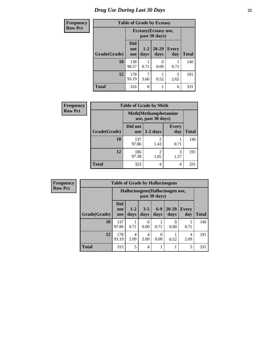# *Drug Use During Last 30 Days* **21**

| <b>Frequency</b> | <b>Table of Grade by Ecstasy</b> |                                 |                                        |                   |              |              |  |
|------------------|----------------------------------|---------------------------------|----------------------------------------|-------------------|--------------|--------------|--|
| <b>Row Pct</b>   |                                  |                                 | Ecstasy (Ecstasy use,<br>past 30 days) |                   |              |              |  |
|                  | Grade(Grade)                     | <b>Did</b><br>not<br><b>use</b> | $1 - 2$<br>days                        | $20 - 29$<br>days | Every<br>day | <b>Total</b> |  |
|                  | 10                               | 138<br>98.57                    | 0.71                                   | 0<br>0.00         | 0.71         | 140          |  |
|                  | 12                               | 178<br>93.19                    | ┑<br>3.66                              | 0.52              | 5<br>2.62    | 191          |  |
|                  | <b>Total</b>                     | 316                             | 8                                      |                   | 6            | 331          |  |

| Frequency      |              |                                                    | <b>Table of Grade by Meth</b> |                     |              |
|----------------|--------------|----------------------------------------------------|-------------------------------|---------------------|--------------|
| <b>Row Pct</b> |              | <b>Meth</b> (Methamphetamine<br>use, past 30 days) |                               |                     |              |
|                | Grade(Grade) | Did not<br>use                                     | $1-2$ days                    | <b>Every</b><br>day | <b>Total</b> |
|                | 10           | 137<br>97.86                                       | 1.43                          | 0.71                | 140          |
|                | 12           | 186<br>97.38                                       | 2<br>1.05                     | 3<br>1.57           | 191          |
|                | <b>Total</b> | 323                                                | 4                             | 4                   | 331          |

| Frequency      | <b>Table of Grade by Hallucinogens</b> |                                 |                 |                 |               |                                  |                     |              |
|----------------|----------------------------------------|---------------------------------|-----------------|-----------------|---------------|----------------------------------|---------------------|--------------|
| <b>Row Pct</b> |                                        |                                 |                 |                 | past 30 days) | Hallucinogens (Hallucinogen use, |                     |              |
|                | Grade(Grade)                           | <b>Did</b><br>not<br><b>use</b> | $1 - 2$<br>days | $3 - 5$<br>days | $6-9$<br>days | $20 - 29$<br>days                | <b>Every</b><br>day | <b>Total</b> |
|                | 10                                     | 137<br>97.86                    | 0.71            | 0<br>0.00       | 0.71          | 0<br>0.00                        | 0.71                | 140          |
|                | 12                                     | 178<br>93.19                    | 4<br>2.09       | 4<br>2.09       | 0<br>0.00     | 0.52                             | 4<br>2.09           | 191          |
|                | <b>Total</b>                           | 315                             | 5               | 4               |               |                                  | 5                   | 331          |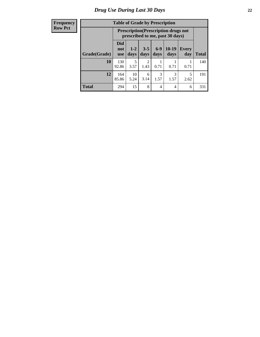#### **Frequency Row Pct**

| <b>Table of Grade by Prescription</b> |                                 |                                                                                |                 |                 |                 |                     |              |  |  |
|---------------------------------------|---------------------------------|--------------------------------------------------------------------------------|-----------------|-----------------|-----------------|---------------------|--------------|--|--|
|                                       |                                 | <b>Prescription</b> (Prescription drugs not<br>prescribed to me, past 30 days) |                 |                 |                 |                     |              |  |  |
| Grade(Grade)                          | <b>Did</b><br>not<br><b>use</b> | $1 - 2$<br>days                                                                | $3 - 5$<br>days | $6 - 9$<br>days | $10-19$<br>days | <b>Every</b><br>day | <b>Total</b> |  |  |
| 10                                    | 130<br>92.86                    | 5<br>3.57                                                                      | 2<br>1.43       | 0.71            | 0.71            | 0.71                | 140          |  |  |
| 12                                    | 164<br>85.86                    | 10<br>5.24                                                                     | 6<br>3.14       | 3<br>1.57       | 3<br>1.57       | 5<br>2.62           | 191          |  |  |
| <b>Total</b>                          | 294                             | 15                                                                             | 8               | 4               | 4               | 6                   | 331          |  |  |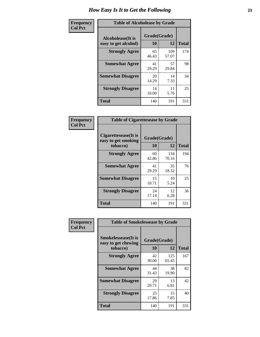| Frequency      | <b>Table of Alcoholease by Grade</b>              |                    |              |              |  |  |
|----------------|---------------------------------------------------|--------------------|--------------|--------------|--|--|
| <b>Col Pct</b> | <b>Alcoholease</b> (It is<br>easy to get alcohol) | Grade(Grade)<br>10 | 12           | <b>Total</b> |  |  |
|                | <b>Strongly Agree</b>                             | 65<br>46.43        | 109<br>57.07 | 174          |  |  |
|                | <b>Somewhat Agree</b>                             | 41<br>29.29        | 57<br>29.84  | 98           |  |  |
|                | <b>Somewhat Disagree</b>                          | 20<br>14.29        | 14<br>7.33   | 34           |  |  |
|                | <b>Strongly Disagree</b>                          | 14<br>10.00        | 11<br>5.76   | 25           |  |  |
|                | <b>Total</b>                                      | 140                | 191          | 331          |  |  |

| <b>Frequency</b> |  |
|------------------|--|
| <b>Col Pct</b>   |  |

| <b>Table of Cigarettesease by Grade</b>                  |                    |              |              |  |  |  |
|----------------------------------------------------------|--------------------|--------------|--------------|--|--|--|
| Cigarettesease (It is<br>easy to get smoking<br>tobacco) | Grade(Grade)<br>10 | 12           | <b>Total</b> |  |  |  |
| <b>Strongly Agree</b>                                    | 60<br>42.86        | 134<br>70.16 | 194          |  |  |  |
| <b>Somewhat Agree</b>                                    | 41<br>29.29        | 35<br>18.32  | 76           |  |  |  |
| <b>Somewhat Disagree</b>                                 | 15<br>10.71        | 10<br>5.24   | 25           |  |  |  |
| <b>Strongly Disagree</b>                                 | 24<br>17.14        | 12<br>6.28   | 36           |  |  |  |
| <b>Total</b>                                             | 140                | 191          | 331          |  |  |  |

| Frequency      | <b>Table of Smokelessease by Grade</b>                         |                          |              |              |
|----------------|----------------------------------------------------------------|--------------------------|--------------|--------------|
| <b>Col Pct</b> | <b>Smokelessease</b> (It is<br>easy to get chewing<br>tobacco) | Grade(Grade)<br>10<br>12 |              | <b>Total</b> |
|                | <b>Strongly Agree</b>                                          | 42<br>30.00              | 125<br>65.45 | 167          |
|                | <b>Somewhat Agree</b>                                          | 44<br>31.43              | 38<br>19.90  | 82           |
|                | <b>Somewhat Disagree</b>                                       | 29<br>20.71              | 13<br>6.81   | 42           |
|                | <b>Strongly Disagree</b>                                       | 25<br>17.86              | 15<br>7.85   | 40           |
|                | <b>Total</b>                                                   | 140                      | 191          | 331          |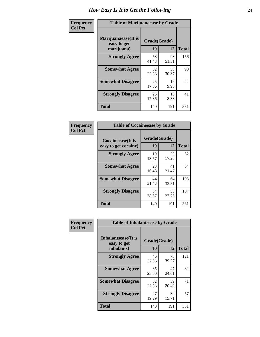| Frequency      | <b>Table of Marijuanaease by Grade</b>            |                           |             |              |  |  |
|----------------|---------------------------------------------------|---------------------------|-------------|--------------|--|--|
| <b>Col Pct</b> | Marijuanaease (It is<br>easy to get<br>marijuana) | Grade(Grade)<br><b>10</b> | 12          | <b>Total</b> |  |  |
|                | <b>Strongly Agree</b>                             | 58<br>41.43               | 98<br>51.31 | 156          |  |  |
|                | <b>Somewhat Agree</b>                             | 32<br>22.86               | 58<br>30.37 | 90           |  |  |
|                | <b>Somewhat Disagree</b>                          | 25<br>17.86               | 19<br>9.95  | 44           |  |  |
|                | <b>Strongly Disagree</b>                          | 25<br>17.86               | 16<br>8.38  | 41           |  |  |
|                | <b>Total</b>                                      | 140                       | 191         | 331          |  |  |

| <b>Table of Cocaineease by Grade</b>              |                    |             |              |  |  |  |  |
|---------------------------------------------------|--------------------|-------------|--------------|--|--|--|--|
| <b>Cocaineease</b> (It is<br>easy to get cocaine) | Grade(Grade)<br>10 | 12          | <b>Total</b> |  |  |  |  |
| <b>Strongly Agree</b>                             | 19<br>13.57        | 33<br>17.28 | 52           |  |  |  |  |
| <b>Somewhat Agree</b>                             | 23<br>16.43        | 41<br>21.47 | 64           |  |  |  |  |
| <b>Somewhat Disagree</b>                          | 44<br>31.43        | 64<br>33.51 | 108          |  |  |  |  |
| <b>Strongly Disagree</b>                          | 54<br>38.57        | 53<br>27.75 | 107          |  |  |  |  |
| <b>Total</b>                                      | 140                | 191         | 331          |  |  |  |  |

| Frequency      | <b>Table of Inhalantsease by Grade</b>                   |                    |             |              |
|----------------|----------------------------------------------------------|--------------------|-------------|--------------|
| <b>Col Pct</b> | <b>Inhalantsease</b> (It is<br>easy to get<br>inhalants) | Grade(Grade)<br>10 | 12          | <b>Total</b> |
|                | <b>Strongly Agree</b>                                    | 46<br>32.86        | 75<br>39.27 | 121          |
|                | <b>Somewhat Agree</b>                                    | 35<br>25.00        | 47<br>24.61 | 82           |
|                | <b>Somewhat Disagree</b>                                 | 32<br>22.86        | 39<br>20.42 | 71           |
|                | <b>Strongly Disagree</b>                                 | 27<br>19.29        | 30<br>15.71 | 57           |
|                | <b>Total</b>                                             | 140                | 191         | 331          |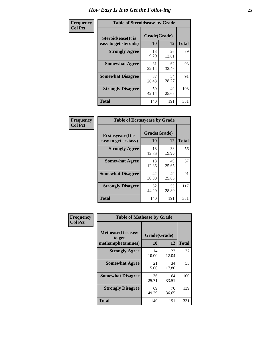| Frequency      |                                                     | <b>Table of Steroidsease by Grade</b> |             |              |  |  |  |  |  |  |  |  |
|----------------|-----------------------------------------------------|---------------------------------------|-------------|--------------|--|--|--|--|--|--|--|--|
| <b>Col Pct</b> | <b>Steroidsease</b> (It is<br>easy to get steroids) | Grade(Grade)<br>10                    | 12          | <b>Total</b> |  |  |  |  |  |  |  |  |
|                | <b>Strongly Agree</b>                               | 13<br>9.29                            | 26<br>13.61 | 39           |  |  |  |  |  |  |  |  |
|                | <b>Somewhat Agree</b>                               | 31<br>22.14                           | 62<br>32.46 | 93           |  |  |  |  |  |  |  |  |
|                | <b>Somewhat Disagree</b>                            | 37<br>26.43                           | 54<br>28.27 | 91           |  |  |  |  |  |  |  |  |
|                | <b>Strongly Disagree</b>                            | 59<br>42.14                           | 49<br>25.65 | 108          |  |  |  |  |  |  |  |  |
|                | <b>Total</b>                                        | 140                                   | 191         | 331          |  |  |  |  |  |  |  |  |

| Frequency      | <b>Table of Ecstasyease by Grade</b>              |                    |             |              |
|----------------|---------------------------------------------------|--------------------|-------------|--------------|
| <b>Col Pct</b> | <b>Ecstasyease</b> (It is<br>easy to get ecstasy) | Grade(Grade)<br>10 | 12          | <b>Total</b> |
|                | <b>Strongly Agree</b>                             | 18<br>12.86        | 38<br>19.90 | 56           |
|                | <b>Somewhat Agree</b>                             | 18<br>12.86        | 49<br>25.65 | 67           |
|                | <b>Somewhat Disagree</b>                          | 42<br>30.00        | 49<br>25.65 | 91           |
|                | <b>Strongly Disagree</b>                          | 62<br>44.29        | 55<br>28.80 | 117          |
|                | <b>Total</b>                                      | 140                | 191         | 331          |

| Frequency      | <b>Table of Methease by Grade</b>                          |                    |             |              |
|----------------|------------------------------------------------------------|--------------------|-------------|--------------|
| <b>Col Pct</b> | <b>Methease</b> (It is easy<br>to get<br>methamphetamines) | Grade(Grade)<br>10 | 12          | <b>Total</b> |
|                | <b>Strongly Agree</b>                                      | 14<br>10.00        | 23<br>12.04 | 37           |
|                | <b>Somewhat Agree</b>                                      | 21<br>15.00        | 34<br>17.80 | 55           |
|                | <b>Somewhat Disagree</b>                                   | 36<br>25.71        | 64<br>33.51 | 100          |
|                | <b>Strongly Disagree</b>                                   | 69<br>49.29        | 70<br>36.65 | 139          |
|                | <b>Total</b>                                               | 140                | 191         | 331          |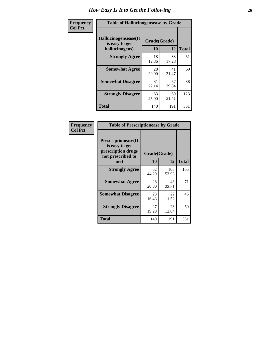| <b>Frequency</b> | <b>Table of Hallucinogensease by Grade</b>               |                    |             |              |
|------------------|----------------------------------------------------------|--------------------|-------------|--------------|
| <b>Col Pct</b>   | Hallucinogensease(It<br>is easy to get<br>hallucinogens) | Grade(Grade)<br>10 | 12          | <b>Total</b> |
|                  | <b>Strongly Agree</b>                                    | 18<br>12.86        | 33<br>17.28 | 51           |
|                  | <b>Somewhat Agree</b>                                    | 28<br>20.00        | 41<br>21.47 | 69           |
|                  | <b>Somewhat Disagree</b>                                 | 31<br>22.14        | 57<br>29.84 | 88           |
|                  | <b>Strongly Disagree</b>                                 | 63<br>45.00        | 60<br>31.41 | 123          |
|                  | <b>Total</b>                                             | 140                | 191         | 331          |

| Frequency<br>  Col Pct |
|------------------------|

| <b>Table of Prescriptionease by Grade</b>                                                |             |              |              |  |  |  |  |  |  |  |
|------------------------------------------------------------------------------------------|-------------|--------------|--------------|--|--|--|--|--|--|--|
| <b>Prescriptionease</b> (It<br>is easy to get<br>prescription drugs<br>not prescribed to |             | Grade(Grade) |              |  |  |  |  |  |  |  |
| me)                                                                                      | 10          | 12           | <b>Total</b> |  |  |  |  |  |  |  |
| <b>Strongly Agree</b>                                                                    | 62<br>44.29 | 103<br>53.93 | 165          |  |  |  |  |  |  |  |
| <b>Somewhat Agree</b>                                                                    | 28<br>20.00 | 43<br>22.51  | 71           |  |  |  |  |  |  |  |
| <b>Somewhat Disagree</b>                                                                 | 23<br>16.43 | 22<br>11.52  | 45           |  |  |  |  |  |  |  |
| <b>Strongly Disagree</b>                                                                 | 27<br>19.29 | 23<br>12.04  | 50           |  |  |  |  |  |  |  |
| <b>Total</b>                                                                             | 140         | 191          | 331          |  |  |  |  |  |  |  |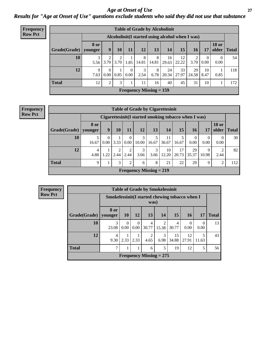*Age at Onset of Use* **27** *Results for "Age at Onset of Use" questions exclude students who said they did not use that substance*

| Frequency      | <b>Table of Grade by Alcoholinit</b> |                        |                               |           |                  |            |                                                  |             |             |             |                      |                       |              |
|----------------|--------------------------------------|------------------------|-------------------------------|-----------|------------------|------------|--------------------------------------------------|-------------|-------------|-------------|----------------------|-----------------------|--------------|
| <b>Row Pct</b> |                                      |                        |                               |           |                  |            | Alcoholinit (I started using alcohol when I was) |             |             |             |                      |                       |              |
|                | Grade(Grade)                         | <b>8 or</b><br>younger | 9                             | 10        | 11               | <b>12</b>  | 13                                               | 14          | 15          | 16          | 17                   | <b>18 or</b><br>older | <b>Total</b> |
|                | 10                                   | 3<br>5.56              | 2<br>3.70                     | 3.70 1.85 |                  | 8<br>14.81 | 8<br>14.81                                       | 16<br>29.63 | 12<br>22.22 | 2<br>3.70   | $\mathbf{0}$<br>0.00 | $\theta$<br>0.00      | 54           |
|                | 12                                   | 9<br>7.63              | $\Omega$<br>0.00 <sub>l</sub> | 0.85      | $\theta$<br>0.00 | 3<br>2.54  | 8<br>6.78                                        | 24<br>20.34 | 33<br>27.97 | 29<br>24.58 | 10<br>8.47           | 0.85                  | 118          |
|                | <b>Total</b>                         | 12                     | 2                             | 3         |                  | 11         | 16                                               | 40          | 45          | 31          | 10                   |                       | 172          |
|                |                                      |                        |                               |           |                  |            | Frequency Missing $= 159$                        |             |             |             |                      |                       |              |

#### **Frequency Row Pct**

| <b>Table of Grade by Cigarettesinit</b> |                        |                                                      |      |                      |                           |            |             |             |                  |            |                       |              |
|-----------------------------------------|------------------------|------------------------------------------------------|------|----------------------|---------------------------|------------|-------------|-------------|------------------|------------|-----------------------|--------------|
|                                         |                        | Cigarettesinit(I started smoking tobacco when I was) |      |                      |                           |            |             |             |                  |            |                       |              |
| Grade(Grade)                            | <b>8 or</b><br>younger | 9                                                    | 10   | 11                   | 12                        | 13         | 14          | 15          | 16               | <b>17</b>  | <b>18 or</b><br>older | <b>Total</b> |
| 10                                      | 5<br>16.67             | $\theta$<br>0.00                                     | 3.33 | $\mathbf{0}$<br>0.00 | 3<br>10.00                | 5<br>16.67 | 11<br>36.67 | 16.67       | $\theta$<br>0.00 | 0<br>0.00  | 0<br>0.00             | 30           |
| 12                                      | 4<br>4.88              | 1.22                                                 | 2.44 | 2<br>2.44            | 3<br>3.66                 | 3<br>3.66  | 10<br>12.20 | 17<br>20.73 | 29<br>35.37      | 9<br>10.98 | 2<br>2.44             | 82           |
| <b>Total</b>                            | 9                      |                                                      | 3    | $\overline{2}$       | 6                         | 8          | 21          | 22          | 29               | 9          | 2                     | 112          |
|                                         |                        |                                                      |      |                      | Frequency Missing $= 219$ |            |             |             |                  |            |                       |              |

| Frequency      |              |                                                 |                  |                  |            | <b>Table of Grade by Smokelessinit</b> |             |                  |           |              |
|----------------|--------------|-------------------------------------------------|------------------|------------------|------------|----------------------------------------|-------------|------------------|-----------|--------------|
| <b>Row Pct</b> |              | Smokelessinit (I started chewing tobacco when I |                  |                  | was)       |                                        |             |                  |           |              |
|                | Grade(Grade) | 8 or<br>vounger                                 | <b>10</b>        | 12               | <b>13</b>  | 14                                     | 15          | <b>16</b>        | 17        | <b>Total</b> |
|                | 10           | 3<br>23.08                                      | $\Omega$<br>0.00 | $\Omega$<br>0.00 | 4<br>30.77 | $\mathfrak{D}$<br>15.38                | 4<br>30.77  | $\Omega$<br>0.00 | 0<br>0.00 | 13           |
|                | 12           | 4<br>9.30                                       | $2.33 \mid 2.33$ |                  | 2<br>4.65  | 3<br>6.98                              | 15<br>34.88 | 12<br>27.91      | 11.63     | 43           |
|                | <b>Total</b> | ⇁                                               |                  | 1                | 6          | 5                                      | 19          | 12               | 5         | 56           |
|                |              |                                                 |                  |                  |            | Frequency Missing $= 275$              |             |                  |           |              |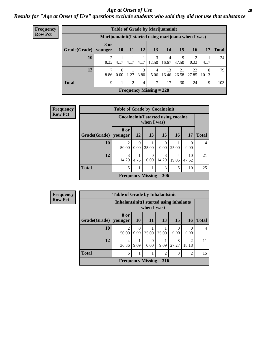#### *Age at Onset of Use* **28**

*Results for "Age at Onset of Use" questions exclude students who said they did not use that substance*

| <b>Frequency</b> | <b>Table of Grade by Marijuanainit</b> |                                                      |                      |           |           |                                |                         |             |             |            |              |  |
|------------------|----------------------------------------|------------------------------------------------------|----------------------|-----------|-----------|--------------------------------|-------------------------|-------------|-------------|------------|--------------|--|
| <b>Row Pct</b>   |                                        | Marijuanainit (I started using marijuana when I was) |                      |           |           |                                |                         |             |             |            |              |  |
|                  | Grade(Grade)   younger                 | 8 or                                                 | <b>10</b>            | <b>11</b> | 12        | <b>13</b>                      | 14                      | 15          | 16          | 17         | <b>Total</b> |  |
|                  | 10                                     | 2<br>8.33                                            | 4.17                 | 4.17      | 4.17      | $\mathcal{F}$<br>12.50         | $\overline{4}$<br>16.67 | 9<br>37.50  | 8.33        | 4.17       | 24           |  |
|                  | 12                                     | 7<br>8.86                                            | $\Omega$<br>$0.00\,$ | 1.27      | 3<br>3.80 | $\overline{4}$<br>5.06         | 13<br>16.46             | 21<br>26.58 | 22<br>27.85 | 8<br>10.13 | 79           |  |
|                  | <b>Total</b>                           | 9                                                    |                      | 2         | 4         | ℸ                              | 17                      | 30          | 24          | 9          | 103          |  |
|                  |                                        |                                                      |                      |           |           | <b>Frequency Missing = 228</b> |                         |             |             |            |              |  |

| Frequency      |              | <b>Table of Grade by Cocaineinit</b>  |           |                           |                  |            |                  |              |
|----------------|--------------|---------------------------------------|-----------|---------------------------|------------------|------------|------------------|--------------|
| <b>Row Pct</b> |              | Cocaine init (I started using cocaine |           | when I was)               |                  |            |                  |              |
|                | Grade(Grade) | 8 or<br>younger                       | <b>12</b> | <b>13</b>                 | 15               | <b>16</b>  | <b>17</b>        | <b>Total</b> |
|                | 10           | 2<br>50.00                            | 0<br>0.00 | 25.00                     | $\theta$<br>0.00 | 25.00      | $\left($<br>0.00 | 4            |
|                | 12           | 3<br>14.29                            | 4.76      | $\theta$<br>0.00          | 3<br>14.29       | 4<br>19.05 | 10<br>47.62      | 21           |
|                | <b>Total</b> | 5                                     |           |                           | 3                | 5          | 10               | 25           |
|                |              |                                       |           | Frequency Missing $= 306$ |                  |            |                  |              |

| <b>Frequency</b> |              | <b>Table of Grade by Inhalantsinit</b>   |                  |             |                                |            |                         |              |  |
|------------------|--------------|------------------------------------------|------------------|-------------|--------------------------------|------------|-------------------------|--------------|--|
| <b>Row Pct</b>   |              | Inhalantsinit (I started using inhalants |                  | when I was) |                                |            |                         |              |  |
|                  | Grade(Grade) | 8 or<br>vounger                          | 10 <sup>1</sup>  | <b>11</b>   | <b>13</b>                      | 15         | <b>16</b>               | <b>Total</b> |  |
|                  | 10           | $\overline{c}$<br>50.00                  | $\Omega$<br>0.00 | 25.00       | 25.00                          | 0<br>0.00  | 0<br>0.00               | 4            |  |
|                  | 12           | 4<br>36.36                               | 9.09             | 0.00        | 9.09                           | 3<br>27.27 | $\overline{c}$<br>18.18 | 11           |  |
|                  | <b>Total</b> | 3<br>$\overline{2}$<br>2<br>6            |                  |             |                                |            |                         | 15           |  |
|                  |              |                                          |                  |             | <b>Frequency Missing = 316</b> |            |                         |              |  |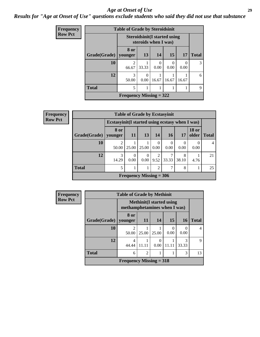#### *Age at Onset of Use* **29**

### *Results for "Age at Onset of Use" questions exclude students who said they did not use that substance*

| <b>Frequency</b> | <b>Table of Grade by Steroidsinit</b> |                           |                                                             |                  |       |           |               |
|------------------|---------------------------------------|---------------------------|-------------------------------------------------------------|------------------|-------|-----------|---------------|
| <b>Row Pct</b>   |                                       |                           | <b>Steroidsinit(I started using</b><br>steroids when I was) |                  |       |           |               |
|                  | Grade(Grade)                          | 8 or<br>younger           | 13                                                          | 14               | 15    | 17        | <b>Total</b>  |
|                  | 10                                    | $\mathfrak{D}$<br>66.67   | 33.33                                                       | $\Omega$<br>0.00 | 0.00  | 0<br>0.00 | $\mathcal{R}$ |
|                  | 12                                    | 3<br>50.00                | 0<br>0.00                                                   | 16.67            | 16.67 | 16.67     | 6             |
|                  | <b>Total</b>                          | 5                         | 1                                                           |                  |       |           | 9             |
|                  |                                       | Frequency Missing $= 322$ |                                                             |                  |       |           |               |

| <b>Frequency</b> | <b>Table of Grade by Ecstasyinit</b> |                                                  |                  |                           |                |            |            |                       |              |
|------------------|--------------------------------------|--------------------------------------------------|------------------|---------------------------|----------------|------------|------------|-----------------------|--------------|
| <b>Row Pct</b>   |                                      | Ecstasyinit (I started using ecstasy when I was) |                  |                           |                |            |            |                       |              |
|                  | Grade(Grade)                         | 8 or<br>younger                                  | 11               | 13                        | <b>14</b>      | <b>16</b>  | 17         | <b>18 or</b><br>older | <b>Total</b> |
|                  | 10                                   | 50.00                                            | 25.00            | 25.00                     | 0<br>0.00      | 0<br>0.00  | 0.00       | 0.00                  | 4            |
|                  | 12                                   | 3<br>14.29                                       | $\Omega$<br>0.00 | $\Omega$<br>0.00          | 2<br>9.52      | ┑<br>33.33 | 8<br>38.10 | 4.76                  | 21           |
|                  | <b>Total</b>                         |                                                  |                  |                           | $\mathfrak{D}$ | ⇁          | 8          |                       | 25           |
|                  |                                      |                                                  |                  | Frequency Missing $=$ 306 |                |            |            |                       |              |

| <b>Frequency</b> | <b>Table of Grade by Methinit</b> |                           |                                                                 |           |                  |            |              |  |
|------------------|-----------------------------------|---------------------------|-----------------------------------------------------------------|-----------|------------------|------------|--------------|--|
| <b>Row Pct</b>   |                                   |                           | <b>Methinit(I started using</b><br>methamphetamines when I was) |           |                  |            |              |  |
|                  | Grade(Grade)                      | 8 or<br>younger           | <b>11</b>                                                       | 14        | 15               | <b>16</b>  | <b>Total</b> |  |
|                  | 10                                | $\mathfrak{D}$<br>50.00   | 25.00                                                           | 25.00     | $\theta$<br>0.00 | 0.00       | 4            |  |
|                  | 12                                | 4<br>44.44                | 11.11                                                           | 0<br>0.00 | 11.11            | 3<br>33.33 | $\mathbf Q$  |  |
|                  | <b>Total</b>                      | 6                         | 2                                                               | 1         |                  | 3          | 13           |  |
|                  |                                   | Frequency Missing $=$ 318 |                                                                 |           |                  |            |              |  |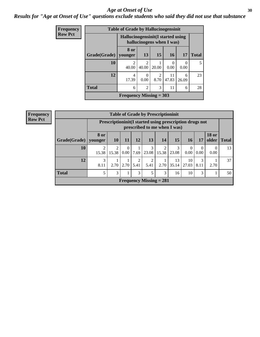#### Age at Onset of Use **30**

### *Results for "Age at Onset of Use" questions exclude students who said they did not use that substance*

| Frequency      |              | <b>Table of Grade by Hallucinogensinit</b> |                           |           |             |                  |              |
|----------------|--------------|--------------------------------------------|---------------------------|-----------|-------------|------------------|--------------|
| <b>Row Pct</b> |              | Hallucinogensinit (I started using         | hallucinogens when I was) |           |             |                  |              |
|                | Grade(Grade) | 8 or<br>vounger                            | 13                        | <b>15</b> | 16          | 17               | <b>Total</b> |
|                | 10           | $\mathfrak{D}$<br>40.00                    | $\mathfrak{D}$<br>40.00   | 20.00     | 0.00        | $\Omega$<br>0.00 | 5            |
|                | 12           | 4<br>17.39                                 | $\Omega$<br>0.00          | 2<br>8.70 | 11<br>47.83 | 6<br>26.09       | 23           |
|                | <b>Total</b> | 6                                          | $\overline{2}$            | 3         | 11          | 6                | 28           |
|                |              | Frequency Missing $=$ 303                  |                           |           |             |                  |              |

| <b>Frequency</b> |                                                                                          |                        |            |                  |           | <b>Table of Grade by Prescriptioninit</b> |            |             |                  |                  |                       |              |
|------------------|------------------------------------------------------------------------------------------|------------------------|------------|------------------|-----------|-------------------------------------------|------------|-------------|------------------|------------------|-----------------------|--------------|
| <b>Row Pct</b>   | Prescriptioninit (I started using prescription drugs not<br>prescribed to me when I was) |                        |            |                  |           |                                           |            |             |                  |                  |                       |              |
|                  | Grade(Grade)                                                                             | <b>8 or</b><br>younger | <b>10</b>  | 11               | 12        | 13                                        | 14         | 15          | 16               | 17               | <b>18 or</b><br>older | <b>Total</b> |
|                  | 10                                                                                       | 15.38                  | 2<br>15.38 | $\theta$<br>0.00 | 7.69      | 3<br>23.08                                | 2<br>15.38 | 3<br>23.08  | $\Omega$<br>0.00 | $\Omega$<br>0.00 | 0<br>0.00             | 13           |
|                  | 12                                                                                       | 3<br>8.11              | 2.70       | 2.70             | 2<br>5.41 | $\overline{2}$<br>5.41                    | 2.70       | 13<br>35.14 | 10<br>27.03      | 3<br>8.11        | 2.70                  | 37           |
|                  | <b>Total</b>                                                                             | 5                      | 3          |                  | 3         |                                           | 3          | 16          | 10               | 3                |                       | 50           |
|                  |                                                                                          |                        |            |                  |           | Frequency Missing $= 281$                 |            |             |                  |                  |                       |              |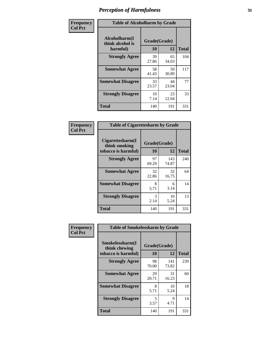| Frequency      | <b>Table of Alcoholharm by Grade</b>          |                    |             |              |  |  |
|----------------|-----------------------------------------------|--------------------|-------------|--------------|--|--|
| <b>Col Pct</b> | Alcoholharm(I<br>think alcohol is<br>harmful) | Grade(Grade)<br>10 | 12          | <b>Total</b> |  |  |
|                | <b>Strongly Agree</b>                         | 39<br>27.86        | 65<br>34.03 | 104          |  |  |
|                | <b>Somewhat Agree</b>                         | 58<br>41.43        | 59<br>30.89 | 117          |  |  |
|                | <b>Somewhat Disagree</b>                      | 33<br>23.57        | 44<br>23.04 | 77           |  |  |
|                | <b>Strongly Disagree</b>                      | 10<br>7.14         | 23<br>12.04 | 33           |  |  |
|                | <b>Total</b>                                  | 140                | 191         | 331          |  |  |

| <b>Table of Cigarettesharm by Grade</b>                  |             |                    |     |  |  |  |  |  |
|----------------------------------------------------------|-------------|--------------------|-----|--|--|--|--|--|
| Cigarettesharm(I<br>think smoking<br>tobacco is harmful) | 10          | Grade(Grade)<br>12 |     |  |  |  |  |  |
| <b>Strongly Agree</b>                                    | 97<br>69.29 | 143<br>74.87       | 240 |  |  |  |  |  |
| <b>Somewhat Agree</b>                                    | 32<br>22.86 | 32<br>16.75        | 64  |  |  |  |  |  |
| <b>Somewhat Disagree</b>                                 | 8<br>5.71   | 6<br>3.14          | 14  |  |  |  |  |  |
| <b>Strongly Disagree</b>                                 | 3<br>2.14   | 10<br>5.24         | 13  |  |  |  |  |  |
| <b>Total</b>                                             | 140         | 191                | 331 |  |  |  |  |  |

| Frequency      | <b>Table of Smokelessharm by Grade</b>                  |                    |              |              |
|----------------|---------------------------------------------------------|--------------------|--------------|--------------|
| <b>Col Pct</b> | Smokelessharm(I<br>think chewing<br>tobacco is harmful) | Grade(Grade)<br>10 | <b>12</b>    | <b>Total</b> |
|                | <b>Strongly Agree</b>                                   | 98<br>70.00        | 141<br>73.82 | 239          |
|                | <b>Somewhat Agree</b>                                   | 29<br>20.71        | 31<br>16.23  | 60           |
|                | <b>Somewhat Disagree</b>                                | 8<br>5.71          | 10<br>5.24   | 18           |
|                | <b>Strongly Disagree</b>                                | 5<br>3.57          | 9<br>4.71    | 14           |
|                | Total                                                   | 140                | 191          | 331          |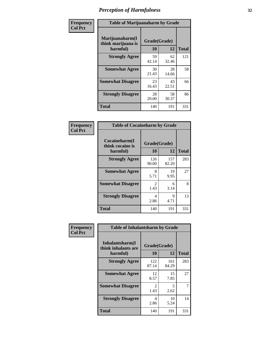| Frequency      | <b>Table of Marijuanaharm by Grade</b>            |                    |             |              |  |  |
|----------------|---------------------------------------------------|--------------------|-------------|--------------|--|--|
| <b>Col Pct</b> | Marijuanaharm(I<br>think marijuana is<br>harmful) | Grade(Grade)<br>10 | 12          | <b>Total</b> |  |  |
|                | <b>Strongly Agree</b>                             | 59<br>42.14        | 62<br>32.46 | 121          |  |  |
|                | <b>Somewhat Agree</b>                             | 30<br>21.43        | 28<br>14.66 | 58           |  |  |
|                | <b>Somewhat Disagree</b>                          | 23<br>16.43        | 43<br>22.51 | 66           |  |  |
|                | <b>Strongly Disagree</b>                          | 28<br>20.00        | 58<br>30.37 | 86           |  |  |
|                | <b>Total</b>                                      | 140                | 191         | 331          |  |  |

| <b>Table of Cocaineharm by Grade</b>          |                    |              |     |  |  |  |  |  |
|-----------------------------------------------|--------------------|--------------|-----|--|--|--|--|--|
| Cocaineharm(I<br>think cocaine is<br>harmful) | Grade(Grade)<br>10 | <b>Total</b> |     |  |  |  |  |  |
| <b>Strongly Agree</b>                         | 126<br>90.00       | 157<br>82.20 | 283 |  |  |  |  |  |
| <b>Somewhat Agree</b>                         | 8<br>5.71          | 19<br>9.95   | 27  |  |  |  |  |  |
| <b>Somewhat Disagree</b>                      | 2<br>1.43          | 6<br>3.14    | 8   |  |  |  |  |  |
| <b>Strongly Disagree</b>                      | 4<br>2.86          | 9<br>4.71    | 13  |  |  |  |  |  |
| Total                                         | 140                | 191          | 331 |  |  |  |  |  |

| Frequency      | <b>Table of Inhalantsharm by Grade</b>             |                           |              |              |  |  |  |
|----------------|----------------------------------------------------|---------------------------|--------------|--------------|--|--|--|
| <b>Col Pct</b> | Inhalantsharm(I<br>think inhalants are<br>harmful) | Grade(Grade)<br><b>10</b> | 12           | <b>Total</b> |  |  |  |
|                | <b>Strongly Agree</b>                              | 122<br>87.14              | 161<br>84.29 | 283          |  |  |  |
|                | <b>Somewhat Agree</b>                              | 12<br>8.57                | 15<br>7.85   | 27           |  |  |  |
|                | <b>Somewhat Disagree</b>                           | $\mathfrak{D}$<br>1.43    | 5<br>2.62    | 7            |  |  |  |
|                | <b>Strongly Disagree</b>                           | 4<br>2.86                 | 10<br>5.24   | 14           |  |  |  |
|                | Total                                              | 140                       | 191          | 331          |  |  |  |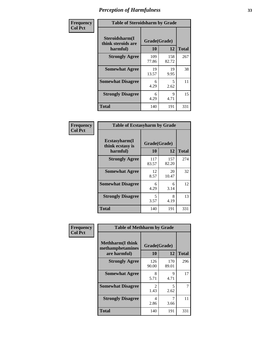| Frequency      | <b>Table of Steroidsharm by Grade</b>            |                    |              |              |
|----------------|--------------------------------------------------|--------------------|--------------|--------------|
| <b>Col Pct</b> | Steroidsharm(I<br>think steroids are<br>harmful) | Grade(Grade)<br>10 | 12           | <b>Total</b> |
|                | <b>Strongly Agree</b>                            | 109<br>77.86       | 158<br>82.72 | 267          |
|                | <b>Somewhat Agree</b>                            | 19<br>13.57        | 19<br>9.95   | 38           |
|                | <b>Somewhat Disagree</b>                         | 6<br>4.29          | 5<br>2.62    | 11           |
|                | <b>Strongly Disagree</b>                         | 6<br>4.29          | 9<br>4.71    | 15           |
|                | <b>Total</b>                                     | 140                | 191          | 331          |

| <b>Table of Ecstasyharm by Grade</b>          |                    |              |     |  |  |
|-----------------------------------------------|--------------------|--------------|-----|--|--|
| Ecstasyharm(I<br>think ecstasy is<br>harmful) | Grade(Grade)<br>10 | <b>Total</b> |     |  |  |
| <b>Strongly Agree</b>                         | 117<br>83.57       | 157<br>82.20 | 274 |  |  |
| <b>Somewhat Agree</b>                         | 12<br>8.57         | 20<br>10.47  | 32  |  |  |
| <b>Somewhat Disagree</b>                      | 6<br>4.29          | 6<br>3.14    | 12  |  |  |
| <b>Strongly Disagree</b>                      | 5<br>3.57          | 8<br>4.19    | 13  |  |  |
| Total                                         | 140                | 191          | 331 |  |  |

| Frequency      | <b>Table of Methharm by Grade</b>                            |                    |              |              |
|----------------|--------------------------------------------------------------|--------------------|--------------|--------------|
| <b>Col Pct</b> | <b>Methharm</b> (I think<br>methamphetamines<br>are harmful) | Grade(Grade)<br>10 | 12           | <b>Total</b> |
|                | <b>Strongly Agree</b>                                        | 126<br>90.00       | 170<br>89.01 | 296          |
|                | <b>Somewhat Agree</b>                                        | 8<br>5.71          | 9<br>4.71    | 17           |
|                | <b>Somewhat Disagree</b>                                     | 2<br>1.43          | 5<br>2.62    | 7            |
|                | <b>Strongly Disagree</b>                                     | 4<br>2.86          | 3.66         | 11           |
|                | <b>Total</b>                                                 | 140                | 191          | 331          |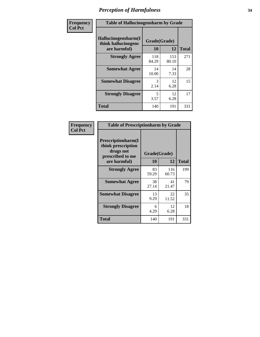| Frequency      | <b>Table of Hallucinogensharm by Grade</b>                 |                    |              |              |
|----------------|------------------------------------------------------------|--------------------|--------------|--------------|
| <b>Col Pct</b> | Hallucinogensharm(I<br>think hallucinogens<br>are harmful) | Grade(Grade)<br>10 | 12           | <b>Total</b> |
|                | <b>Strongly Agree</b>                                      | 118<br>84.29       | 153<br>80.10 | 271          |
|                | <b>Somewhat Agree</b>                                      | 14<br>10.00        | 14<br>7.33   | 28           |
|                | <b>Somewhat Disagree</b>                                   | 3<br>2.14          | 12<br>6.28   | 15           |
|                | <b>Strongly Disagree</b>                                   | 5<br>3.57          | 12<br>6.28   | 17           |
|                | <b>Total</b>                                               | 140                | 191          | 331          |

| <b>Table of Prescriptionharm by Grade</b>                                         |              |              |              |  |
|-----------------------------------------------------------------------------------|--------------|--------------|--------------|--|
| <b>Prescriptionharm</b> (I<br>think prescription<br>drugs not<br>prescribed to me | Grade(Grade) |              |              |  |
| are harmful)                                                                      | 10           | 12           | <b>Total</b> |  |
| <b>Strongly Agree</b>                                                             | 83<br>59.29  | 116<br>60.73 | 199          |  |
| <b>Somewhat Agree</b>                                                             | 38<br>27.14  | 41<br>21.47  | 79           |  |
| <b>Somewhat Disagree</b>                                                          | 13<br>9.29   | 22<br>11.52  | 35           |  |
| <b>Strongly Disagree</b>                                                          | 6<br>4.29    | 12<br>6.28   | 18           |  |
| Total                                                                             | 140          | 191          | 331          |  |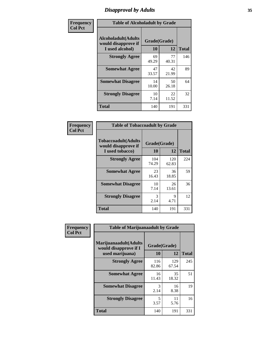# *Disapproval by Adults* **35**

| Frequency      | <b>Table of Alcoholadult by Grade</b>                                 |                    |             |              |
|----------------|-----------------------------------------------------------------------|--------------------|-------------|--------------|
| <b>Col Pct</b> | <b>Alcoholadult</b> (Adults<br>would disapprove if<br>I used alcohol) | Grade(Grade)<br>10 | 12          | <b>Total</b> |
|                | <b>Strongly Agree</b>                                                 | 69<br>49.29        | 77<br>40.31 | 146          |
|                | <b>Somewhat Agree</b>                                                 | 47<br>33.57        | 42<br>21.99 | 89           |
|                | <b>Somewhat Disagree</b>                                              | 14<br>10.00        | 50<br>26.18 | 64           |
|                | <b>Strongly Disagree</b>                                              | 10<br>7.14         | 22<br>11.52 | 32           |
|                | <b>Total</b>                                                          | 140                | 191         | 331          |

| <b>Table of Tobaccoadult by Grade</b>                                 |                          |              |     |  |  |
|-----------------------------------------------------------------------|--------------------------|--------------|-----|--|--|
| <b>Tobaccoadult</b> (Adults<br>would disapprove if<br>I used tobacco) | Grade(Grade)<br>10<br>12 |              |     |  |  |
| <b>Strongly Agree</b>                                                 | 104<br>74.29             | 120<br>62.83 | 224 |  |  |
| <b>Somewhat Agree</b>                                                 | 23<br>16.43              | 36<br>18.85  | 59  |  |  |
| <b>Somewhat Disagree</b>                                              | 10<br>7.14               | 26<br>13.61  | 36  |  |  |
| <b>Strongly Disagree</b>                                              | 3<br>2.14                | 9<br>4.71    | 12  |  |  |
| Total                                                                 | 140                      | 191          | 331 |  |  |

| Frequency      | <b>Table of Marijuanaadult by Grade</b>                           |                    |              |              |
|----------------|-------------------------------------------------------------------|--------------------|--------------|--------------|
| <b>Col Pct</b> | Marijuanaadult(Adults<br>would disapprove if I<br>used marijuana) | Grade(Grade)<br>10 | 12           | <b>Total</b> |
|                | <b>Strongly Agree</b>                                             | 116<br>82.86       | 129<br>67.54 | 245          |
|                | <b>Somewhat Agree</b>                                             | 16<br>11.43        | 35<br>18.32  | 51           |
|                | <b>Somewhat Disagree</b>                                          | 3<br>2.14          | 16<br>8.38   | 19           |
|                | <b>Strongly Disagree</b>                                          | 5<br>3.57          | 11<br>5.76   | 16           |
|                | <b>Total</b>                                                      | 140                | 191          | 331          |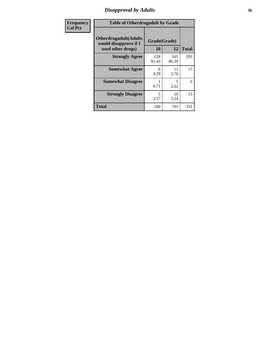# *Disapproval by Adults* **36**

| <b>Frequency</b> | <b>Table of Otherdrugadult by Grade</b>                                     |                    |              |              |
|------------------|-----------------------------------------------------------------------------|--------------------|--------------|--------------|
| <b>Col Pct</b>   | <b>Otherdrugadult</b> (Adults<br>would disapprove if I<br>used other drugs) | Grade(Grade)<br>10 | 12           | <b>Total</b> |
|                  | <b>Strongly Agree</b>                                                       | 128<br>91.43       | 165<br>86.39 | 293          |
|                  | <b>Somewhat Agree</b>                                                       | 6<br>4.29          | 11<br>5.76   | 17           |
|                  | <b>Somewhat Disagree</b>                                                    | 0.71               | 5<br>2.62    | 6            |
|                  | <b>Strongly Disagree</b>                                                    | 5<br>3.57          | 10<br>5.24   | 15           |
|                  | <b>Total</b>                                                                | 140                | 191          | 331          |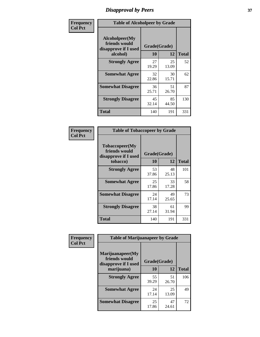# *Disapproval by Peers* **37**

| Frequency      | <b>Table of Alcoholpeer by Grade</b>                    |              |             |              |  |
|----------------|---------------------------------------------------------|--------------|-------------|--------------|--|
| <b>Col Pct</b> | Alcoholpeer(My<br>friends would<br>disapprove if I used | Grade(Grade) |             |              |  |
|                | alcohol)                                                | 10           | 12          | <b>Total</b> |  |
|                | <b>Strongly Agree</b>                                   | 27<br>19.29  | 25<br>13.09 | 52           |  |
|                | <b>Somewhat Agree</b>                                   | 32<br>22.86  | 30<br>15.71 | 62           |  |
|                | <b>Somewhat Disagree</b>                                | 36<br>25.71  | 51<br>26.70 | 87           |  |
|                | <b>Strongly Disagree</b>                                | 45<br>32.14  | 85<br>44.50 | 130          |  |
|                | Total                                                   | 140          | 191         | 331          |  |

| Frequency      | <b>Table of Tobaccopeer by Grade</b>                                |                    |             |              |
|----------------|---------------------------------------------------------------------|--------------------|-------------|--------------|
| <b>Col Pct</b> | Tobaccopeer(My<br>friends would<br>disapprove if I used<br>tobacco) | Grade(Grade)<br>10 | 12          | <b>Total</b> |
|                | <b>Strongly Agree</b>                                               | 53<br>37.86        | 48<br>25.13 | 101          |
|                | <b>Somewhat Agree</b>                                               | 25<br>17.86        | 33<br>17.28 | 58           |
|                | <b>Somewhat Disagree</b>                                            | 24<br>17.14        | 49<br>25.65 | 73           |
|                | <b>Strongly Disagree</b>                                            | 38<br>27.14        | 61<br>31.94 | 99           |
|                | Total                                                               | 140                | 191         | 331          |

| Frequency      | <b>Table of Marijuanapeer by Grade</b>                    |              |             |              |
|----------------|-----------------------------------------------------------|--------------|-------------|--------------|
| <b>Col Pct</b> | Marijuanapeer(My<br>friends would<br>disapprove if I used | Grade(Grade) |             |              |
|                | marijuana)                                                | 10           | 12          | <b>Total</b> |
|                | <b>Strongly Agree</b>                                     | 55<br>39.29  | 51<br>26.70 | 106          |
|                | <b>Somewhat Agree</b>                                     | 24<br>17.14  | 25<br>13.09 | 49           |
|                | <b>Somewhat Disagree</b>                                  | 25<br>17.86  | 47<br>24.61 | 72           |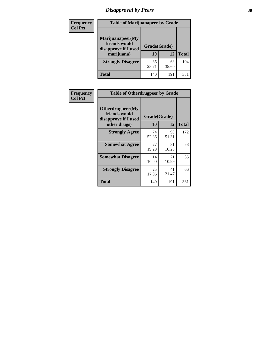# *Disapproval by Peers* **38**

| <b>Frequency</b> | <b>Table of Marijuanapeer by Grade</b>                                  |                           |             |              |  |
|------------------|-------------------------------------------------------------------------|---------------------------|-------------|--------------|--|
| <b>Col Pct</b>   | Marijuanapeer(My<br>friends would<br>disapprove if I used<br>marijuana) | Grade(Grade)<br><b>10</b> | 12          | <b>Total</b> |  |
|                  | <b>Strongly Disagree</b>                                                | 36<br>25.71               | 68<br>35.60 | 104          |  |
|                  | <b>Total</b>                                                            | 140                       | 191         | 33.          |  |

| <b>Frequency</b> | <b>Table of Otherdrugpeer by Grade</b>                                    |                    |             |              |
|------------------|---------------------------------------------------------------------------|--------------------|-------------|--------------|
| <b>Col Pct</b>   | Otherdrugpeer(My<br>friends would<br>disapprove if I used<br>other drugs) | Grade(Grade)<br>10 | 12          | <b>Total</b> |
|                  |                                                                           |                    |             |              |
|                  | <b>Strongly Agree</b>                                                     | 74<br>52.86        | 98<br>51.31 | 172          |
|                  | <b>Somewhat Agree</b>                                                     | 27<br>19.29        | 31<br>16.23 | 58           |
|                  | <b>Somewhat Disagree</b>                                                  | 14<br>10.00        | 21<br>10.99 | 35           |
|                  | <b>Strongly Disagree</b>                                                  | 25<br>17.86        | 41<br>21.47 | 66           |
|                  | Total                                                                     | 140                | 191         | 331          |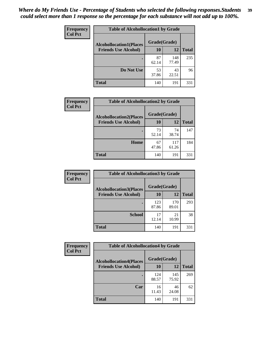| Frequency      | <b>Table of Alcohollocation1 by Grade</b> |              |              |              |
|----------------|-------------------------------------------|--------------|--------------|--------------|
| <b>Col Pct</b> | <b>Alcohollocation1(Places</b>            | Grade(Grade) |              |              |
|                | <b>Friends Use Alcohol)</b>               | 10           | 12           | <b>Total</b> |
|                |                                           | 87<br>62.14  | 148<br>77.49 | 235          |
|                | Do Not Use                                | 53<br>37.86  | 43<br>22.51  | 96           |
|                | <b>Total</b>                              | 140          | 191          | 331          |

| <b>Frequency</b> |                                | <b>Table of Alcohollocation2 by Grade</b> |              |              |
|------------------|--------------------------------|-------------------------------------------|--------------|--------------|
| <b>Col Pct</b>   | <b>Alcohollocation2(Places</b> | Grade(Grade)                              |              |              |
|                  | <b>Friends Use Alcohol)</b>    | 10                                        | 12           | <b>Total</b> |
|                  |                                | 73<br>52.14                               | 74<br>38.74  | 147          |
|                  | Home                           | 67<br>47.86                               | 117<br>61.26 | 184          |
|                  | <b>Total</b>                   | 140                                       | 191          | 331          |

| Frequency<br><b>Col Pct</b> | <b>Table of Alcohollocation 3 by Grade</b>                    |                    |              |              |  |
|-----------------------------|---------------------------------------------------------------|--------------------|--------------|--------------|--|
|                             | <b>Alcohollocation3(Places</b><br><b>Friends Use Alcohol)</b> | Grade(Grade)<br>10 | 12           | <b>Total</b> |  |
|                             |                                                               | 123<br>87.86       | 170<br>89.01 | 293          |  |
|                             | <b>School</b>                                                 | 17<br>12.14        | 21<br>10.99  | 38           |  |
|                             | Total                                                         | 140                | 191          | 331          |  |

| Frequency      | <b>Table of Alcohollocation4 by Grade</b> |              |              |              |  |
|----------------|-------------------------------------------|--------------|--------------|--------------|--|
| <b>Col Pct</b> | <b>Alcohollocation4(Places</b>            | Grade(Grade) |              |              |  |
|                | <b>Friends Use Alcohol)</b>               | 10           | 12           | <b>Total</b> |  |
|                |                                           | 124<br>88.57 | 145<br>75.92 | 269          |  |
|                | Car                                       | 16<br>11.43  | 46<br>24.08  | 62           |  |
|                | <b>Total</b>                              | 140          | 191          | 331          |  |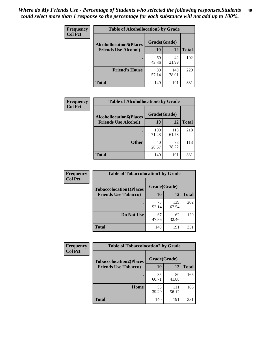| Frequency<br><b>Col Pct</b> | <b>Table of Alcohollocation5 by Grade</b>      |             |              |              |  |
|-----------------------------|------------------------------------------------|-------------|--------------|--------------|--|
|                             | Grade(Grade)<br><b>Alcohollocation5(Places</b> |             |              |              |  |
|                             | <b>Friends Use Alcohol)</b>                    | 10          | 12           | <b>Total</b> |  |
|                             |                                                | 60<br>42.86 | 42<br>21.99  | 102          |  |
|                             | <b>Friend's House</b>                          | 80<br>57.14 | 149<br>78.01 | 229          |  |
|                             | <b>Total</b>                                   | 140         | 191          | 331          |  |

| Frequency      | <b>Table of Alcohollocation6 by Grade</b>                     |                           |              |              |
|----------------|---------------------------------------------------------------|---------------------------|--------------|--------------|
| <b>Col Pct</b> | <b>Alcohollocation6(Places</b><br><b>Friends Use Alcohol)</b> | Grade(Grade)<br><b>10</b> | <b>12</b>    | <b>Total</b> |
|                |                                                               | 100<br>71.43              | 118<br>61.78 | 218          |
|                | <b>Other</b>                                                  | 40<br>28.57               | 73<br>38.22  | 113          |
|                | <b>Total</b>                                                  | 140                       | 191          | 331          |

| <b>Frequency</b> | <b>Table of Tobaccolocation1 by Grade</b> |              |              |              |
|------------------|-------------------------------------------|--------------|--------------|--------------|
| <b>Col Pct</b>   | <b>Tobaccolocation1(Places</b>            | Grade(Grade) |              |              |
|                  | <b>Friends Use Tobacco)</b>               | 10           | 12           | <b>Total</b> |
|                  |                                           | 73<br>52.14  | 129<br>67.54 | 202          |
|                  | Do Not Use                                | 67<br>47.86  | 62<br>32.46  | 129          |
|                  | <b>Total</b>                              | 140          | 191          | 331          |

| <b>Frequency</b> | <b>Table of Tobaccolocation2 by Grade</b> |              |              |              |  |
|------------------|-------------------------------------------|--------------|--------------|--------------|--|
| <b>Col Pct</b>   | <b>Tobaccolocation2(Places</b>            | Grade(Grade) |              |              |  |
|                  | <b>Friends Use Tobacco)</b>               | 10           | 12           | <b>Total</b> |  |
|                  |                                           | 85<br>60.71  | 80<br>41.88  | 165          |  |
|                  | Home                                      | 55<br>39.29  | 111<br>58.12 | 166          |  |
|                  | <b>Total</b>                              | 140          | 191          | 331          |  |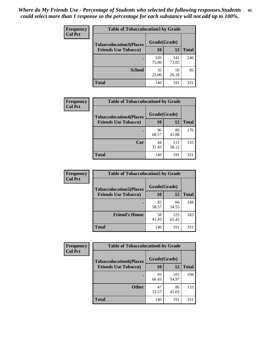| Frequency      | <b>Table of Tobaccolocation 3 by Grade</b> |              |              |              |  |
|----------------|--------------------------------------------|--------------|--------------|--------------|--|
| <b>Col Pct</b> | <b>Tobaccolocation3(Places</b>             | Grade(Grade) |              |              |  |
|                | <b>Friends Use Tobacco)</b>                | 10           | <b>12</b>    | <b>Total</b> |  |
|                |                                            | 105<br>75.00 | 141<br>73.82 | 246          |  |
|                | <b>School</b>                              | 35<br>25.00  | 50<br>26.18  | 85           |  |
|                | <b>Total</b>                               | 140          | 191          | 331          |  |

| Frequency<br><b>Col Pct</b> | <b>Table of Tobaccolocation4 by Grade</b> |              |              |              |
|-----------------------------|-------------------------------------------|--------------|--------------|--------------|
|                             | <b>Tobaccolocation4(Places</b>            | Grade(Grade) |              |              |
|                             | <b>Friends Use Tobacco)</b>               | 10           | 12           | <b>Total</b> |
|                             |                                           | 96<br>68.57  | 80<br>41.88  | 176          |
|                             | Car                                       | 44<br>31.43  | 111<br>58.12 | 155          |
|                             | <b>Total</b>                              | 140          | 191          | 331          |

| Frequency      | <b>Table of Tobaccolocation5 by Grade</b> |              |              |              |
|----------------|-------------------------------------------|--------------|--------------|--------------|
| <b>Col Pct</b> | <b>Tobaccolocation5(Places</b>            | Grade(Grade) |              |              |
|                | <b>Friends Use Tobacco)</b>               | 10           | <b>12</b>    | <b>Total</b> |
|                |                                           | 82<br>58.57  | 66<br>34.55  | 148          |
|                | <b>Friend's House</b>                     | 58<br>41.43  | 125<br>65.45 | 183          |
|                | <b>Total</b>                              | 140          | 191          | 331          |

| <b>Frequency</b> | <b>Table of Tobaccolocation6 by Grade</b> |              |              |              |  |
|------------------|-------------------------------------------|--------------|--------------|--------------|--|
| <b>Col Pct</b>   | <b>Tobaccolocation6(Places</b>            | Grade(Grade) |              |              |  |
|                  | <b>Friends Use Tobacco)</b>               | 10           | 12           | <b>Total</b> |  |
|                  |                                           | 93<br>66.43  | 105<br>54.97 | 198          |  |
|                  | <b>Other</b>                              | 47<br>33.57  | 86<br>45.03  | 133          |  |
|                  | <b>Total</b>                              | 140          | 191          | 331          |  |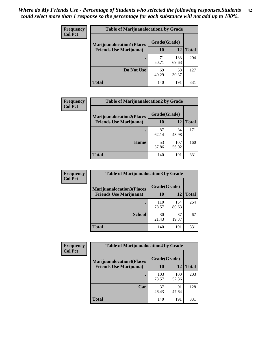| <b>Frequency</b> | <b>Table of Marijuanalocation1 by Grade</b> |              |              |              |
|------------------|---------------------------------------------|--------------|--------------|--------------|
| <b>Col Pct</b>   | <b>Marijuanalocation1(Places</b>            | Grade(Grade) |              |              |
|                  | <b>Friends Use Marijuana</b> )              | 10           | 12           | <b>Total</b> |
|                  |                                             | 71<br>50.71  | 133<br>69.63 | 204          |
|                  | Do Not Use                                  | 69<br>49.29  | 58<br>30.37  | 127          |
|                  | <b>Total</b>                                | 140          | 191          | 331          |

| <b>Frequency</b> | <b>Table of Marijuanalocation2 by Grade</b>                        |                    |              |              |
|------------------|--------------------------------------------------------------------|--------------------|--------------|--------------|
| <b>Col Pct</b>   | <b>Marijuanalocation2(Places</b><br><b>Friends Use Marijuana</b> ) | Grade(Grade)<br>10 | 12           | <b>Total</b> |
|                  |                                                                    |                    |              |              |
|                  |                                                                    | 87<br>62.14        | 84<br>43.98  | 171          |
|                  | Home                                                               | 53<br>37.86        | 107<br>56.02 | 160          |
|                  | <b>Total</b>                                                       | 140                | 191          | 331          |

| Frequency<br><b>Col Pct</b> | <b>Table of Marijuanalocation3 by Grade</b> |              |              |              |
|-----------------------------|---------------------------------------------|--------------|--------------|--------------|
|                             | <b>Marijuanalocation3(Places</b>            | Grade(Grade) |              |              |
|                             | <b>Friends Use Marijuana</b> )              | 10           | 12           | <b>Total</b> |
|                             |                                             | 110<br>78.57 | 154<br>80.63 | 264          |
|                             | <b>School</b>                               | 30<br>21.43  | 37<br>19.37  | 67           |
|                             | <b>Total</b>                                | 140          | 191          | 331          |

| <b>Frequency</b> | <b>Table of Marijuanalocation4 by Grade</b> |              |              |              |  |
|------------------|---------------------------------------------|--------------|--------------|--------------|--|
| <b>Col Pct</b>   | <b>Marijuanalocation4(Places</b>            | Grade(Grade) |              |              |  |
|                  | <b>Friends Use Marijuana</b> )              | <b>10</b>    | 12           | <b>Total</b> |  |
|                  |                                             | 103<br>73.57 | 100<br>52.36 | 203          |  |
|                  | Car                                         | 37<br>26.43  | 91<br>47.64  | 128          |  |
|                  | <b>Total</b>                                | 140          | 191          | 331          |  |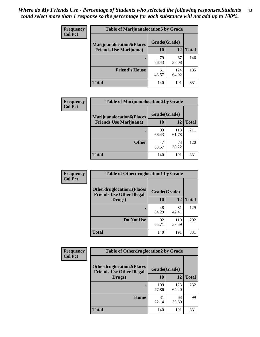| <b>Frequency</b> | <b>Table of Marijuanalocation5 by Grade</b> |              |              |              |
|------------------|---------------------------------------------|--------------|--------------|--------------|
| <b>Col Pct</b>   | <b>Marijuanalocation5</b> (Places           | Grade(Grade) |              |              |
|                  | <b>Friends Use Marijuana</b> )              | 10           | 12           | <b>Total</b> |
|                  |                                             | 79<br>56.43  | 67<br>35.08  | 146          |
|                  | <b>Friend's House</b>                       | 61<br>43.57  | 124<br>64.92 | 185          |
|                  | <b>Total</b>                                | 140          | 191          | 331          |

| <b>Frequency</b> | <b>Table of Marijuanalocation6 by Grade</b>                        |                           |              |       |
|------------------|--------------------------------------------------------------------|---------------------------|--------------|-------|
| <b>Col Pct</b>   | <b>Marijuanalocation6(Places</b><br><b>Friends Use Marijuana</b> ) | Grade(Grade)<br><b>10</b> | 12           | Total |
|                  |                                                                    | 93<br>66.43               | 118<br>61.78 | 211   |
|                  | <b>Other</b>                                                       | 47<br>33.57               | 73<br>38.22  | 120   |
|                  | <b>Total</b>                                                       | 140                       | 191          | 331   |

| <b>Frequency</b> | <b>Table of Otherdruglocation1 by Grade</b>                          |              |              |              |
|------------------|----------------------------------------------------------------------|--------------|--------------|--------------|
| <b>Col Pct</b>   | <b>Otherdruglocation1(Places</b><br><b>Friends Use Other Illegal</b> | Grade(Grade) |              |              |
|                  | Drugs)                                                               | 10           | 12           | <b>Total</b> |
|                  |                                                                      | 48<br>34.29  | 81<br>42.41  | 129          |
|                  | Do Not Use                                                           | 92<br>65.71  | 110<br>57.59 | 202          |
|                  | <b>Total</b>                                                         | 140          | 191          | 331          |

| Frequency      | <b>Table of Otherdruglocation2 by Grade</b>                          |              |              |              |
|----------------|----------------------------------------------------------------------|--------------|--------------|--------------|
| <b>Col Pct</b> | <b>Otherdruglocation2(Places</b><br><b>Friends Use Other Illegal</b> | Grade(Grade) |              |              |
|                | Drugs)                                                               | 10           | 12           | <b>Total</b> |
|                |                                                                      | 109<br>77.86 | 123<br>64.40 | 232          |
|                | Home                                                                 | 31<br>22.14  | 68<br>35.60  | 99           |
|                | Total                                                                | 140          | 191          | 331          |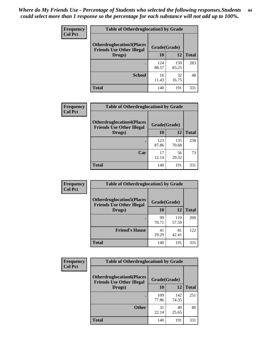| <b>Frequency</b> | <b>Table of Otherdruglocation 3 by Grade</b>                         |              |              |              |
|------------------|----------------------------------------------------------------------|--------------|--------------|--------------|
| <b>Col Pct</b>   | <b>Otherdruglocation3(Places</b><br><b>Friends Use Other Illegal</b> | Grade(Grade) |              |              |
|                  | Drugs)                                                               | 10           | 12           | <b>Total</b> |
|                  | $\bullet$                                                            | 124<br>88.57 | 159<br>83.25 | 283          |
|                  | <b>School</b>                                                        | 16<br>11.43  | 32<br>16.75  | 48           |
|                  | <b>Total</b>                                                         | 140          | 191          | 331          |

| Frequency      | <b>Table of Otherdruglocation4 by Grade</b>                          |              |              |              |
|----------------|----------------------------------------------------------------------|--------------|--------------|--------------|
| <b>Col Pct</b> | <b>Otherdruglocation4(Places</b><br><b>Friends Use Other Illegal</b> |              | Grade(Grade) |              |
|                | Drugs)                                                               | 10           | 12           | <b>Total</b> |
|                |                                                                      | 123<br>87.86 | 135<br>70.68 | 258          |
|                | Car                                                                  | 17<br>12.14  | 56<br>29.32  | 73           |
|                | <b>Total</b>                                                         | 140          | 191          | 331          |

| Frequency      | <b>Table of Otherdruglocation5 by Grade</b>                          |              |              |              |
|----------------|----------------------------------------------------------------------|--------------|--------------|--------------|
| <b>Col Pct</b> | <b>Otherdruglocation5(Places</b><br><b>Friends Use Other Illegal</b> | Grade(Grade) |              |              |
|                | Drugs)                                                               | 10           | 12           | <b>Total</b> |
|                |                                                                      | 99<br>70.71  | 110<br>57.59 | 209          |
|                | <b>Friend's House</b>                                                | 41<br>29.29  | 81<br>42.41  | 122          |
|                | <b>Total</b>                                                         | 140          | 191          | 331          |

| <b>Frequency</b> | <b>Table of Otherdruglocation6 by Grade</b>                          |              |              |              |
|------------------|----------------------------------------------------------------------|--------------|--------------|--------------|
| <b>Col Pct</b>   | <b>Otherdruglocation6(Places</b><br><b>Friends Use Other Illegal</b> | Grade(Grade) |              |              |
|                  | Drugs)                                                               | 10           | 12           | <b>Total</b> |
|                  |                                                                      | 109<br>77.86 | 142<br>74.35 | 251          |
|                  | <b>Other</b>                                                         | 31<br>22.14  | 49<br>25.65  | 80           |
|                  | <b>Total</b>                                                         | 140          | 191          | 331          |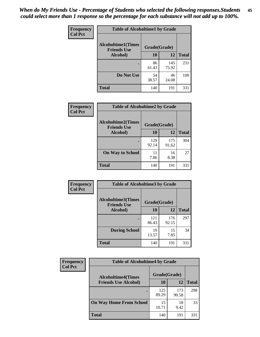| Frequency      | <b>Table of Alcoholtime1 by Grade</b>                           |             |              |              |
|----------------|-----------------------------------------------------------------|-------------|--------------|--------------|
| <b>Col Pct</b> | <b>Alcoholtime1(Times</b><br>Grade(Grade)<br><b>Friends Use</b> |             |              |              |
|                | Alcohol)                                                        | <b>10</b>   | 12           | <b>Total</b> |
|                |                                                                 | 86<br>61.43 | 145<br>75.92 | 231          |
|                | Do Not Use                                                      | 54<br>38.57 | 46<br>24.08  | 100          |
|                | <b>Total</b>                                                    | 140         | 191          | 331          |

| Frequency      | <b>Table of Alcoholtime2 by Grade</b>           |              |              |              |
|----------------|-------------------------------------------------|--------------|--------------|--------------|
| <b>Col Pct</b> | <b>Alcoholtime2(Times</b><br><b>Friends Use</b> | Grade(Grade) |              |              |
|                | Alcohol)                                        | 10           | 12           | <b>Total</b> |
|                |                                                 | 129<br>92.14 | 175<br>91.62 | 304          |
|                | <b>On Way to School</b>                         | 11<br>7.86   | 16<br>8.38   | 27           |
|                | <b>Total</b>                                    | 140          | 191          | 331          |

| Frequency | <b>Table of Alcoholtime3 by Grade</b>           |              |              |              |
|-----------|-------------------------------------------------|--------------|--------------|--------------|
| Col Pct   | <b>Alcoholtime3(Times</b><br><b>Friends Use</b> | Grade(Grade) |              |              |
|           | Alcohol)                                        | 10           | 12           | <b>Total</b> |
|           |                                                 | 121<br>86.43 | 176<br>92.15 | 297          |
|           | <b>During School</b>                            | 19<br>13.57  | 15<br>7.85   | 34           |
|           | Total                                           | 140          | 191          | 331          |

| <b>Frequency</b><br><b>Col Pct</b> | <b>Table of Alcoholtime4 by Grade</b> |              |              |              |
|------------------------------------|---------------------------------------|--------------|--------------|--------------|
|                                    | <b>Alcoholtime4(Times</b>             | Grade(Grade) |              |              |
|                                    | <b>Friends Use Alcohol)</b>           | <b>10</b>    | 12           | <b>Total</b> |
|                                    |                                       | 125<br>89.29 | 173<br>90.58 | 298          |
|                                    | <b>On Way Home From School</b>        | 15<br>10.71  | 18<br>9.42   | 33           |
|                                    | <b>Total</b>                          | 140          | 191          | 331          |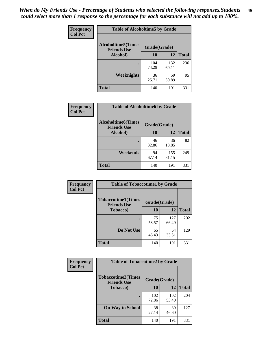*When do My Friends Use - Percentage of Students who selected the following responses.Students could select more than 1 response so the percentage for each substance will not add up to 100%.* **46**

| Frequency      | <b>Table of Alcoholtime5 by Grade</b>           |              |              |              |
|----------------|-------------------------------------------------|--------------|--------------|--------------|
| <b>Col Pct</b> | <b>Alcoholtime5(Times</b><br><b>Friends Use</b> | Grade(Grade) |              |              |
|                | Alcohol)                                        | 10           | 12           | <b>Total</b> |
|                |                                                 | 104<br>74.29 | 132<br>69.11 | 236          |
|                | Weeknights                                      | 36<br>25.71  | 59<br>30.89  | 95           |
|                | <b>Total</b>                                    | 140          | 191          | 331          |

| Frequency      | <b>Table of Alcoholtime6 by Grade</b>           |              |              |              |
|----------------|-------------------------------------------------|--------------|--------------|--------------|
| <b>Col Pct</b> | <b>Alcoholtime6(Times</b><br><b>Friends Use</b> | Grade(Grade) |              |              |
|                | Alcohol)                                        | 10           | 12           | <b>Total</b> |
|                |                                                 | 46<br>32.86  | 36<br>18.85  | 82           |
|                | Weekends                                        | 94<br>67.14  | 155<br>81.15 | 249          |
|                | <b>Total</b>                                    | 140          | 191          | 331          |

| Frequency      | <b>Table of Tobaccotime1 by Grade</b>           |              |              |              |
|----------------|-------------------------------------------------|--------------|--------------|--------------|
| <b>Col Pct</b> | <b>Tobaccotime1(Times</b><br><b>Friends Use</b> | Grade(Grade) |              |              |
|                | <b>Tobacco</b> )                                | 10           | 12           | <b>Total</b> |
|                | $\bullet$                                       | 75<br>53.57  | 127<br>66.49 | 202          |
|                | Do Not Use                                      | 65<br>46.43  | 64<br>33.51  | 129          |
|                | <b>Total</b>                                    | 140          | 191          | 331          |

| <b>Frequency</b> | <b>Table of Tobaccotime2 by Grade</b>           |              |              |              |
|------------------|-------------------------------------------------|--------------|--------------|--------------|
| <b>Col Pct</b>   | <b>Tobaccotime2(Times</b><br><b>Friends Use</b> | Grade(Grade) |              |              |
|                  | <b>Tobacco</b> )                                | 10           | 12           | <b>Total</b> |
|                  |                                                 | 102<br>72.86 | 102<br>53.40 | 204          |
|                  | <b>On Way to School</b>                         | 38<br>27.14  | 89<br>46.60  | 127          |
|                  | <b>Total</b>                                    | 140          | 191          | 331          |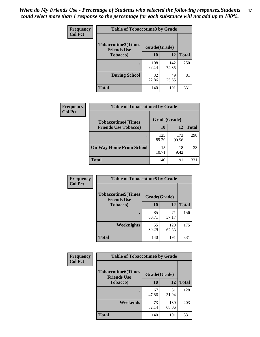*When do My Friends Use - Percentage of Students who selected the following responses.Students could select more than 1 response so the percentage for each substance will not add up to 100%.* **47**

| <b>Frequency</b> | <b>Table of Tobaccotime3 by Grade</b>           |              |              |              |  |
|------------------|-------------------------------------------------|--------------|--------------|--------------|--|
| <b>Col Pct</b>   | <b>Tobaccotime3(Times</b><br><b>Friends Use</b> | Grade(Grade) |              |              |  |
|                  | <b>Tobacco</b> )                                | 10           | 12           | <b>Total</b> |  |
|                  |                                                 | 108<br>77.14 | 142<br>74.35 | 250          |  |
|                  | <b>During School</b>                            | 32<br>22.86  | 49<br>25.65  | 81           |  |
|                  | <b>Total</b>                                    | 140          | 191          | 331          |  |

| Frequency<br><b>Col Pct</b> | <b>Table of Tobaccotime4 by Grade</b> |              |              |              |
|-----------------------------|---------------------------------------|--------------|--------------|--------------|
|                             | <b>Tobaccotime4(Times</b>             | Grade(Grade) |              |              |
|                             | <b>Friends Use Tobacco)</b>           | 10           | 12           | <b>Total</b> |
|                             |                                       | 125<br>89.29 | 173<br>90.58 | 298          |
|                             | <b>On Way Home From School</b>        | 15<br>10.71  | 18<br>9.42   | 33           |
|                             | <b>Total</b>                          | 140          | 191          | 331          |

| Frequency      | <b>Table of Tobaccotime5 by Grade</b>                           |             |              |              |
|----------------|-----------------------------------------------------------------|-------------|--------------|--------------|
| <b>Col Pct</b> | <b>Tobaccotime5(Times</b><br>Grade(Grade)<br><b>Friends Use</b> |             |              |              |
|                | <b>Tobacco</b> )                                                | 10          | 12           | <b>Total</b> |
|                |                                                                 | 85<br>60.71 | 71<br>37.17  | 156          |
|                | Weeknights                                                      | 55<br>39.29 | 120<br>62.83 | 175          |
|                | <b>Total</b>                                                    | 140         | 191          | 331          |

| <b>Frequency</b> | <b>Table of Tobaccotime6 by Grade</b>                           |             |              |              |
|------------------|-----------------------------------------------------------------|-------------|--------------|--------------|
| <b>Col Pct</b>   | <b>Tobaccotime6(Times</b><br>Grade(Grade)<br><b>Friends Use</b> |             |              |              |
|                  | <b>Tobacco</b> )                                                | 10          | 12           | <b>Total</b> |
|                  | ٠                                                               | 67<br>47.86 | 61<br>31.94  | 128          |
|                  | Weekends                                                        | 73<br>52.14 | 130<br>68.06 | 203          |
|                  | <b>Total</b>                                                    | 140         | 191          | 331          |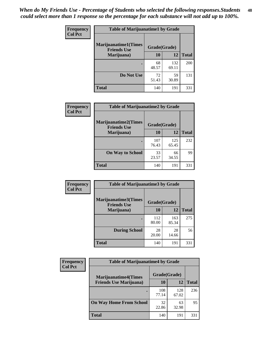| Frequency      | <b>Table of Marijuanatime1 by Grade</b>           |              |              |              |  |
|----------------|---------------------------------------------------|--------------|--------------|--------------|--|
| <b>Col Pct</b> | <b>Marijuanatime1(Times</b><br><b>Friends Use</b> | Grade(Grade) |              |              |  |
|                | Marijuana)                                        | 10           | 12           | <b>Total</b> |  |
|                |                                                   | 68<br>48.57  | 132<br>69.11 | 200          |  |
|                | Do Not Use                                        | 72<br>51.43  | 59<br>30.89  | 131          |  |
|                | <b>Total</b>                                      | 140          | 191          | 331          |  |

| <b>Frequency</b> | <b>Table of Marijuanatime2 by Grade</b>           |              |              |              |
|------------------|---------------------------------------------------|--------------|--------------|--------------|
| <b>Col Pct</b>   | <b>Marijuanatime2(Times</b><br><b>Friends Use</b> | Grade(Grade) |              |              |
|                  | Marijuana)                                        | 10           | 12           | <b>Total</b> |
|                  |                                                   | 107<br>76.43 | 125<br>65.45 | 232          |
|                  | <b>On Way to School</b>                           | 33<br>23.57  | 66<br>34.55  | 99           |
|                  | <b>Total</b>                                      | 140          | 191          | 331          |

| Frequency<br><b>Col Pct</b> | <b>Table of Marijuanatime3 by Grade</b>    |              |              |              |  |
|-----------------------------|--------------------------------------------|--------------|--------------|--------------|--|
|                             | Marijuanatime3(Times<br><b>Friends Use</b> | Grade(Grade) |              |              |  |
|                             | Marijuana)                                 | 10           | 12           | <b>Total</b> |  |
|                             |                                            | 112<br>80.00 | 163<br>85.34 | 275          |  |
|                             | <b>During School</b>                       | 28<br>20.00  | 28<br>14.66  | 56           |  |
|                             | Total                                      | 140          | 191          | 331          |  |

| <b>Frequency</b><br><b>Col Pct</b> | <b>Table of Marijuanatime4 by Grade</b> |              |              |              |
|------------------------------------|-----------------------------------------|--------------|--------------|--------------|
|                                    | <b>Marijuanatime4(Times</b>             | Grade(Grade) |              |              |
|                                    | <b>Friends Use Marijuana</b> )          | 10           | 12           | <b>Total</b> |
|                                    |                                         | 108<br>77.14 | 128<br>67.02 | 236          |
|                                    | <b>On Way Home From School</b>          | 32<br>22.86  | 63<br>32.98  | 95           |
|                                    | <b>Total</b>                            | 140          | 191          | 331          |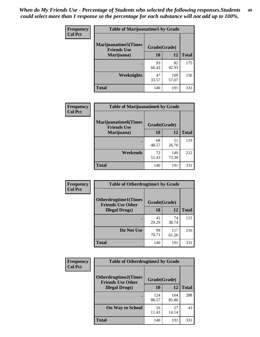| Frequency      | <b>Table of Marijuanatime5 by Grade</b>            |              |              |              |  |
|----------------|----------------------------------------------------|--------------|--------------|--------------|--|
| <b>Col Pct</b> | <b>Marijuanatime5</b> (Times<br><b>Friends Use</b> | Grade(Grade) |              |              |  |
|                | Marijuana)                                         | 10           | 12           | <b>Total</b> |  |
|                |                                                    | 93<br>66.43  | 82<br>42.93  | 175          |  |
|                | Weeknights                                         | 47<br>33.57  | 109<br>57.07 | 156          |  |
|                | <b>Total</b>                                       | 140          | 191          | 331          |  |

| Frequency      | <b>Table of Marijuanatime6 by Grade</b>            |              |              |              |
|----------------|----------------------------------------------------|--------------|--------------|--------------|
| <b>Col Pct</b> | <b>Marijuanatime6</b> (Times<br><b>Friends Use</b> | Grade(Grade) |              |              |
|                | Marijuana)                                         | 10           | 12           | <b>Total</b> |
|                |                                                    | 68<br>48.57  | 51<br>26.70  | 119          |
|                | Weekends                                           | 72<br>51.43  | 140<br>73.30 | 212          |
|                | <b>Total</b>                                       | 140          | 191          | 331          |

| <b>Frequency</b> | <b>Table of Otherdrugtime1 by Grade</b>                  |              |              |              |
|------------------|----------------------------------------------------------|--------------|--------------|--------------|
| <b>Col Pct</b>   | <b>Otherdrugtime1</b> (Times<br><b>Friends Use Other</b> | Grade(Grade) |              |              |
|                  | <b>Illegal Drugs</b> )                                   | 10           | 12           | <b>Total</b> |
|                  |                                                          | 41<br>29.29  | 74<br>38.74  | 115          |
|                  | Do Not Use                                               | 99<br>70.71  | 117<br>61.26 | 216          |
|                  | <b>Total</b>                                             | 140          | 191          | 331          |

| <b>Frequency</b><br><b>Col Pct</b> | <b>Table of Otherdrugtime2 by Grade</b>                 |              |              |              |
|------------------------------------|---------------------------------------------------------|--------------|--------------|--------------|
|                                    | <b>Otherdrugtime2(Times</b><br><b>Friends Use Other</b> | Grade(Grade) |              |              |
|                                    | <b>Illegal Drugs</b> )                                  | 10           | 12           | <b>Total</b> |
|                                    |                                                         | 124<br>88.57 | 164<br>85.86 | 288          |
|                                    | <b>On Way to School</b>                                 | 16<br>11.43  | 27<br>14.14  | 43           |
|                                    | <b>Total</b>                                            | 140          | 191          | 331          |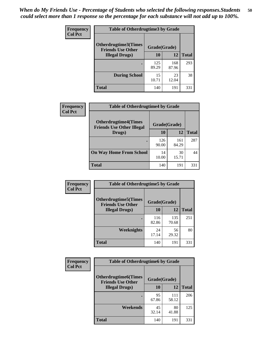| <b>Frequency</b> | <b>Table of Otherdrugtime3 by Grade</b>          |              |              |              |
|------------------|--------------------------------------------------|--------------|--------------|--------------|
| <b>Col Pct</b>   | Otherdrugtime3(Times<br><b>Friends Use Other</b> | Grade(Grade) |              |              |
|                  | <b>Illegal Drugs</b> )                           | 10           | 12           | <b>Total</b> |
|                  |                                                  | 125<br>89.29 | 168<br>87.96 | 293          |
|                  | <b>During School</b>                             | 15<br>10.71  | 23<br>12.04  | 38           |
|                  | Total                                            | 140          | 191          | 331          |

| Frequency      | <b>Table of Otherdrugtime4 by Grade</b>                         |              |              |              |
|----------------|-----------------------------------------------------------------|--------------|--------------|--------------|
| <b>Col Pct</b> | <b>Otherdrugtime4(Times</b><br><b>Friends Use Other Illegal</b> | Grade(Grade) |              |              |
|                | Drugs)                                                          | 10           | 12           | <b>Total</b> |
|                | $\bullet$                                                       | 126<br>90.00 | 161<br>84.29 | 287          |
|                | <b>On Way Home From School</b>                                  | 14<br>10.00  | 30<br>15.71  | 44           |
|                | <b>Total</b>                                                    | 140          | 191          | 331          |

| <b>Frequency</b> | <b>Table of Otherdrugtime5 by Grade</b>                  |              |              |              |
|------------------|----------------------------------------------------------|--------------|--------------|--------------|
| <b>Col Pct</b>   | <b>Otherdrugtime5</b> (Times<br><b>Friends Use Other</b> | Grade(Grade) |              |              |
|                  | <b>Illegal Drugs</b> )                                   | 10           | 12           | <b>Total</b> |
|                  |                                                          | 116<br>82.86 | 135<br>70.68 | 251          |
|                  | Weeknights                                               | 24<br>17.14  | 56<br>29.32  | 80           |
|                  | Total                                                    | 140          | 191          | 331          |

| <b>Frequency</b> | <b>Table of Otherdrugtime6 by Grade</b>                  |              |              |              |
|------------------|----------------------------------------------------------|--------------|--------------|--------------|
| <b>Col Pct</b>   | <b>Otherdrugtime6</b> (Times<br><b>Friends Use Other</b> | Grade(Grade) |              |              |
|                  | <b>Illegal Drugs</b> )                                   | 10           | 12           | <b>Total</b> |
|                  |                                                          | 95<br>67.86  | 111<br>58.12 | 206          |
|                  | Weekends                                                 | 45<br>32.14  | 80<br>41.88  | 125          |
|                  | <b>Total</b>                                             | 140          | 191          | 331          |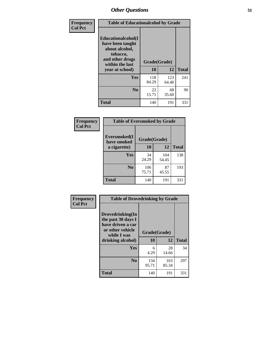| Frequency      |                                                                                                            | <b>Table of Educationalcohol by Grade</b> |              |              |
|----------------|------------------------------------------------------------------------------------------------------------|-------------------------------------------|--------------|--------------|
| <b>Col Pct</b> | Educationalcohol(I<br>have been taught<br>about alcohol,<br>tobacco,<br>and other drugs<br>within the last | Grade(Grade)                              |              |              |
|                | year at school)                                                                                            | 10                                        | 12           | <b>Total</b> |
|                | <b>Yes</b>                                                                                                 | 118<br>84.29                              | 123<br>64.40 | 241          |
|                | N <sub>0</sub>                                                                                             | 22<br>15.71                               | 68<br>35.60  | 90           |
|                | <b>Total</b>                                                                                               | 140                                       | 191          | 331          |

| Frequency      | <b>Table of Eversmoked by Grade</b> |              |              |              |
|----------------|-------------------------------------|--------------|--------------|--------------|
| <b>Col Pct</b> | Eversmoked(I<br>have smoked         | Grade(Grade) |              |              |
|                | a cigarette)                        | 10           | 12           | <b>Total</b> |
|                | <b>Yes</b>                          | 34<br>24.29  | 104<br>54.45 | 138          |
|                | N <sub>0</sub>                      | 106<br>75.71 | 87<br>45.55  | 193          |
|                | <b>Total</b>                        | 140          | 191          | 331          |

| Frequency      | <b>Table of Drovedrinking by Grade</b>                                                                              |                    |              |              |
|----------------|---------------------------------------------------------------------------------------------------------------------|--------------------|--------------|--------------|
| <b>Col Pct</b> | Drovedrinking(In<br>the past 30 days I<br>have driven a car<br>or other vehicle<br>while I was<br>drinking alcohol) | Grade(Grade)<br>10 | 12           | <b>Total</b> |
|                | Yes                                                                                                                 | 6<br>4.29          | 28<br>14.66  | 34           |
|                | N <sub>0</sub>                                                                                                      | 134<br>95.71       | 163<br>85.34 | 297          |
|                | <b>Total</b>                                                                                                        | 140                | 191          | 331          |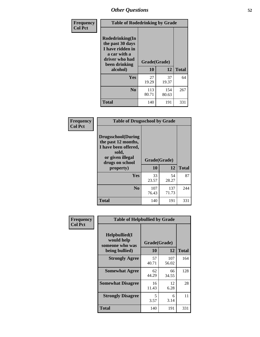| Frequency<br><b>Col Pct</b> | <b>Table of Rodedrinking by Grade</b>                                                                      |              |              |              |
|-----------------------------|------------------------------------------------------------------------------------------------------------|--------------|--------------|--------------|
|                             | Rodedrinking(In<br>the past 30 days<br>I have ridden in<br>a car with a<br>driver who had<br>been drinking | Grade(Grade) |              |              |
|                             | alcohol)                                                                                                   | 10           | 12           | <b>Total</b> |
|                             | Yes                                                                                                        | 27<br>19.29  | 37<br>19.37  | 64           |
|                             | N <sub>0</sub>                                                                                             | 113<br>80.71 | 154<br>80.63 | 267          |
|                             | <b>Total</b>                                                                                               | 140          | 191          | 331          |

#### **Frequency Col Pct**

| <b>Table of Drugsschool by Grade</b>                                                                                      |              |              |              |  |
|---------------------------------------------------------------------------------------------------------------------------|--------------|--------------|--------------|--|
| <b>Drugsschool</b> (During<br>the past 12 months,<br>I have been offered,<br>sold,<br>or given illegal<br>drugs on school | Grade(Grade) |              |              |  |
| property)                                                                                                                 | 10           | 12           | <b>Total</b> |  |
| Yes                                                                                                                       | 33<br>23.57  | 54<br>28.27  | 87           |  |
| N <sub>0</sub>                                                                                                            | 107<br>76.43 | 137<br>71.73 | 244          |  |
| Total                                                                                                                     | 140          | 191          | 331          |  |

| Frequency      | <b>Table of Helpbullied by Grade</b>                                   |                           |              |              |
|----------------|------------------------------------------------------------------------|---------------------------|--------------|--------------|
| <b>Col Pct</b> | $Helpb$ ullied $(I$<br>would help<br>someone who was<br>being bullied) | Grade(Grade)<br><b>10</b> | 12           | <b>Total</b> |
|                |                                                                        |                           |              |              |
|                | <b>Strongly Agree</b>                                                  | 57<br>40.71               | 107<br>56.02 | 164          |
|                | <b>Somewhat Agree</b>                                                  | 62<br>44.29               | 66<br>34.55  | 128          |
|                | <b>Somewhat Disagree</b>                                               | 16<br>11.43               | 12<br>6.28   | 28           |
|                | <b>Strongly Disagree</b>                                               | 5<br>3.57                 | 6<br>3.14    | 11.          |
|                | <b>Total</b>                                                           | 140                       | 191          | 331          |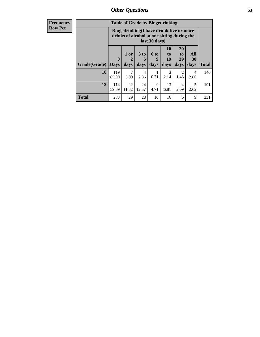| Frequency<br>Row Pct |
|----------------------|
|                      |

| <b>Table of Grade by Bingedrinking</b> |                            |                                                                                                         |                   |                   |                                           |                               |                   |              |  |
|----------------------------------------|----------------------------|---------------------------------------------------------------------------------------------------------|-------------------|-------------------|-------------------------------------------|-------------------------------|-------------------|--------------|--|
|                                        |                            | Bingedrinking(I have drunk five or more<br>drinks of alcohol at one sitting during the<br>last 30 days) |                   |                   |                                           |                               |                   |              |  |
| Grade(Grade)                           | $\mathbf 0$<br><b>Days</b> | 1 or<br>2<br>days                                                                                       | 3 to<br>5<br>days | 6 to<br>9<br>days | <b>10</b><br>t <sub>0</sub><br>19<br>days | <b>20</b><br>to<br>29<br>days | All<br>30<br>days | <b>Total</b> |  |
| 10                                     | 119<br>85.00               | 7<br>5.00                                                                                               | 4<br>2.86         | 0.71              | 3<br>2.14                                 | $\overline{2}$<br>1.43        | 4<br>2.86         | 140          |  |
| 12                                     | 114<br>59.69               | 22<br>11.52                                                                                             | 24<br>12.57       | 9<br>4.71         | 13<br>6.81                                | 4<br>2.09                     | 5<br>2.62         | 191          |  |
| <b>Total</b>                           | 233                        | 29                                                                                                      | 28                | 10                | 16                                        | 6                             | 9                 | 331          |  |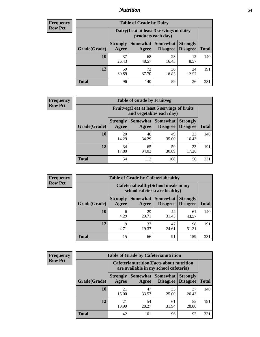## *Nutrition* **54**

| <b>Frequency</b><br>Row Pct |
|-----------------------------|
|                             |

| <b>Table of Grade by Dairy</b> |                          |                                                                 |                             |                                    |              |  |  |  |
|--------------------------------|--------------------------|-----------------------------------------------------------------|-----------------------------|------------------------------------|--------------|--|--|--|
|                                |                          | Dairy (I eat at least 3 servings of dairy<br>products each day) |                             |                                    |              |  |  |  |
| Grade(Grade)                   | <b>Strongly</b><br>Agree | <b>Somewhat</b><br>Agree                                        | <b>Somewhat</b><br>Disagree | <b>Strongly</b><br><b>Disagree</b> | <b>Total</b> |  |  |  |
| 10                             | 37<br>26.43              | 68<br>48.57                                                     | 23<br>16.43                 | 12<br>8.57                         | 140          |  |  |  |
| 12                             | 59<br>30.89              | 72<br>37.70                                                     | 36<br>18.85                 | 24<br>12.57                        | 191          |  |  |  |
| <b>Total</b>                   | 96                       | 140                                                             | 59                          | 36                                 | 331          |  |  |  |

| Frequency<br><b>Row Pct</b> |  |
|-----------------------------|--|
|                             |  |
|                             |  |

| <b>Table of Grade by Fruitveg</b>                                        |                          |                     |                             |                                    |              |  |  |
|--------------------------------------------------------------------------|--------------------------|---------------------|-----------------------------|------------------------------------|--------------|--|--|
| Fruitveg(I eat at least 5 servings of fruits<br>and vegetables each day) |                          |                     |                             |                                    |              |  |  |
| Grade(Grade)                                                             | <b>Strongly</b><br>Agree | Somewhat  <br>Agree | <b>Somewhat</b><br>Disagree | <b>Strongly</b><br><b>Disagree</b> | <b>Total</b> |  |  |
| 10                                                                       | 20<br>14.29              | 48<br>34.29         | 49<br>35.00                 | 23<br>16.43                        | 140          |  |  |
| 12                                                                       | 34<br>17.80              | 65<br>34.03         | 59<br>30.89                 | 33<br>17.28                        | 191          |  |  |
| <b>Total</b>                                                             | 54                       | 113                 | 108                         | 56                                 | 331          |  |  |

| Frequency      | <b>Table of Grade by Cafeteriahealthy</b> |                                                                       |             |                                      |                                    |              |  |  |
|----------------|-------------------------------------------|-----------------------------------------------------------------------|-------------|--------------------------------------|------------------------------------|--------------|--|--|
| <b>Row Pct</b> |                                           | Cafeteriahealthy (School meals in my<br>school cafeteria are healthy) |             |                                      |                                    |              |  |  |
|                | Grade(Grade)                              | <b>Strongly</b><br>Agree                                              | Agree       | Somewhat Somewhat<br><b>Disagree</b> | <b>Strongly</b><br><b>Disagree</b> | <b>Total</b> |  |  |
|                | 10                                        | 6<br>4.29                                                             | 29<br>20.71 | 44<br>31.43                          | 61<br>43.57                        | 140          |  |  |
|                | 12                                        | 9<br>4.71                                                             | 37<br>19.37 | 47<br>24.61                          | 98<br>51.31                        | 191          |  |  |
|                | <b>Total</b>                              | 15                                                                    | 66          | 91                                   | 159                                | 331          |  |  |

| <b>Frequency</b> |
|------------------|
| <b>Row Pct</b>   |

|                                                                                           |                          | <b>Table of Grade by Cafeterianutrition</b> |                             |                                    |              |  |
|-------------------------------------------------------------------------------------------|--------------------------|---------------------------------------------|-----------------------------|------------------------------------|--------------|--|
| <b>Cafeterianutrition</b> (Facts about nutrition<br>are available in my school cafeteria) |                          |                                             |                             |                                    |              |  |
| Grade(Grade)                                                                              | <b>Strongly</b><br>Agree | Somewhat<br>Agree                           | <b>Somewhat</b><br>Disagree | <b>Strongly</b><br><b>Disagree</b> | <b>Total</b> |  |
| 10                                                                                        | 21<br>15.00              | 47<br>33.57                                 | 35<br>25.00                 | 37<br>26.43                        | 140          |  |
| 12                                                                                        | 21<br>10.99              | 54<br>28.27                                 | 61<br>31.94                 | 55<br>28.80                        | 191          |  |
| <b>Total</b>                                                                              | 42                       | 101                                         | 96                          | 92                                 | 331          |  |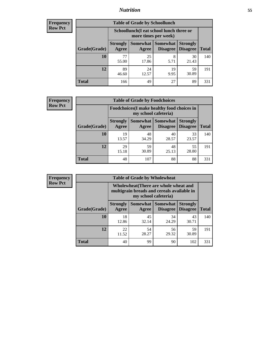## *Nutrition* **55**

| Frequency |
|-----------|
| Row Pct   |

| <b>Table of Grade by Schoollunch</b> |                          |                                                                 |                               |                                    |              |  |  |  |
|--------------------------------------|--------------------------|-----------------------------------------------------------------|-------------------------------|------------------------------------|--------------|--|--|--|
|                                      |                          | Schoollunch(I eat school lunch three or<br>more times per week) |                               |                                    |              |  |  |  |
| Grade(Grade)                         | <b>Strongly</b><br>Agree | Agree                                                           | Somewhat Somewhat<br>Disagree | <b>Strongly</b><br><b>Disagree</b> | <b>Total</b> |  |  |  |
| 10                                   | 77<br>55.00              | 25<br>17.86                                                     | 8<br>5.71                     | 30<br>21.43                        | 140          |  |  |  |
| 12                                   | 89<br>46.60              | 24<br>12.57                                                     | 19<br>9.95                    | 59<br>30.89                        | 191          |  |  |  |
| <b>Total</b>                         | 166                      | 49                                                              | 27                            | 89                                 | 331          |  |  |  |

| <b>Frequency</b> |  |
|------------------|--|
| <b>Row Pct</b>   |  |

| <b>Table of Grade by Foodchoices</b>                                       |                          |             |                                      |                                    |              |  |  |
|----------------------------------------------------------------------------|--------------------------|-------------|--------------------------------------|------------------------------------|--------------|--|--|
| <b>Foodchoices</b> (I make healthy food choices in<br>my school cafeteria) |                          |             |                                      |                                    |              |  |  |
| Grade(Grade)                                                               | <b>Strongly</b><br>Agree | Agree       | Somewhat Somewhat<br><b>Disagree</b> | <b>Strongly</b><br><b>Disagree</b> | <b>Total</b> |  |  |
| 10                                                                         | 19<br>13.57              | 48<br>34.29 | 40<br>28.57                          | 33<br>23.57                        | 140          |  |  |
| 12                                                                         | 29<br>15.18              | 59<br>30.89 | 48<br>25.13                          | 55<br>28.80                        | 191          |  |  |
| <b>Total</b>                                                               | 48                       | 107         | 88                                   | 88                                 | 331          |  |  |

| <b>Frequency</b> | <b>Table of Grade by Wholewheat</b> |                                                                                                             |             |                                        |                                    |              |
|------------------|-------------------------------------|-------------------------------------------------------------------------------------------------------------|-------------|----------------------------------------|------------------------------------|--------------|
| <b>Row Pct</b>   |                                     | Wholewheat (There are whole wheat and<br>multigrain breads and cereals available in<br>my school cafeteria) |             |                                        |                                    |              |
|                  | Grade(Grade)                        | <b>Strongly</b><br>Agree                                                                                    | Agree       | Somewhat   Somewhat<br><b>Disagree</b> | <b>Strongly</b><br><b>Disagree</b> | <b>Total</b> |
|                  | 10                                  | 18<br>12.86                                                                                                 | 45<br>32.14 | 34<br>24.29                            | 43<br>30.71                        | 140          |
|                  | 12                                  | 22<br>11.52                                                                                                 | 54<br>28.27 | 56<br>29.32                            | 59<br>30.89                        | 191          |
|                  | <b>Total</b>                        | 40                                                                                                          | 99          | 90                                     | 102                                | 331          |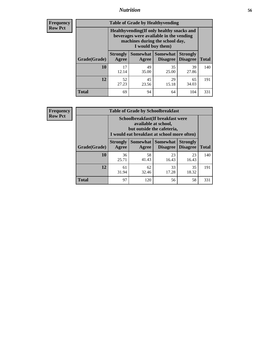## *Nutrition* **56**

**Frequency Row Pct**

| <b>Table of Grade by Healthyvending</b> |                                                                                                                                               |                          |                                    |                                    |              |  |
|-----------------------------------------|-----------------------------------------------------------------------------------------------------------------------------------------------|--------------------------|------------------------------------|------------------------------------|--------------|--|
|                                         | Healthyvending (If only healthy snacks and<br>beverages were available in the vending<br>machines during the school day,<br>I would buy them) |                          |                                    |                                    |              |  |
| Grade(Grade)                            | <b>Strongly</b><br>Agree                                                                                                                      | <b>Somewhat</b><br>Agree | <b>Somewhat</b><br><b>Disagree</b> | <b>Strongly</b><br><b>Disagree</b> | <b>Total</b> |  |
| 10                                      | 17<br>12.14                                                                                                                                   | 49<br>35.00              | 35<br>25.00                        | 39<br>27.86                        | 140          |  |
| 12                                      | 52<br>27.23                                                                                                                                   | 45<br>23.56              | 29<br>15.18                        | 65<br>34.03                        | 191          |  |
| Total                                   | 69                                                                                                                                            | 94                       | 64                                 | 104                                | 331          |  |

**Frequency Row Pct**

| <b>Table of Grade by Schoolbreakfast</b> |                                                                                                                                        |             |                     |                                        |              |  |  |
|------------------------------------------|----------------------------------------------------------------------------------------------------------------------------------------|-------------|---------------------|----------------------------------------|--------------|--|--|
|                                          | Schoolbreakfast(If breakfast were<br>available at school,<br>but outside the cafeteria,<br>I would eat breakfast at school more often) |             |                     |                                        |              |  |  |
| Grade(Grade)                             | <b>Strongly</b><br>Agree                                                                                                               | Agree       | Somewhat   Somewhat | <b>Strongly</b><br>Disagree   Disagree | <b>Total</b> |  |  |
| 10                                       | 36<br>25.71                                                                                                                            | 58<br>41.43 | 23<br>16.43         | 23<br>16.43                            | 140          |  |  |
| 12                                       | 61<br>31.94                                                                                                                            | 62<br>32.46 | 33<br>17.28         | 35<br>18.32                            | 191          |  |  |
| <b>Total</b>                             | 97                                                                                                                                     | 120         | 56                  | 58                                     | 331          |  |  |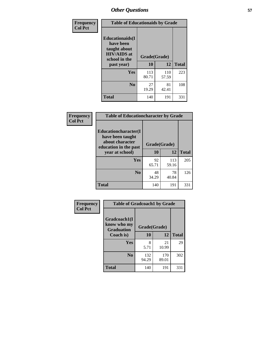| Frequency<br><b>Col Pct</b> | <b>Table of Educationaids by Grade</b>                                                                    |                    |              |              |
|-----------------------------|-----------------------------------------------------------------------------------------------------------|--------------------|--------------|--------------|
|                             | <b>Educationaids</b> (I<br>have been<br>taught about<br><b>HIV/AIDS</b> at<br>school in the<br>past year) | Grade(Grade)<br>10 | 12           | <b>Total</b> |
|                             | Yes                                                                                                       | 113<br>80.71       | 110<br>57.59 | 223          |
|                             | N <sub>0</sub>                                                                                            | 27<br>19.29        | 81<br>42.41  | 108          |
|                             | <b>Total</b>                                                                                              | 140                | 191          | 331          |

| Frequency      | <b>Table of Educationcharacter by Grade</b> |              |              |              |
|----------------|---------------------------------------------|--------------|--------------|--------------|
| <b>Col Pct</b> | Educationcharacter(I<br>have been taught    |              |              |              |
|                | about character<br>education in the past    | Grade(Grade) |              |              |
|                | year at school)                             | <b>10</b>    | 12           | <b>Total</b> |
|                | Yes                                         | 92<br>65.71  | 113<br>59.16 | 205          |
|                | N <sub>0</sub>                              | 48<br>34.29  | 78<br>40.84  | 126          |
|                | <b>Total</b>                                | 140          | 191          | 331          |

| Frequency      | <b>Table of Gradcoach1 by Grade</b>              |              |              |              |
|----------------|--------------------------------------------------|--------------|--------------|--------------|
| <b>Col Pct</b> | Gradcoach1(I<br>know who my<br><b>Graduation</b> | Grade(Grade) |              |              |
|                | Coach is)                                        | 10           | 12           | <b>Total</b> |
|                | <b>Yes</b>                                       | 8<br>5.71    | 21<br>10.99  | 29           |
|                | N <sub>0</sub>                                   | 132<br>94.29 | 170<br>89.01 | 302          |
|                | <b>Total</b>                                     | 140          | 191          | 331          |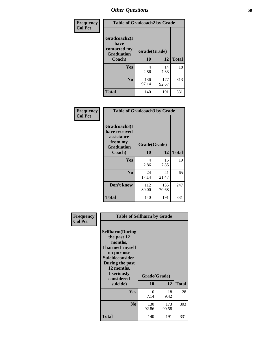| Frequency      | <b>Table of Gradcoach2 by Grade</b>       |              |              |              |
|----------------|-------------------------------------------|--------------|--------------|--------------|
| <b>Col Pct</b> |                                           |              |              |              |
|                | Gradcoach2(I                              |              |              |              |
|                | have<br>contacted my<br><b>Graduation</b> | Grade(Grade) |              |              |
|                | Coach)                                    | 10           | 12           | <b>Total</b> |
|                | Yes                                       | 4<br>2.86    | 14<br>7.33   | 18           |
|                | N <sub>0</sub>                            | 136<br>97.14 | 177<br>92.67 | 313          |
|                | <b>Total</b>                              | 140          | 191          | 331          |

| Frequency<br><b>Col Pct</b> | <b>Table of Gradcoach3 by Grade</b>                                         |              |              |              |
|-----------------------------|-----------------------------------------------------------------------------|--------------|--------------|--------------|
|                             | Gradcoach3(I<br>have received<br>assistance<br>from my<br><b>Graduation</b> | Grade(Grade) |              |              |
|                             | Coach)                                                                      | 10           | 12           | <b>Total</b> |
|                             | Yes                                                                         | 4<br>2.86    | 15<br>7.85   | 19           |
|                             | N <sub>0</sub>                                                              | 24<br>17.14  | 41<br>21.47  | 65           |
|                             | Don't know                                                                  | 112<br>80.00 | 135<br>70.68 | 247          |
|                             | <b>Total</b>                                                                | 140          | 191          | 331          |

| Frequency      | <b>Table of Selfharm by Grade</b>                                                                                                                                                      |                    |              |              |  |
|----------------|----------------------------------------------------------------------------------------------------------------------------------------------------------------------------------------|--------------------|--------------|--------------|--|
| <b>Col Pct</b> | <b>Selfharm</b> (During<br>the past 12<br>months,<br>I harmed myself<br>on purpose<br><b>Suicideconsider</b><br>During the past<br>12 months,<br>I seriously<br>considered<br>suicide) | Grade(Grade)<br>10 | 12           | <b>Total</b> |  |
|                | Yes                                                                                                                                                                                    | 10<br>7.14         | 18<br>9.42   | 28           |  |
|                | N <sub>0</sub>                                                                                                                                                                         | 130<br>92.86       | 173<br>90.58 | 303          |  |
|                | Total                                                                                                                                                                                  | 140                | 191          | 331          |  |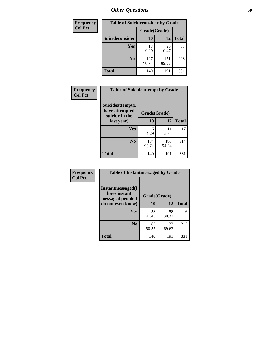| <b>Frequency</b> | <b>Table of Suicideconsider by Grade</b> |              |              |              |  |
|------------------|------------------------------------------|--------------|--------------|--------------|--|
| <b>Col Pct</b>   |                                          | Grade(Grade) |              |              |  |
|                  | Suicideconsider                          | <b>10</b>    | 12           | <b>Total</b> |  |
|                  | Yes                                      | 13<br>9.29   | 20<br>10.47  | 33           |  |
|                  | N <sub>0</sub>                           | 127<br>90.71 | 171<br>89.53 | 298          |  |
|                  | Total                                    | 140          | 191          | 331          |  |

| Frequency      | <b>Table of Suicideattempt by Grade</b>              |              |              |              |
|----------------|------------------------------------------------------|--------------|--------------|--------------|
| <b>Col Pct</b> | Suicideattempt(I<br>have attempted<br>suicide in the | Grade(Grade) |              |              |
|                | last year)                                           | 10           | 12           | <b>Total</b> |
|                | Yes                                                  | 6<br>4.29    | 11<br>5.76   | 17           |
|                | N <sub>0</sub>                                       | 134<br>95.71 | 180<br>94.24 | 314          |
|                | <b>Total</b>                                         | 140          | 191          | 331          |

| Frequency      | <b>Table of Instantmessaged by Grade</b>               |              |              |              |
|----------------|--------------------------------------------------------|--------------|--------------|--------------|
| <b>Col Pct</b> | Instantmessaged(I<br>have instant<br>messaged people I | Grade(Grade) |              |              |
|                | do not even know)                                      | 10           | 12           | <b>Total</b> |
|                | Yes                                                    | 58<br>41.43  | 58<br>30.37  | 116          |
|                | N <sub>0</sub>                                         | 82<br>58.57  | 133<br>69.63 | 215          |
|                | <b>Total</b>                                           | 140          | 191          | 331          |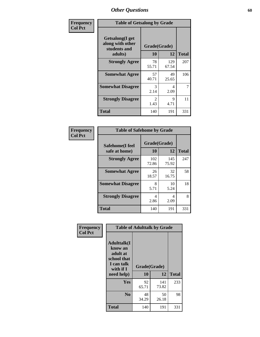| Frequency      | <b>Table of Getsalong by Grade</b>                          |                                     |              |              |  |  |  |
|----------------|-------------------------------------------------------------|-------------------------------------|--------------|--------------|--|--|--|
| <b>Col Pct</b> | <b>Getsalong</b> (I get<br>along with other<br>students and | Grade(Grade)                        |              |              |  |  |  |
|                | adults)                                                     | 10                                  | 12           | <b>Total</b> |  |  |  |
|                | <b>Strongly Agree</b>                                       | 78<br>55.71                         | 129<br>67.54 | 207          |  |  |  |
|                | <b>Somewhat Agree</b>                                       | 57<br>40.71                         | 49<br>25.65  | 106          |  |  |  |
|                | <b>Somewhat Disagree</b>                                    | 3<br>2.14                           | 4<br>2.09    | 7            |  |  |  |
|                | <b>Strongly Disagree</b>                                    | $\mathcal{D}_{\mathcal{L}}$<br>1.43 | 9<br>4.71    | 11           |  |  |  |
|                | <b>Total</b>                                                | 140                                 | 191          | 331          |  |  |  |

| Frequency      |                                  |                           | <b>Table of Safehome by Grade</b> |              |  |  |  |
|----------------|----------------------------------|---------------------------|-----------------------------------|--------------|--|--|--|
| <b>Col Pct</b> | Safehome(I feel<br>safe at home) | Grade(Grade)<br><b>10</b> | 12                                | <b>Total</b> |  |  |  |
|                | <b>Strongly Agree</b>            | 102<br>72.86              | 145<br>75.92                      | 247          |  |  |  |
|                | <b>Somewhat Agree</b>            | 26<br>18.57               | 32<br>16.75                       | 58           |  |  |  |
|                | <b>Somewhat Disagree</b>         | 8<br>5.71                 | 10<br>5.24                        | 18           |  |  |  |
|                | <b>Strongly Disagree</b>         | 4<br>2.86                 | 4<br>2.09                         | 8            |  |  |  |
|                | <b>Total</b>                     | 140                       | 191                               | 331          |  |  |  |

| Frequency      |                                                                                      | <b>Table of Adulttalk by Grade</b> |              |              |
|----------------|--------------------------------------------------------------------------------------|------------------------------------|--------------|--------------|
| <b>Col Pct</b> | <b>Adulttalk</b> (I<br>know an<br>adult at<br>school that<br>I can talk<br>with if I | Grade(Grade)                       |              |              |
|                | need help)                                                                           | 10                                 | 12           | <b>Total</b> |
|                | <b>Yes</b>                                                                           | 92<br>65.71                        | 141<br>73.82 | 233          |
|                | N <sub>0</sub>                                                                       | 48<br>34.29                        | 50<br>26.18  | 98           |
|                | <b>Total</b>                                                                         | 140                                | 191          | 331          |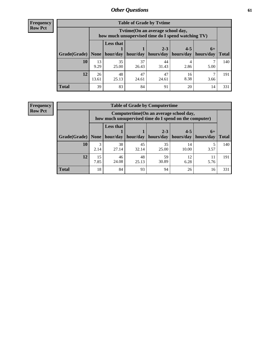**Frequency Row Pct**

| <b>Table of Grade by Tytime</b> |             |                                                                                        |             |             |            |           |              |  |  |  |
|---------------------------------|-------------|----------------------------------------------------------------------------------------|-------------|-------------|------------|-----------|--------------|--|--|--|
|                                 |             | Tvtime(On an average school day,<br>how much unsupervised time do I spend watching TV) |             |             |            |           |              |  |  |  |
|                                 |             | <b>Less that</b>                                                                       |             | $2 - 3$     | $4 - 5$    | $6+$      |              |  |  |  |
| Grade(Grade)                    | None        | hour/day                                                                               | hour/day    | hours/day   | hours/day  | hours/day | <b>Total</b> |  |  |  |
| 10                              | 13<br>9.29  | 35<br>25.00                                                                            | 37<br>26.43 | 44<br>31.43 | 4<br>2.86  | 5.00      | 140          |  |  |  |
| 12                              | 26<br>13.61 | 48<br>25.13                                                                            | 47<br>24.61 | 47<br>24.61 | 16<br>8.38 | 3.66      | 191          |  |  |  |
| <b>Total</b>                    | 39          | 83                                                                                     | 84          | 91          | 20         | 14        | 331          |  |  |  |

**Frequency Row Pct**

| <b>Table of Grade by Computertime</b> |            |                                                                                                   |             |             |             |           |              |  |  |  |
|---------------------------------------|------------|---------------------------------------------------------------------------------------------------|-------------|-------------|-------------|-----------|--------------|--|--|--|
|                                       |            | Computertime (On an average school day,<br>how much unsupervised time do I spend on the computer) |             |             |             |           |              |  |  |  |
|                                       |            | <b>Less that</b>                                                                                  |             | $2 - 3$     | $4 - 5$     | $6+$      |              |  |  |  |
| Grade(Grade)                          | None       | hour/day                                                                                          | hour/day    | hours/day   | hours/day   | hours/day | <b>Total</b> |  |  |  |
| 10                                    | 3<br>2.14  | 38<br>27.14                                                                                       | 45<br>32.14 | 35<br>25.00 | 14<br>10.00 | 3.57      | 140          |  |  |  |
| 12                                    | 15<br>7.85 | 48<br>59<br>46<br>12<br>24.08<br>30.89<br>5.76<br>6.28<br>25.13                                   |             |             |             |           |              |  |  |  |
| <b>Total</b>                          | 18         | 84                                                                                                | 93          | 94          | 26          | 16        | 331          |  |  |  |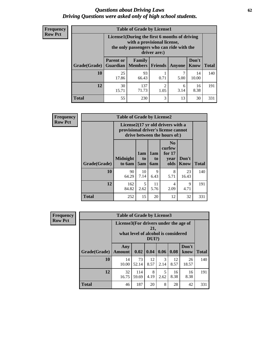#### *Questions about Driving Laws* **62** *Driving Questions were asked only of high school students.*

| <b>Frequency</b> |
|------------------|
| <b>Row Pct</b>   |

| <b>Table of Grade by License1</b> |                                                                                  |                                                                                                                                           |                |           |               |              |  |  |  |
|-----------------------------------|----------------------------------------------------------------------------------|-------------------------------------------------------------------------------------------------------------------------------------------|----------------|-----------|---------------|--------------|--|--|--|
|                                   |                                                                                  | License1(During the first 6 months of driving<br>with a provisional license,<br>the only passengers who can ride with the<br>driver are:) |                |           |               |              |  |  |  |
| Grade(Grade)                      | <b>Parent or</b><br>Guardian                                                     | Family<br><b>Members</b>                                                                                                                  | <b>Friends</b> | Anyone    | Don't<br>Know | <b>Total</b> |  |  |  |
| 10                                | 25<br>17.86                                                                      | 93<br>66.43                                                                                                                               | 0.71           | 7<br>5.00 | 14<br>10.00   | 140          |  |  |  |
| 12                                | 30<br>$\overline{c}$<br>137<br>16<br>6<br>71.73<br>8.38<br>3.14<br>15.71<br>1.05 |                                                                                                                                           |                |           |               |              |  |  |  |
| <b>Total</b>                      | 55                                                                               | 230                                                                                                                                       | 3              | 13        | 30            | 331          |  |  |  |

| <b>Frequency</b> |              | <b>Table of Grade by License2</b> |                                                                                                          |                                     |                                                      |               |              |  |  |
|------------------|--------------|-----------------------------------|----------------------------------------------------------------------------------------------------------|-------------------------------------|------------------------------------------------------|---------------|--------------|--|--|
| <b>Row Pct</b>   |              |                                   | License2(17 yr old drivers with a<br>provisional driver's license cannot<br>drive between the hours of:) |                                     |                                                      |               |              |  |  |
|                  | Grade(Grade) | <b>Midnight</b><br>to 6am         | 1am<br>to<br>5am                                                                                         | 1am<br>t <sub>0</sub><br><b>6am</b> | N <sub>0</sub><br>curfew<br>for $17$<br>vear<br>olds | Don't<br>Know | <b>Total</b> |  |  |
|                  | 10           | 90<br>64.29                       | 10<br>7.14                                                                                               | 9<br>6.43                           | 8<br>5.71                                            | 23<br>16.43   | 140          |  |  |
|                  | 12           | 162<br>84.82                      | 5<br>2.62                                                                                                | 11<br>5.76                          | 4<br>2.09                                            | 9<br>4.71     | 191          |  |  |
|                  | <b>Total</b> | 252                               | 15                                                                                                       | 20                                  | 12                                                   | 32            | 331          |  |  |

| Frequency      |              | <b>Table of Grade by License3</b>     |                                     |              |                       |            |               |              |  |
|----------------|--------------|---------------------------------------|-------------------------------------|--------------|-----------------------|------------|---------------|--------------|--|
| <b>Row Pct</b> |              | License3(For drivers under the age of | what level of alcohol is considered | 21,<br>DUI?) |                       |            |               |              |  |
|                | Grade(Grade) | Any<br><b>Amount</b>                  | 0.02                                | $\vert$ 0.04 | 0.06                  | 0.08       | Don't<br>know | <b>Total</b> |  |
|                | 10           | 14<br>10.00                           | 73<br>52.14                         | 12<br>8.57   | $\mathcal{R}$<br>2.14 | 12<br>8.57 | 26<br>18.57   | 140          |  |
|                | 12           | 32<br>16.75                           | 114<br>59.69                        | 8<br>4.19    | 5<br>2.62             | 16<br>8.38 | 16<br>8.38    | 191          |  |
|                | <b>Total</b> | 46                                    | 187                                 | 20           | 8                     | 28         | 42            | 331          |  |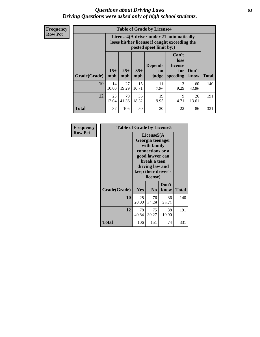#### *Questions about Driving Laws* **63** *Driving Questions were asked only of high school students.*

**Frequency Row Pct**

| <b>Table of Grade by License4</b> |             |                                                                                                                                                                                                                                                                                |             |            |            |             |     |  |  |
|-----------------------------------|-------------|--------------------------------------------------------------------------------------------------------------------------------------------------------------------------------------------------------------------------------------------------------------------------------|-------------|------------|------------|-------------|-----|--|--|
|                                   |             | License4(A driver under 21 automatically<br>loses his/her license if caught exceeding the<br>posted speet limit by:)<br>Can't<br>lose<br><b>Depends</b><br>license<br>$15+$<br>$25+$<br>$35+$<br>Don't<br>for<br>on<br><b>Total</b><br>mph<br>speeding<br>know<br>mph<br>judge |             |            |            |             |     |  |  |
| Grade(Grade)                      | mph         |                                                                                                                                                                                                                                                                                |             |            |            |             |     |  |  |
| 10                                | 14<br>10.00 | 27<br>19.29                                                                                                                                                                                                                                                                    | 15<br>10.71 | 11<br>7.86 | 13<br>9.29 | 60<br>42.86 | 140 |  |  |
| 12                                | 23<br>12.04 | 79<br>19<br>35<br>9<br>26<br>4.71<br>41.36<br>18.32<br>9.95<br>13.61                                                                                                                                                                                                           |             |            |            |             |     |  |  |
| <b>Total</b>                      | 37          | 106                                                                                                                                                                                                                                                                            | 50          | 30         | 22         | 86          | 331 |  |  |

| Frequency      | <b>Table of Grade by License5</b> |             |                                                                                                                                      |                     |              |
|----------------|-----------------------------------|-------------|--------------------------------------------------------------------------------------------------------------------------------------|---------------------|--------------|
| <b>Row Pct</b> |                                   |             | License5(A)<br>Georgia teenager<br>with family<br>connections or a<br>good lawyer can<br>break a teen<br>driving law and<br>license) | keep their driver's |              |
|                | Grade(Grade)                      | <b>Yes</b>  | N <sub>0</sub>                                                                                                                       | Don't<br>know       | <b>Total</b> |
|                | 10                                | 28<br>20.00 | 76<br>54.29                                                                                                                          | 36<br>25.71         | 140          |
|                | 12                                | 78<br>40.84 | 75<br>39.27                                                                                                                          | 38<br>19.90         | 191          |
|                | Total                             | 106         | 151                                                                                                                                  | 74                  | 331          |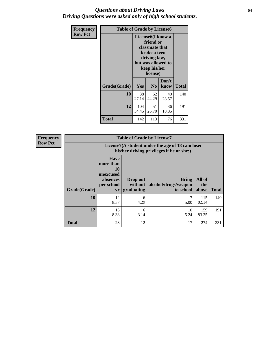#### *Questions about Driving Laws* **64** *Driving Questions were asked only of high school students.*

| <b>Frequency</b> | <b>Table of Grade by License6</b> |                                                                                                                                                 |                |               |              |
|------------------|-----------------------------------|-------------------------------------------------------------------------------------------------------------------------------------------------|----------------|---------------|--------------|
| <b>Row Pct</b>   |                                   | License <sub>6</sub> (I know a<br>friend or<br>classmate that<br>broke a teen<br>driving law,<br>but was allowed to<br>keep his/her<br>license) |                |               |              |
|                  | Grade(Grade)                      | <b>Yes</b>                                                                                                                                      | N <sub>0</sub> | Don't<br>know | <b>Total</b> |
|                  | 10                                | 38<br>27.14                                                                                                                                     | 62<br>44.29    | 40<br>28.57   | 140          |
|                  | 12                                | 104<br>54.45                                                                                                                                    | 51<br>26.70    | 36<br>18.85   | 191          |
|                  | Total                             | 142                                                                                                                                             | 113            | 76            | 331          |

| Frequency      |              |                                                                             | <b>Table of Grade by License7</b>                                                             |                                                   |                        |              |  |
|----------------|--------------|-----------------------------------------------------------------------------|-----------------------------------------------------------------------------------------------|---------------------------------------------------|------------------------|--------------|--|
| <b>Row Pct</b> |              |                                                                             | License7(A student under the age of 18 cam loser<br>his/her driving privileges if he or she:) |                                                   |                        |              |  |
|                | Grade(Grade) | <b>Have</b><br>more than<br>10<br>unexcused<br>absences<br>per school<br>yr | Drop out<br>without  <br>graduating                                                           | <b>Bring</b><br>alcohol/drugs/weapon<br>to school | All of<br>the<br>above | <b>Total</b> |  |
|                | 10           | 12<br>8.57                                                                  | 6<br>4.29                                                                                     | 5.00                                              | 115<br>82.14           | 140          |  |
|                | 12           | 16<br>8.38                                                                  | 6<br>3.14                                                                                     | 10<br>5.24                                        | 159<br>83.25           | 191          |  |
|                | <b>Total</b> | 28                                                                          | 12                                                                                            | 17                                                | 274                    | 331          |  |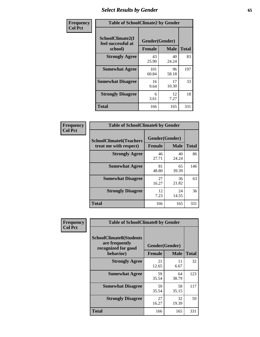# *Select Results by Gender* **65**

| Frequency      | <b>Table of SchoolClimate2 by Gender</b>          |                                 |             |              |
|----------------|---------------------------------------------------|---------------------------------|-------------|--------------|
| <b>Col Pct</b> | SchoolClimate2(I<br>feel successful at<br>school) | Gender(Gender)<br><b>Female</b> | <b>Male</b> | <b>Total</b> |
|                | <b>Strongly Agree</b>                             | 43<br>25.90                     | 40<br>24.24 | 83           |
|                | <b>Somewhat Agree</b>                             | 101<br>60.84                    | 96<br>58.18 | 197          |
|                | <b>Somewhat Disagree</b>                          | 16<br>9.64                      | 17<br>10.30 | 33           |
|                | <b>Strongly Disagree</b>                          | 6<br>3.61                       | 12<br>7.27  | 18           |
|                | <b>Total</b>                                      | 166                             | 165         | 331          |

| <b>Frequency</b> | <b>Table of SchoolClimate6 by Gender</b>                 |                                 |             |              |
|------------------|----------------------------------------------------------|---------------------------------|-------------|--------------|
| <b>Col Pct</b>   | <b>SchoolClimate6(Teachers</b><br>treat me with respect) | Gender(Gender)<br><b>Female</b> | <b>Male</b> | <b>Total</b> |
|                  | <b>Strongly Agree</b>                                    | 46<br>27.71                     | 40<br>24.24 | 86           |
|                  | <b>Somewhat Agree</b>                                    | 81<br>48.80                     | 65<br>39.39 | 146          |
|                  | <b>Somewhat Disagree</b>                                 | 27<br>16.27                     | 36<br>21.82 | 63           |
|                  | <b>Strongly Disagree</b>                                 | 12<br>7.23                      | 24<br>14.55 | 36           |
|                  | <b>Total</b>                                             | 166                             | 165         | 331          |

| <b>Frequency</b> | <b>Table of SchoolClimate8 by Gender</b>                                             |                                 |             |              |
|------------------|--------------------------------------------------------------------------------------|---------------------------------|-------------|--------------|
| <b>Col Pct</b>   | <b>SchoolClimate8(Students</b><br>are frequently<br>recognized for good<br>behavior) | Gender(Gender)<br><b>Female</b> | <b>Male</b> | <b>Total</b> |
|                  | <b>Strongly Agree</b>                                                                | 21<br>12.65                     | 11<br>6.67  | 32           |
|                  | <b>Somewhat Agree</b>                                                                | 59<br>35.54                     | 64<br>38.79 | 123          |
|                  | <b>Somewhat Disagree</b>                                                             | 59<br>35.54                     | 58<br>35.15 | 117          |
|                  | <b>Strongly Disagree</b>                                                             | 27<br>16.27                     | 32<br>19.39 | 59           |
|                  | Total                                                                                | 166                             | 165         | 331          |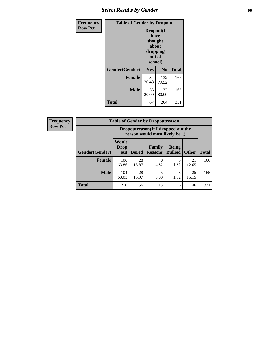# *Select Results by Gender* **66**

| <b>Frequency</b> | <b>Table of Gender by Dropout</b> |                                                                        |              |              |
|------------------|-----------------------------------|------------------------------------------------------------------------|--------------|--------------|
| <b>Row Pct</b>   |                                   | Dropout(I<br>have<br>thought<br>about<br>dropping<br>out of<br>school) |              |              |
|                  | Gender(Gender)                    | Yes                                                                    | No           | <b>Total</b> |
|                  | <b>Female</b>                     | 34<br>20.48                                                            | 132<br>79.52 | 166          |
|                  | <b>Male</b>                       | 33<br>20.00                                                            | 132<br>80.00 | 165          |
|                  | <b>Total</b>                      | 67                                                                     | 264          | 331          |

| <b>Frequency</b> | <b>Table of Gender by Dropoutreason</b> |                                                                    |              |                                 |                                |              |              |
|------------------|-----------------------------------------|--------------------------------------------------------------------|--------------|---------------------------------|--------------------------------|--------------|--------------|
| <b>Row Pct</b>   |                                         | Dropoutreason(If I dropped out the<br>reason would most likely be) |              |                                 |                                |              |              |
|                  | Gender(Gender)                          | Won't<br><b>Drop</b><br>out                                        | <b>Bored</b> | <b>Family</b><br><b>Reasons</b> | <b>Being</b><br><b>Bullied</b> | <b>Other</b> | <b>Total</b> |
|                  | <b>Female</b>                           | 106<br>63.86                                                       | 28<br>16.87  | 8<br>4.82                       | 1.81                           | 21<br>12.65  | 166          |
|                  | <b>Male</b>                             | 104<br>63.03                                                       | 28<br>16.97  | 5<br>3.03                       | 3<br>1.82                      | 25<br>15.15  | 165          |
|                  | <b>Total</b>                            | 210                                                                | 56           | 13                              | 6                              | 46           | 331          |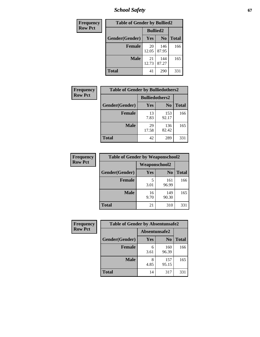*School Safety* **67**

| Frequency      | <b>Table of Gender by Bullied2</b> |                 |                |              |
|----------------|------------------------------------|-----------------|----------------|--------------|
| <b>Row Pct</b> |                                    | <b>Bullied2</b> |                |              |
|                | Gender(Gender)                     | Yes             | N <sub>0</sub> | <b>Total</b> |
|                | <b>Female</b>                      | 20<br>12.05     | 146<br>87.95   | 166          |
|                | <b>Male</b>                        | 21<br>12.73     | 144<br>87.27   | 165          |
|                | <b>Total</b>                       | 41              | 290            | 331          |

| Frequency      | <b>Table of Gender by Bulliedothers2</b> |                       |                |              |
|----------------|------------------------------------------|-----------------------|----------------|--------------|
| <b>Row Pct</b> |                                          | <b>Bulliedothers2</b> |                |              |
|                | Gender(Gender)                           | Yes                   | N <sub>0</sub> | <b>Total</b> |
|                | <b>Female</b>                            | 13<br>7.83            | 153<br>92.17   | 166          |
|                | Male                                     | 29<br>17.58           | 136<br>82.42   | 165          |
|                | <b>Total</b>                             | 42                    | 289            | 331          |

| <b>Frequency</b> | <b>Table of Gender by Weaponschool2</b> |               |                |              |
|------------------|-----------------------------------------|---------------|----------------|--------------|
| <b>Row Pct</b>   |                                         | Weaponschool2 |                |              |
|                  | Gender(Gender)                          | Yes           | N <sub>0</sub> | <b>Total</b> |
|                  | <b>Female</b>                           | 5<br>3.01     | 161<br>96.99   | 166          |
|                  | <b>Male</b>                             | 16<br>9.70    | 149<br>90.30   | 165          |
|                  | <b>Total</b>                            | 21            | 310            | 331          |

| Frequency      | <b>Table of Gender by Absentunsafe2</b> |               |                |              |
|----------------|-----------------------------------------|---------------|----------------|--------------|
| <b>Row Pct</b> |                                         | Absentunsafe2 |                |              |
|                | Gender(Gender)                          | Yes           | N <sub>0</sub> | <b>Total</b> |
|                | <b>Female</b>                           | 6<br>3.61     | 160<br>96.39   | 166          |
|                | <b>Male</b>                             | 4.85          | 157<br>95.15   | 165          |
|                | <b>Total</b>                            | 14            | 317            | 331          |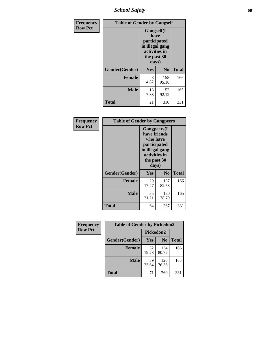*School Safety* **68**

| Frequency      | <b>Table of Gender by Gangself</b> |                                                                                                |              |              |  |
|----------------|------------------------------------|------------------------------------------------------------------------------------------------|--------------|--------------|--|
| <b>Row Pct</b> |                                    | Gangself(I<br>have<br>participated<br>in illegal gang<br>activities in<br>the past 30<br>days) |              |              |  |
|                | Gender(Gender)                     | Yes                                                                                            | No           | <b>Total</b> |  |
|                | <b>Female</b>                      | 8<br>4.82                                                                                      | 158<br>95.18 | 166          |  |
|                | <b>Male</b>                        | 13<br>7.88                                                                                     | 152<br>92.12 | 165          |  |
|                | <b>Total</b>                       | 21                                                                                             | 310          | 331          |  |

| Frequency      | <b>Table of Gender by Gangpeers</b> |                                                                                                                             |                |              |
|----------------|-------------------------------------|-----------------------------------------------------------------------------------------------------------------------------|----------------|--------------|
| <b>Row Pct</b> |                                     | <b>Gangpeers</b> (I<br>have friends<br>who have<br>participated<br>in illegal gang<br>activities in<br>the past 30<br>days) |                |              |
|                | Gender(Gender)                      | Yes                                                                                                                         | N <sub>0</sub> | <b>Total</b> |
|                | <b>Female</b>                       | 29<br>17.47                                                                                                                 | 137<br>82.53   | 166          |
|                | <b>Male</b>                         | 35<br>21.21                                                                                                                 | 130<br>78.79   | 165          |
|                | Total                               | 64                                                                                                                          | 267            | 331          |

| Frequency      | <b>Table of Gender by Pickedon2</b> |             |                |              |  |
|----------------|-------------------------------------|-------------|----------------|--------------|--|
| <b>Row Pct</b> |                                     | Pickedon2   |                |              |  |
|                | Gender(Gender)                      | <b>Yes</b>  | N <sub>0</sub> | <b>Total</b> |  |
|                | Female                              | 32<br>19.28 | 134<br>80.72   | 166          |  |
|                | <b>Male</b>                         | 39<br>23.64 | 126<br>76.36   | 165          |  |
|                | <b>Total</b>                        | 71          | 260            | 331          |  |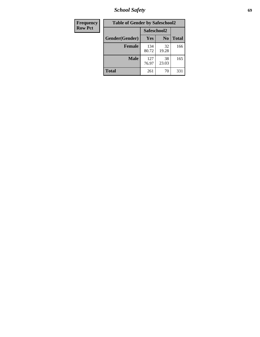*School Safety* **69**

| Frequency      | <b>Table of Gender by Safeschool2</b> |              |                |              |
|----------------|---------------------------------------|--------------|----------------|--------------|
| <b>Row Pct</b> |                                       | Safeschool2  |                |              |
|                | Gender(Gender)                        | Yes          | N <sub>0</sub> | <b>Total</b> |
|                | <b>Female</b>                         | 134<br>80.72 | 32<br>19.28    | 166          |
|                | <b>Male</b>                           | 127<br>76.97 | 38<br>23.03    | 165          |
|                | <b>Total</b>                          | 261          | 70             | 331          |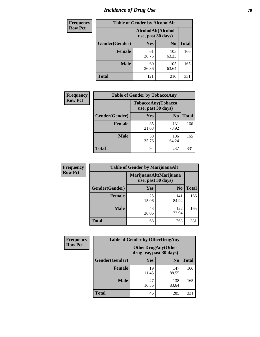# *Incidence of Drug Use* **70**

| <b>Frequency</b> |                | <b>Table of Gender by AlcoholAlt</b>     |                |              |
|------------------|----------------|------------------------------------------|----------------|--------------|
| <b>Row Pct</b>   |                | AlcoholAlt(Alcohol<br>use, past 30 days) |                |              |
|                  | Gender(Gender) | Yes                                      | N <sub>0</sub> | <b>Total</b> |
|                  | <b>Female</b>  | 61<br>36.75                              | 105<br>63.25   | 166          |
|                  | <b>Male</b>    | 60<br>36.36                              | 105<br>63.64   | 165          |
|                  | <b>Total</b>   | 121                                      | 210            | 331          |

| Frequency      | <b>Table of Gender by TobaccoAny</b> |                                          |                |              |  |
|----------------|--------------------------------------|------------------------------------------|----------------|--------------|--|
| <b>Row Pct</b> |                                      | TobaccoAny(Tobacco<br>use, past 30 days) |                |              |  |
|                | Gender(Gender)                       | Yes                                      | N <sub>0</sub> | <b>Total</b> |  |
|                | <b>Female</b>                        | 35<br>21.08                              | 131<br>78.92   | 166          |  |
|                | <b>Male</b>                          | 59<br>35.76                              | 106<br>64.24   | 165          |  |
|                | <b>Total</b>                         | 94                                       | 237            | 331          |  |

| <b>Frequency</b> | <b>Table of Gender by MarijuanaAlt</b> |                    |                        |              |
|------------------|----------------------------------------|--------------------|------------------------|--------------|
| <b>Row Pct</b>   |                                        | use, past 30 days) | MarijuanaAlt(Marijuana |              |
|                  | Gender(Gender)                         | <b>Yes</b>         | N <sub>0</sub>         | <b>Total</b> |
|                  | Female                                 | 25<br>15.06        | 141<br>84.94           | 166          |
|                  | <b>Male</b>                            | 43<br>26.06        | 122<br>73.94           | 165          |
|                  | <b>Total</b>                           | 68                 | 263                    | 331          |

| <b>Frequency</b> | <b>Table of Gender by OtherDrugAny</b> |                                               |                |              |
|------------------|----------------------------------------|-----------------------------------------------|----------------|--------------|
| <b>Row Pct</b>   |                                        | OtherDrugAny(Other<br>drug use, past 30 days) |                |              |
|                  | Gender(Gender)                         | <b>Yes</b>                                    | N <sub>0</sub> | <b>Total</b> |
|                  | <b>Female</b>                          | 19<br>11.45                                   | 147<br>88.55   | 166          |
|                  | <b>Male</b>                            | 27<br>16.36                                   | 138<br>83.64   | 165          |
|                  | <b>Total</b>                           | 46                                            | 285            | 331          |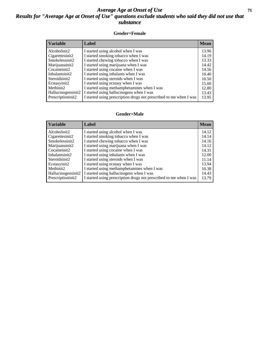### *Average Age at Onset of Use* **71** *Results for "Average Age at Onset of Use" questions exclude students who said they did not use that substance*

#### **Gender=Female**

| <b>Variable</b>    | Label                                                              | <b>Mean</b> |
|--------------------|--------------------------------------------------------------------|-------------|
| Alcoholinit2       | I started using alcohol when I was                                 | 13.96       |
| Cigarettesinit2    | I started smoking tobacco when I was                               | 14.19       |
| Smokelessinit2     | I started chewing tobacco when I was                               | 13.33       |
| Marijuanainit2     | I started using marijuana when I was                               | 14.42       |
| Cocaineinit2       | I started using cocaine when I was                                 | 14.56       |
| Inhalantsinit2     | I started using inhalants when I was                               | 10.40       |
| Steroidsinit2      | I started using steroids when I was                                | 10.50       |
| Ecstasyinit2       | I started using ecstasy when I was                                 | 15.00       |
| Methinit2          | I started using methamphetamines when I was                        | 12.80       |
| Hallucinogensinit2 | I started using hallucinogens when I was                           | 13.43       |
| Prescription in t2 | I started using prescription drugs not prescribed to me when I was | 13.95       |

#### **Gender=Male**

| <b>Variable</b>                 | Label                                                              | <b>Mean</b> |
|---------------------------------|--------------------------------------------------------------------|-------------|
| Alcoholinit2                    | I started using alcohol when I was                                 | 14.12       |
| Cigarettesinit2                 | I started smoking tobacco when I was                               | 14.14       |
| Smokelessinit2                  | I started chewing tobacco when I was                               | 14.16       |
| Marijuanainit2                  | I started using marijuana when I was                               | 14.12       |
| Cocaineinit2                    | I started using cocaine when I was                                 | 14.31       |
| Inhalantsinit2                  | I started using inhalants when I was                               | 12.00       |
| Steroidsinit2                   | I started using steroids when I was                                | 11.14       |
| Ecstasyinit2                    | I started using ecstasy when I was                                 | 13.94       |
| Methinit2                       | I started using methamphetamines when I was                        | 10.38       |
| Hallucinogensinit2              | I started using hallucinogens when I was                           | 14.43       |
| Prescription in it <sub>2</sub> | I started using prescription drugs not prescribed to me when I was | 13.79       |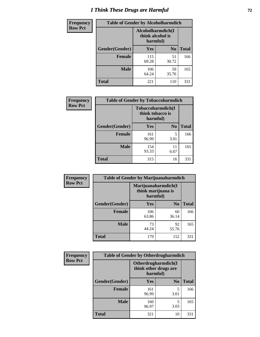# *I Think These Drugs are Harmful* **72**

| <b>Frequency</b> | <b>Table of Gender by Alcoholharmdich</b> |                                                   |                |              |
|------------------|-------------------------------------------|---------------------------------------------------|----------------|--------------|
| <b>Row Pct</b>   |                                           | Alcoholharmdich(I<br>think alcohol is<br>harmful) |                |              |
|                  | Gender(Gender)                            | <b>Yes</b>                                        | N <sub>0</sub> | <b>Total</b> |
|                  | <b>Female</b>                             | 115<br>69.28                                      | 51<br>30.72    | 166          |
|                  | <b>Male</b>                               | 106<br>64.24                                      | 59<br>35.76    | 165          |
|                  | Total                                     | 221                                               | 110            | 331          |

| Frequency      | <b>Table of Gender by Tobaccoharmdich</b> |                  |                               |              |
|----------------|-------------------------------------------|------------------|-------------------------------|--------------|
| <b>Row Pct</b> |                                           | think tobacco is | Tobaccoharmdich(I<br>harmful) |              |
|                | Gender(Gender)                            | Yes              | N <sub>0</sub>                | <b>Total</b> |
|                | <b>Female</b>                             | 161<br>96.99     | 5<br>3.01                     | 166          |
|                | <b>Male</b>                               | 154<br>93.33     | 11<br>6.67                    | 165          |
|                | <b>Total</b>                              | 315              | 16                            | 331          |

| Frequency      | <b>Table of Gender by Marijuanaharmdich</b> |                                                       |                |              |  |
|----------------|---------------------------------------------|-------------------------------------------------------|----------------|--------------|--|
| <b>Row Pct</b> |                                             | Marijuanaharmdich(I<br>think marijuana is<br>harmful) |                |              |  |
|                | Gender(Gender)                              | <b>Yes</b>                                            | N <sub>0</sub> | <b>Total</b> |  |
|                | <b>Female</b>                               | 106<br>63.86                                          | 60<br>36.14    | 166          |  |
|                | <b>Male</b>                                 | 73<br>44.24                                           | 92<br>55.76    | 165          |  |
|                | <b>Total</b>                                | 179                                                   | 152            | 331          |  |

| Frequency      | <b>Table of Gender by Otherdrugharmdich</b> |                                                          |                |              |  |
|----------------|---------------------------------------------|----------------------------------------------------------|----------------|--------------|--|
| <b>Row Pct</b> |                                             | Otherdrugharmdich(I<br>think other drugs are<br>harmful) |                |              |  |
|                | Gender(Gender)                              | <b>Yes</b>                                               | N <sub>0</sub> | <b>Total</b> |  |
|                | <b>Female</b>                               | 161<br>96.99                                             | 5<br>3.01      | 166          |  |
|                | <b>Male</b>                                 | 160<br>96.97                                             | 5<br>3.03      | 165          |  |
|                | <b>Total</b>                                | 321                                                      | 10             | 331          |  |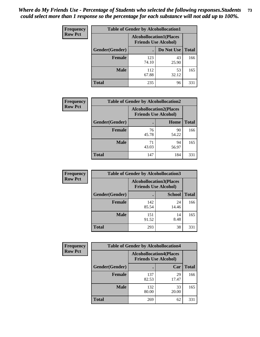| <b>Frequency</b> | <b>Table of Gender by Alcohollocation1</b> |                                                               |             |              |
|------------------|--------------------------------------------|---------------------------------------------------------------|-------------|--------------|
| <b>Row Pct</b>   |                                            | <b>Alcohollocation1(Places</b><br><b>Friends Use Alcohol)</b> |             |              |
|                  | Gender(Gender)                             |                                                               | Do Not Use  | <b>Total</b> |
|                  | <b>Female</b>                              | 123<br>74.10                                                  | 43<br>25.90 | 166          |
|                  | <b>Male</b>                                | 112<br>67.88                                                  | 53<br>32.12 | 165          |
|                  | <b>Total</b>                               | 235                                                           | 96          | 331          |

| <b>Frequency</b> | <b>Table of Gender by Alcohollocation2</b> |                                                               |             |              |
|------------------|--------------------------------------------|---------------------------------------------------------------|-------------|--------------|
| <b>Row Pct</b>   |                                            | <b>Alcohollocation2(Places</b><br><b>Friends Use Alcohol)</b> |             |              |
|                  | Gender(Gender)                             |                                                               | Home        | <b>Total</b> |
|                  | Female                                     | 76<br>45.78                                                   | 90<br>54.22 | 166          |
|                  | <b>Male</b>                                | 71<br>43.03                                                   | 94<br>56.97 | 165          |
|                  | <b>Total</b>                               | 147                                                           | 184         | 331          |

| Frequency      | <b>Table of Gender by Alcohollocation3</b> |                                                               |               |              |
|----------------|--------------------------------------------|---------------------------------------------------------------|---------------|--------------|
| <b>Row Pct</b> |                                            | <b>Alcohollocation3(Places</b><br><b>Friends Use Alcohol)</b> |               |              |
|                | Gender(Gender)                             |                                                               | <b>School</b> | <b>Total</b> |
|                | <b>Female</b>                              | 142<br>85.54                                                  | 24<br>14.46   | 166          |
|                | <b>Male</b>                                | 151<br>91.52                                                  | 14<br>8.48    | 165          |
|                | <b>Total</b>                               | 293                                                           | 38            | 331          |

| Frequency      | <b>Table of Gender by Alcohollocation4</b> |                                                               |             |              |
|----------------|--------------------------------------------|---------------------------------------------------------------|-------------|--------------|
| <b>Row Pct</b> |                                            | <b>Alcohollocation4(Places</b><br><b>Friends Use Alcohol)</b> |             |              |
|                | Gender(Gender)                             |                                                               | Car         | <b>Total</b> |
|                | Female                                     | 137<br>82.53                                                  | 29<br>17.47 | 166          |
|                | <b>Male</b>                                | 132<br>80.00                                                  | 33<br>20.00 | 165          |
|                | <b>Total</b>                               | 269                                                           | 62          | 331          |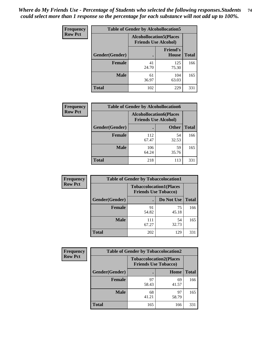| <b>Frequency</b> | <b>Table of Gender by Alcohollocation5</b> |             |                                                               |              |
|------------------|--------------------------------------------|-------------|---------------------------------------------------------------|--------------|
| <b>Row Pct</b>   |                                            |             | <b>Alcohollocation5(Places</b><br><b>Friends Use Alcohol)</b> |              |
|                  | Gender(Gender)                             | $\bullet$   | <b>Friend's</b><br><b>House</b>                               | <b>Total</b> |
|                  | <b>Female</b>                              | 41<br>24.70 | 125<br>75.30                                                  | 166          |
|                  | <b>Male</b>                                | 61<br>36.97 | 104<br>63.03                                                  | 165          |
|                  | <b>Total</b>                               | 102         | 229                                                           | 331          |

| Frequency      | <b>Table of Gender by Alcohollocation6</b> |                                                               |              |              |  |
|----------------|--------------------------------------------|---------------------------------------------------------------|--------------|--------------|--|
| <b>Row Pct</b> |                                            | <b>Alcohollocation6(Places</b><br><b>Friends Use Alcohol)</b> |              |              |  |
|                | <b>Gender</b> (Gender)                     |                                                               | <b>Other</b> | <b>Total</b> |  |
|                | <b>Female</b>                              | 112<br>67.47                                                  | 54<br>32.53  | 166          |  |
|                | <b>Male</b>                                | 106<br>64.24                                                  | 59<br>35.76  | 165          |  |
|                | <b>Total</b>                               | 218                                                           | 113          | 331          |  |

| Frequency      | <b>Table of Gender by Tobaccolocation1</b> |                                                               |             |              |  |
|----------------|--------------------------------------------|---------------------------------------------------------------|-------------|--------------|--|
| <b>Row Pct</b> |                                            | <b>Tobaccolocation1(Places</b><br><b>Friends Use Tobacco)</b> |             |              |  |
|                | Gender(Gender)                             |                                                               | Do Not Use  | <b>Total</b> |  |
|                | <b>Female</b>                              | 91<br>54.82                                                   | 75<br>45.18 | 166          |  |
|                | <b>Male</b>                                | 111<br>67.27                                                  | 54<br>32.73 | 165          |  |
|                | <b>Total</b>                               | 202                                                           | 129         | 331          |  |

| <b>Frequency</b> | <b>Table of Gender by Tobaccolocation2</b> |                                                               |             |              |
|------------------|--------------------------------------------|---------------------------------------------------------------|-------------|--------------|
| <b>Row Pct</b>   |                                            | <b>Tobaccolocation2(Places</b><br><b>Friends Use Tobacco)</b> |             |              |
|                  | Gender(Gender)                             |                                                               | Home        | <b>Total</b> |
|                  | Female                                     | 97<br>58.43                                                   | 69<br>41.57 | 166          |
|                  | <b>Male</b>                                | 68<br>41.21                                                   | 97<br>58.79 | 165          |
|                  | <b>Total</b>                               | 165                                                           | 166         | 331          |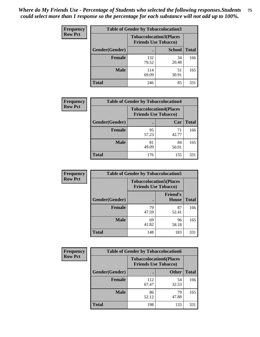| <b>Frequency</b> | <b>Table of Gender by Tobaccolocation3</b> |              |                                                               |              |
|------------------|--------------------------------------------|--------------|---------------------------------------------------------------|--------------|
| <b>Row Pct</b>   |                                            |              | <b>Tobaccolocation3(Places</b><br><b>Friends Use Tobacco)</b> |              |
|                  | Gender(Gender)                             |              | <b>School</b>                                                 | <b>Total</b> |
|                  | Female                                     | 132<br>79.52 | 34<br>20.48                                                   | 166          |
|                  | <b>Male</b>                                | 114<br>69.09 | 51<br>30.91                                                   | 165          |
|                  | <b>Total</b>                               | 246          | 85                                                            | 331          |

| <b>Frequency</b> | <b>Table of Gender by Tobaccolocation4</b> |                             |                                |              |
|------------------|--------------------------------------------|-----------------------------|--------------------------------|--------------|
| <b>Row Pct</b>   |                                            | <b>Friends Use Tobacco)</b> | <b>Tobaccolocation4(Places</b> |              |
|                  | Gender(Gender)                             |                             | Car                            | <b>Total</b> |
|                  | <b>Female</b>                              | 95<br>57.23                 | 71<br>42.77                    | 166          |
|                  | <b>Male</b>                                | 81<br>49.09                 | 84<br>50.91                    | 165          |
|                  | <b>Total</b>                               | 176                         | 155                            | 331          |

| <b>Frequency</b> | <b>Table of Gender by Tobaccolocation5</b> |                                                               |                                 |              |
|------------------|--------------------------------------------|---------------------------------------------------------------|---------------------------------|--------------|
| <b>Row Pct</b>   |                                            | <b>Tobaccolocation5(Places</b><br><b>Friends Use Tobacco)</b> |                                 |              |
|                  | Gender(Gender)                             |                                                               | <b>Friend's</b><br><b>House</b> | <b>Total</b> |
|                  | <b>Female</b>                              | 79<br>47.59                                                   | 87<br>52.41                     | 166          |
|                  | <b>Male</b>                                | 69<br>41.82                                                   | 96<br>58.18                     | 165          |
|                  | <b>Total</b>                               | 148                                                           | 183                             | 331          |

| <b>Frequency</b> | <b>Table of Gender by Tobaccolocation6</b> |                                                               |              |              |
|------------------|--------------------------------------------|---------------------------------------------------------------|--------------|--------------|
| <b>Row Pct</b>   |                                            | <b>Tobaccolocation6(Places</b><br><b>Friends Use Tobacco)</b> |              |              |
|                  | Gender(Gender)                             |                                                               | <b>Other</b> | <b>Total</b> |
|                  | Female                                     | 112<br>67.47                                                  | 54<br>32.53  | 166          |
|                  | <b>Male</b>                                | 86<br>52.12                                                   | 79<br>47.88  | 165          |
|                  | <b>Total</b>                               | 198                                                           | 133          | 331          |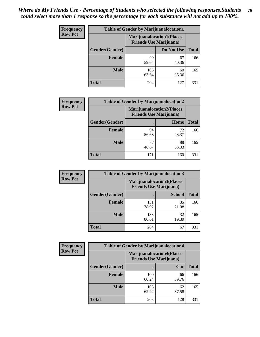| <b>Frequency</b> | <b>Table of Gender by Marijuanalocation1</b> |                                |                                  |              |
|------------------|----------------------------------------------|--------------------------------|----------------------------------|--------------|
| <b>Row Pct</b>   |                                              | <b>Friends Use Marijuana</b> ) | <b>Marijuanalocation1(Places</b> |              |
|                  | <b>Gender</b> (Gender)                       |                                | Do Not Use                       | <b>Total</b> |
|                  | <b>Female</b>                                | 99<br>59.64                    | 67<br>40.36                      | 166          |
|                  | <b>Male</b>                                  | 105<br>63.64                   | 60<br>36.36                      | 165          |
|                  | <b>Total</b>                                 | 204                            | 127                              | 331          |

| <b>Frequency</b> | <b>Table of Gender by Marijuanalocation2</b> |                                                                    |             |              |  |
|------------------|----------------------------------------------|--------------------------------------------------------------------|-------------|--------------|--|
| <b>Row Pct</b>   |                                              | <b>Marijuanalocation2(Places</b><br><b>Friends Use Marijuana</b> ) |             |              |  |
|                  | Gender(Gender)                               |                                                                    | Home        | <b>Total</b> |  |
|                  | <b>Female</b>                                | 94<br>56.63                                                        | 72<br>43.37 | 166          |  |
|                  | <b>Male</b>                                  | 77<br>46.67                                                        | 88<br>53.33 | 165          |  |
|                  | <b>Total</b>                                 | 171                                                                | 160         | 331          |  |

| <b>Frequency</b> | <b>Table of Gender by Marijuanalocation3</b> |                                                                    |               |              |
|------------------|----------------------------------------------|--------------------------------------------------------------------|---------------|--------------|
| <b>Row Pct</b>   |                                              | <b>Marijuanalocation3(Places</b><br><b>Friends Use Marijuana</b> ) |               |              |
|                  | Gender(Gender)                               |                                                                    | <b>School</b> | <b>Total</b> |
|                  | Female                                       | 131<br>78.92                                                       | 35<br>21.08   | 166          |
|                  | <b>Male</b>                                  | 133<br>80.61                                                       | 32<br>19.39   | 165          |
|                  | <b>Total</b>                                 | 264                                                                | 67            | 331          |

| <b>Frequency</b> | <b>Table of Gender by Marijuanalocation4</b> |                                |                                  |              |
|------------------|----------------------------------------------|--------------------------------|----------------------------------|--------------|
| <b>Row Pct</b>   |                                              | <b>Friends Use Marijuana</b> ) | <b>Marijuanalocation4(Places</b> |              |
|                  | Gender(Gender)                               |                                | Car                              | <b>Total</b> |
|                  | <b>Female</b>                                | 100<br>60.24                   | 66<br>39.76                      | 166          |
|                  | <b>Male</b>                                  | 103<br>62.42                   | 62<br>37.58                      | 165          |
|                  | <b>Total</b>                                 | 203                            | 128                              | 331          |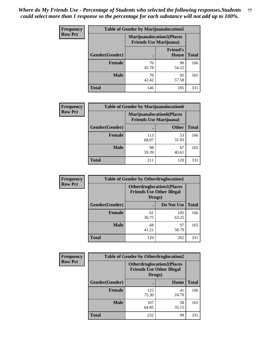| <b>Frequency</b> | <b>Table of Gender by Marijuanalocation5</b> |                                                                    |                          |              |
|------------------|----------------------------------------------|--------------------------------------------------------------------|--------------------------|--------------|
| <b>Row Pct</b>   |                                              | <b>Marijuanalocation5(Places</b><br><b>Friends Use Marijuana</b> ) |                          |              |
|                  | <b>Gender</b> (Gender)                       |                                                                    | <b>Friend's</b><br>House | <b>Total</b> |
|                  | <b>Female</b>                                | 76<br>45.78                                                        | 90<br>54.22              | 166          |
|                  | <b>Male</b>                                  | 70<br>42.42                                                        | 95<br>57.58              | 165          |
|                  | <b>Total</b>                                 | 146                                                                | 185                      | 331          |

| <b>Frequency</b> | <b>Table of Gender by Marijuanalocation6</b> |                                                                    |              |              |
|------------------|----------------------------------------------|--------------------------------------------------------------------|--------------|--------------|
| <b>Row Pct</b>   |                                              | <b>Marijuanalocation6(Places</b><br><b>Friends Use Marijuana</b> ) |              |              |
|                  | <b>Gender</b> (Gender)                       |                                                                    | <b>Other</b> | <b>Total</b> |
|                  | Female                                       | 113<br>68.07                                                       | 53<br>31.93  | 166          |
|                  | <b>Male</b>                                  | 98<br>59.39                                                        | 67<br>40.61  | 165          |
|                  | Total                                        | 211                                                                | 120          | 331          |

| Frequency      | <b>Table of Gender by Otherdruglocation1</b> |                                                                                |              |              |
|----------------|----------------------------------------------|--------------------------------------------------------------------------------|--------------|--------------|
| <b>Row Pct</b> |                                              | <b>Otherdruglocation1(Places</b><br><b>Friends Use Other Illegal</b><br>Drugs) |              |              |
|                | Gender(Gender)                               |                                                                                | Do Not Use   | <b>Total</b> |
|                | <b>Female</b>                                | 61<br>36.75                                                                    | 105<br>63.25 | 166          |
|                | <b>Male</b>                                  | 68<br>41.21                                                                    | 97<br>58.79  | 165          |
|                | <b>Total</b>                                 | 129                                                                            | 202          | 331          |

| <b>Frequency</b> | <b>Table of Gender by Otherdruglocation2</b> |                                            |                                  |              |
|------------------|----------------------------------------------|--------------------------------------------|----------------------------------|--------------|
| <b>Row Pct</b>   |                                              | <b>Friends Use Other Illegal</b><br>Drugs) | <b>Otherdruglocation2(Places</b> |              |
|                  | Gender(Gender)                               |                                            | Home                             | <b>Total</b> |
|                  | <b>Female</b>                                | 125<br>75.30                               | 41<br>24.70                      | 166          |
|                  | <b>Male</b>                                  | 107<br>64.85                               | 58<br>35.15                      | 165          |
|                  | <b>Total</b>                                 | 232                                        | 99                               | 331          |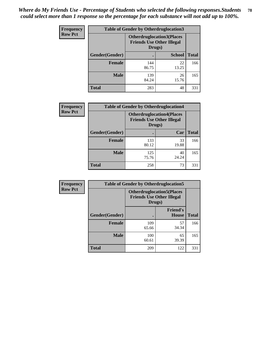| Frequency      | <b>Table of Gender by Otherdruglocation3</b> |                                                                                |               |              |
|----------------|----------------------------------------------|--------------------------------------------------------------------------------|---------------|--------------|
| <b>Row Pct</b> |                                              | <b>Otherdruglocation3(Places</b><br><b>Friends Use Other Illegal</b><br>Drugs) |               |              |
|                | Gender(Gender)                               |                                                                                | <b>School</b> | <b>Total</b> |
|                | Female                                       | 144<br>86.75                                                                   | 22<br>13.25   | 166          |
|                | <b>Male</b>                                  | 139<br>84.24                                                                   | 26<br>15.76   | 165          |
|                | <b>Total</b>                                 | 283                                                                            | 48            | 331          |

| Frequency      | <b>Table of Gender by Otherdruglocation4</b> |                                                                                |             |              |
|----------------|----------------------------------------------|--------------------------------------------------------------------------------|-------------|--------------|
| <b>Row Pct</b> |                                              | <b>Otherdruglocation4(Places</b><br><b>Friends Use Other Illegal</b><br>Drugs) |             |              |
|                | Gender(Gender)                               |                                                                                | Car         | <b>Total</b> |
|                | Female                                       | 133<br>80.12                                                                   | 33<br>19.88 | 166          |
|                | <b>Male</b>                                  | 125<br>75.76                                                                   | 40<br>24.24 | 165          |
|                | <b>Total</b>                                 | 258                                                                            | 73          | 331          |

| <b>Frequency</b> | <b>Table of Gender by Otherdruglocation5</b> |                                                                                |                                 |              |
|------------------|----------------------------------------------|--------------------------------------------------------------------------------|---------------------------------|--------------|
| <b>Row Pct</b>   |                                              | <b>Otherdruglocation5(Places</b><br><b>Friends Use Other Illegal</b><br>Drugs) |                                 |              |
|                  | Gender(Gender)                               |                                                                                | <b>Friend's</b><br><b>House</b> | <b>Total</b> |
|                  | <b>Female</b>                                | 109<br>65.66                                                                   | 57<br>34.34                     | 166          |
|                  | <b>Male</b>                                  | 100<br>60.61                                                                   | 65<br>39.39                     | 165          |
|                  | <b>Total</b>                                 | 209                                                                            | 122                             | 331          |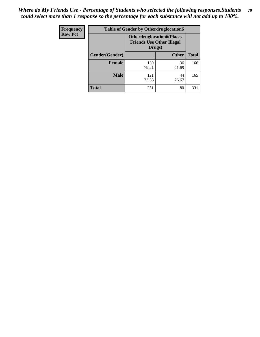| <b>Frequency</b> | <b>Table of Gender by Otherdruglocation6</b> |              |                                                                       |              |
|------------------|----------------------------------------------|--------------|-----------------------------------------------------------------------|--------------|
| <b>Row Pct</b>   |                                              | Drugs)       | <b>Otherdruglocation6(Places)</b><br><b>Friends Use Other Illegal</b> |              |
|                  | Gender(Gender)                               |              | <b>Other</b>                                                          | <b>Total</b> |
|                  | <b>Female</b>                                | 130<br>78.31 | 36<br>21.69                                                           | 166          |
|                  | <b>Male</b>                                  | 121<br>73.33 | 44<br>26.67                                                           | 165          |
|                  | <b>Total</b>                                 | 251          | 80                                                                    | 331          |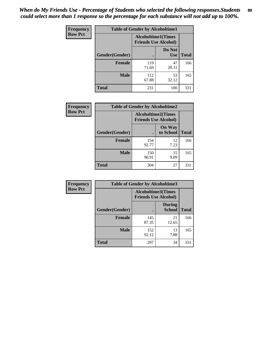| <b>Frequency</b> | <b>Table of Gender by Alcoholtime1</b> |                                                          |                      |              |
|------------------|----------------------------------------|----------------------------------------------------------|----------------------|--------------|
| <b>Row Pct</b>   |                                        | <b>Alcoholtime1(Times</b><br><b>Friends Use Alcohol)</b> |                      |              |
|                  | Gender(Gender)                         | ٠                                                        | Do Not<br><b>Use</b> | <b>Total</b> |
|                  | <b>Female</b>                          | 119<br>71.69                                             | 47<br>28.31          | 166          |
|                  | <b>Male</b>                            | 112<br>67.88                                             | 53<br>32.12          | 165          |
|                  | <b>Total</b>                           | 231                                                      | 100                  | 331          |

| <b>Frequency</b> | <b>Table of Gender by Alcoholtime2</b> |                                                          |                            |              |
|------------------|----------------------------------------|----------------------------------------------------------|----------------------------|--------------|
| <b>Row Pct</b>   |                                        | <b>Alcoholtime2(Times</b><br><b>Friends Use Alcohol)</b> |                            |              |
|                  | Gender(Gender)                         |                                                          | <b>On Way</b><br>to School | <b>Total</b> |
|                  | <b>Female</b>                          | 154<br>92.77                                             | 12<br>7.23                 | 166          |
|                  | <b>Male</b>                            | 150<br>90.91                                             | 15<br>9.09                 | 165          |
|                  | Total                                  | 304                                                      | 27                         | 331          |

| <b>Frequency</b> | <b>Table of Gender by Alcoholtime3</b> |                                                          |                                |              |
|------------------|----------------------------------------|----------------------------------------------------------|--------------------------------|--------------|
| <b>Row Pct</b>   |                                        | <b>Alcoholtime3(Times</b><br><b>Friends Use Alcohol)</b> |                                |              |
|                  | Gender(Gender)                         |                                                          | <b>During</b><br><b>School</b> | <b>Total</b> |
|                  | Female                                 | 145<br>87.35                                             | 21<br>12.65                    | 166          |
|                  | <b>Male</b>                            | 152<br>92.12                                             | 13<br>7.88                     | 165          |
|                  | <b>Total</b>                           | 297                                                      | 34                             | 331          |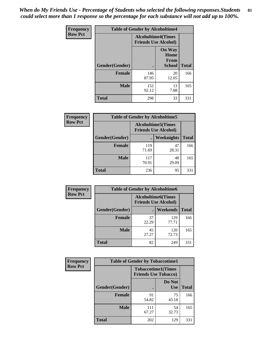*When do My Friends Use - Percentage of Students who selected the following responses.Students could select more than 1 response so the percentage for each substance will not add up to 100%.* **81**

| <b>Frequency</b> | <b>Table of Gender by Alcoholtime4</b> |                                                          |                                                |              |
|------------------|----------------------------------------|----------------------------------------------------------|------------------------------------------------|--------------|
| <b>Row Pct</b>   |                                        | <b>Alcoholtime4(Times</b><br><b>Friends Use Alcohol)</b> |                                                |              |
|                  | Gender(Gender)                         |                                                          | <b>On Way</b><br>Home<br>From<br><b>School</b> | <b>Total</b> |
|                  | <b>Female</b>                          | 146<br>87.95                                             | 20<br>12.05                                    | 166          |
|                  | <b>Male</b>                            | 152<br>92.12                                             | 13<br>7.88                                     | 165          |
|                  | <b>Total</b>                           | 298                                                      | 33                                             | 331          |

| <b>Frequency</b> | <b>Table of Gender by Alcoholtime5</b> |                                                           |             |              |
|------------------|----------------------------------------|-----------------------------------------------------------|-------------|--------------|
| <b>Row Pct</b>   |                                        | <b>Alcoholtime5</b> (Times<br><b>Friends Use Alcohol)</b> |             |              |
|                  | Gender(Gender)                         |                                                           | Weeknights  | <b>Total</b> |
|                  | <b>Female</b>                          | 119<br>71.69                                              | 47<br>28.31 | 166          |
|                  | <b>Male</b>                            | 117<br>70.91                                              | 48<br>29.09 | 165          |
|                  | <b>Total</b>                           | 236                                                       | 95          | 331          |

| <b>Frequency</b> | <b>Table of Gender by Alcoholtime6</b> |             |                                                           |              |  |
|------------------|----------------------------------------|-------------|-----------------------------------------------------------|--------------|--|
| <b>Row Pct</b>   |                                        |             | <b>Alcoholtime6</b> (Times<br><b>Friends Use Alcohol)</b> |              |  |
|                  | Gender(Gender)                         |             | Weekends                                                  | <b>Total</b> |  |
|                  | Female                                 | 37<br>22.29 | 129<br>77.71                                              | 166          |  |
|                  | <b>Male</b>                            | 45<br>27.27 | 120<br>72.73                                              | 165          |  |
|                  | <b>Total</b>                           | 82          | 249                                                       | 331          |  |

| Frequency      | <b>Table of Gender by Tobaccotime1</b> |                                                          |                      |              |
|----------------|----------------------------------------|----------------------------------------------------------|----------------------|--------------|
| <b>Row Pct</b> |                                        | <b>Tobaccotime1(Times</b><br><b>Friends Use Tobacco)</b> |                      |              |
|                | Gender(Gender)                         |                                                          | Do Not<br><b>Use</b> | <b>Total</b> |
|                | Female                                 | 91<br>54.82                                              | 75<br>45.18          | 166          |
|                | <b>Male</b>                            | 111<br>67.27                                             | 54<br>32.73          | 165          |
|                | <b>Total</b>                           | 202                                                      | 129                  | 331          |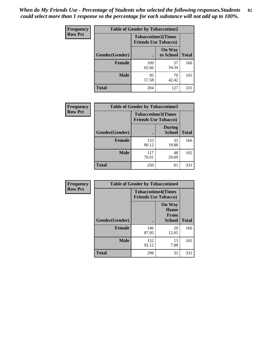| <b>Frequency</b> | <b>Table of Gender by Tobaccotime2</b> |                                                          |                            |              |
|------------------|----------------------------------------|----------------------------------------------------------|----------------------------|--------------|
| <b>Row Pct</b>   |                                        | <b>Tobaccotime2(Times</b><br><b>Friends Use Tobacco)</b> |                            |              |
|                  | Gender(Gender)                         |                                                          | <b>On Way</b><br>to School | <b>Total</b> |
|                  | <b>Female</b>                          | 109<br>65.66                                             | 57<br>34.34                | 166          |
|                  | <b>Male</b>                            | 95<br>57.58                                              | 70<br>42.42                | 165          |
|                  | <b>Total</b>                           | 204                                                      | 127                        | 331          |

| Frequency      | <b>Table of Gender by Tobaccotime3</b> |                                                          |                                |              |
|----------------|----------------------------------------|----------------------------------------------------------|--------------------------------|--------------|
| <b>Row Pct</b> |                                        | <b>Tobaccotime3(Times</b><br><b>Friends Use Tobacco)</b> |                                |              |
|                | Gender(Gender)                         |                                                          | <b>During</b><br><b>School</b> | <b>Total</b> |
|                | <b>Female</b>                          | 133<br>80.12                                             | 33<br>19.88                    | 166          |
|                | <b>Male</b>                            | 117<br>70.91                                             | 48<br>29.09                    | 165          |
|                | <b>Total</b>                           | 250                                                      | 81                             | 331          |

| Frequency      | <b>Table of Gender by Tobaccotime4</b> |                                                          |                                                       |              |
|----------------|----------------------------------------|----------------------------------------------------------|-------------------------------------------------------|--------------|
| <b>Row Pct</b> |                                        | <b>Tobaccotime4(Times</b><br><b>Friends Use Tobacco)</b> |                                                       |              |
|                | Gender(Gender)                         |                                                          | <b>On Way</b><br>Home<br><b>From</b><br><b>School</b> | <b>Total</b> |
|                | <b>Female</b>                          | 146<br>87.95                                             | 20<br>12.05                                           | 166          |
|                | <b>Male</b>                            | 152<br>92.12                                             | 13<br>7.88                                            | 165          |
|                | <b>Total</b>                           | 298                                                      | 33                                                    | 331          |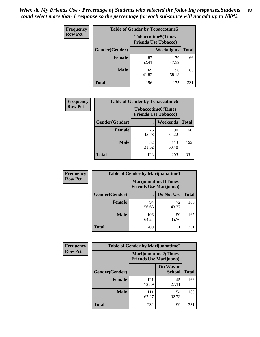| <b>Frequency</b> | <b>Table of Gender by Tobaccotime5</b> |             |                                                           |              |
|------------------|----------------------------------------|-------------|-----------------------------------------------------------|--------------|
| <b>Row Pct</b>   |                                        |             | <b>Tobaccotime5</b> (Times<br><b>Friends Use Tobacco)</b> |              |
|                  | Gender(Gender)                         |             | <b>Weeknights</b>                                         | <b>Total</b> |
|                  | <b>Female</b>                          | 87<br>52.41 | 79<br>47.59                                               | 166          |
|                  | <b>Male</b>                            | 69<br>41.82 | 96<br>58.18                                               | 165          |
|                  | <b>Total</b>                           | 156         | 175                                                       | 331          |

| Frequency      | <b>Table of Gender by Tobaccotime6</b> |                                                          |              |              |
|----------------|----------------------------------------|----------------------------------------------------------|--------------|--------------|
| <b>Row Pct</b> |                                        | <b>Tobaccotime6(Times</b><br><b>Friends Use Tobacco)</b> |              |              |
|                | Gender(Gender)                         |                                                          | Weekends     | <b>Total</b> |
|                | Female                                 | 76<br>45.78                                              | 90<br>54.22  | 166          |
|                | <b>Male</b>                            | 52<br>31.52                                              | 113<br>68.48 | 165          |
|                | <b>Total</b>                           | 128                                                      | 203          | 331          |

| <b>Frequency</b> | <b>Table of Gender by Marijuanatime1</b> |                                |                             |              |
|------------------|------------------------------------------|--------------------------------|-----------------------------|--------------|
| <b>Row Pct</b>   |                                          | <b>Friends Use Marijuana</b> ) | <b>Marijuanatime1(Times</b> |              |
|                  | Gender(Gender)                           |                                | Do Not Use                  | <b>Total</b> |
|                  | <b>Female</b>                            | 94<br>56.63                    | 72<br>43.37                 | 166          |
|                  | <b>Male</b>                              | 106<br>64.24                   | 59<br>35.76                 | 165          |
|                  | <b>Total</b>                             | 200                            | 131                         | 331          |

| <b>Frequency</b> | <b>Table of Gender by Marijuanatime2</b> |                                                               |                            |              |
|------------------|------------------------------------------|---------------------------------------------------------------|----------------------------|--------------|
| <b>Row Pct</b>   |                                          | <b>Marijuanatime2(Times</b><br><b>Friends Use Marijuana</b> ) |                            |              |
|                  | Gender(Gender)                           |                                                               | On Way to<br><b>School</b> | <b>Total</b> |
|                  | <b>Female</b>                            | 121<br>72.89                                                  | 45<br>27.11                | 166          |
|                  | <b>Male</b>                              | 111<br>67.27                                                  | 54<br>32.73                | 165          |
|                  | <b>Total</b>                             | 232                                                           | 99                         | 331          |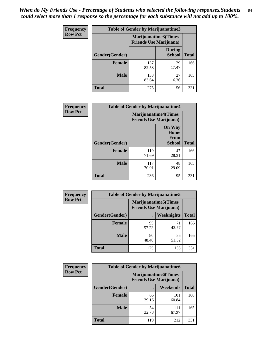*When do My Friends Use - Percentage of Students who selected the following responses.Students could select more than 1 response so the percentage for each substance will not add up to 100%.* **84**

| <b>Frequency</b> | Table of Gender by Marijuanatime3 |                                                        |                                |              |
|------------------|-----------------------------------|--------------------------------------------------------|--------------------------------|--------------|
| <b>Row Pct</b>   |                                   | Marijuanatime3(Times<br><b>Friends Use Marijuana</b> ) |                                |              |
|                  | Gender(Gender)                    |                                                        | <b>During</b><br><b>School</b> | <b>Total</b> |
|                  | <b>Female</b>                     | 137<br>82.53                                           | 29<br>17.47                    | 166          |
|                  | <b>Male</b>                       | 138<br>83.64                                           | 27<br>16.36                    | 165          |
|                  | <b>Total</b>                      | 275                                                    | 56                             | 331          |

| Frequency      | <b>Table of Gender by Marijuanatime4</b> |                                |                                                       |              |
|----------------|------------------------------------------|--------------------------------|-------------------------------------------------------|--------------|
| <b>Row Pct</b> |                                          | <b>Friends Use Marijuana</b> ) | <b>Marijuanatime4</b> (Times                          |              |
|                | Gender(Gender)                           |                                | <b>On Way</b><br>Home<br><b>From</b><br><b>School</b> | <b>Total</b> |
|                | <b>Female</b>                            | 119<br>71.69                   | 47<br>28.31                                           | 166          |
|                | <b>Male</b>                              | 117<br>70.91                   | 48<br>29.09                                           | 165          |
|                | <b>Total</b>                             | 236                            | 95                                                    | 331          |

| Frequency      |                | <b>Table of Gender by Marijuanatime5</b> |                                                                |              |  |
|----------------|----------------|------------------------------------------|----------------------------------------------------------------|--------------|--|
| <b>Row Pct</b> |                |                                          | <b>Marijuanatime5</b> (Times<br><b>Friends Use Marijuana</b> ) |              |  |
|                | Gender(Gender) |                                          | Weeknights                                                     | <b>Total</b> |  |
|                | <b>Female</b>  | 95<br>57.23                              | 71<br>42.77                                                    | 166          |  |
|                | <b>Male</b>    | 80<br>48.48                              | 85<br>51.52                                                    | 165          |  |
|                | <b>Total</b>   | 175                                      | 156                                                            | 331          |  |

| <b>Frequency</b> | <b>Table of Gender by Marijuanatime6</b> |                                                               |                 |              |
|------------------|------------------------------------------|---------------------------------------------------------------|-----------------|--------------|
| <b>Row Pct</b>   |                                          | <b>Marijuanatime6(Times</b><br><b>Friends Use Marijuana</b> ) |                 |              |
|                  | Gender(Gender)                           |                                                               | <b>Weekends</b> | <b>Total</b> |
|                  | <b>Female</b>                            | 65<br>39.16                                                   | 101<br>60.84    | 166          |
|                  | <b>Male</b>                              | 54<br>32.73                                                   | 111<br>67.27    | 165          |
|                  | <b>Total</b>                             | 119                                                           | 212             | 331          |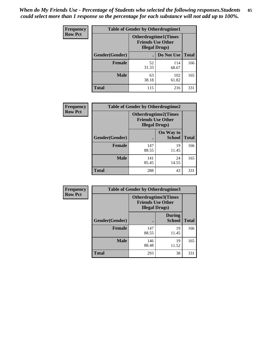*When do My Friends Use - Percentage of Students who selected the following responses.Students could select more than 1 response so the percentage for each substance will not add up to 100%.* **85**

| <b>Frequency</b> | <b>Table of Gender by Otherdrugtime1</b> |                                                    |                              |              |
|------------------|------------------------------------------|----------------------------------------------------|------------------------------|--------------|
| <b>Row Pct</b>   |                                          | <b>Friends Use Other</b><br><b>Illegal Drugs</b> ) | <b>Otherdrugtime1</b> (Times |              |
|                  | Gender(Gender)                           |                                                    | Do Not Use                   | <b>Total</b> |
|                  | <b>Female</b>                            | 52<br>31.33                                        | 114<br>68.67                 | 166          |
|                  | <b>Male</b>                              | 63<br>38.18                                        | 102<br>61.82                 | 165          |
|                  | <b>Total</b>                             | 115                                                | 216                          | 331          |

| Frequency      | <b>Table of Gender by Otherdrugtime2</b> |                                                                                   |                            |              |
|----------------|------------------------------------------|-----------------------------------------------------------------------------------|----------------------------|--------------|
| <b>Row Pct</b> |                                          | <b>Otherdrugtime2(Times</b><br><b>Friends Use Other</b><br><b>Illegal Drugs</b> ) |                            |              |
|                | Gender(Gender)                           |                                                                                   | On Way to<br><b>School</b> | <b>Total</b> |
|                | <b>Female</b>                            | 147<br>88.55                                                                      | 19<br>11.45                | 166          |
|                | <b>Male</b>                              | 141<br>85.45                                                                      | 24<br>14.55                | 165          |
|                | <b>Total</b>                             | 288                                                                               | 43                         | 331          |

| Frequency      | <b>Table of Gender by Otherdrugtime3</b> |                        |                                                         |              |
|----------------|------------------------------------------|------------------------|---------------------------------------------------------|--------------|
| <b>Row Pct</b> |                                          | <b>Illegal Drugs</b> ) | <b>Otherdrugtime3(Times</b><br><b>Friends Use Other</b> |              |
|                | Gender(Gender)                           |                        | <b>During</b><br><b>School</b>                          | <b>Total</b> |
|                | <b>Female</b>                            | 147<br>88.55           | 19<br>11.45                                             | 166          |
|                | <b>Male</b>                              | 146<br>88.48           | 19<br>11.52                                             | 165          |
|                | <b>Total</b>                             | 293                    | 38                                                      | 331          |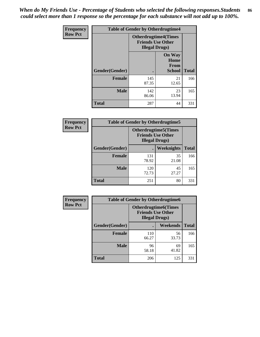*When do My Friends Use - Percentage of Students who selected the following responses.Students could select more than 1 response so the percentage for each substance will not add up to 100%.* **86**

| <b>Frequency</b> | <b>Table of Gender by Otherdrugtime4</b> |                                                    |                                                |              |
|------------------|------------------------------------------|----------------------------------------------------|------------------------------------------------|--------------|
| <b>Row Pct</b>   |                                          | <b>Friends Use Other</b><br><b>Illegal Drugs</b> ) | <b>Otherdrugtime4(Times</b>                    |              |
|                  | Gender(Gender)                           |                                                    | <b>On Way</b><br>Home<br>From<br><b>School</b> | <b>Total</b> |
|                  | <b>Female</b>                            | 145<br>87.35                                       | 21<br>12.65                                    | 166          |
|                  | <b>Male</b>                              | 142<br>86.06                                       | 23<br>13.94                                    | 165          |
|                  | <b>Total</b>                             | 287                                                | 44                                             | 331          |

| Frequency      | <b>Table of Gender by Otherdrugtime5</b> |                                                                                    |                   |              |
|----------------|------------------------------------------|------------------------------------------------------------------------------------|-------------------|--------------|
| <b>Row Pct</b> |                                          | <b>Otherdrugtime5</b> (Times<br><b>Friends Use Other</b><br><b>Illegal Drugs</b> ) |                   |              |
|                | Gender(Gender)                           |                                                                                    | <b>Weeknights</b> | <b>Total</b> |
|                | <b>Female</b>                            | 131<br>78.92                                                                       | 35<br>21.08       | 166          |
|                | <b>Male</b>                              | 120<br>72.73                                                                       | 45<br>27.27       | 165          |
|                | <b>Total</b>                             | 251                                                                                | 80                | 331          |

| Frequency      | <b>Table of Gender by Otherdrugtime6</b> |                                                                                   |             |              |
|----------------|------------------------------------------|-----------------------------------------------------------------------------------|-------------|--------------|
| <b>Row Pct</b> |                                          | <b>Otherdrugtime6(Times</b><br><b>Friends Use Other</b><br><b>Illegal Drugs</b> ) |             |              |
|                | Gender(Gender)                           |                                                                                   | Weekends    | <b>Total</b> |
|                | <b>Female</b>                            | 110<br>66.27                                                                      | 56<br>33.73 | 166          |
|                | <b>Male</b>                              | 96<br>58.18                                                                       | 69<br>41.82 | 165          |
|                | <b>Total</b>                             | 206                                                                               | 125         | 331          |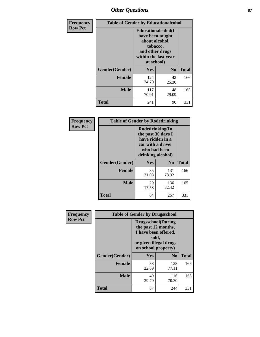# *Other Questions* **87**

| <b>Frequency</b> | <b>Table of Gender by Educationalcohol</b> |                                                                                                                                       |                |              |
|------------------|--------------------------------------------|---------------------------------------------------------------------------------------------------------------------------------------|----------------|--------------|
| <b>Row Pct</b>   |                                            | <b>Educationalcohol</b> (I<br>have been taught<br>about alcohol,<br>tobacco,<br>and other drugs<br>within the last year<br>at school) |                |              |
|                  | Gender(Gender)                             | <b>Yes</b>                                                                                                                            | N <sub>0</sub> | <b>Total</b> |
|                  | <b>Female</b>                              | 124<br>74.70                                                                                                                          | 42<br>25.30    | 166          |
|                  | <b>Male</b>                                | 117<br>70.91                                                                                                                          | 48<br>29.09    | 165          |
|                  | <b>Total</b>                               | 241                                                                                                                                   | 90             | 331          |

| Frequency      | <b>Table of Gender by Rodedrinking</b> |                                                                                                                     |                |              |  |
|----------------|----------------------------------------|---------------------------------------------------------------------------------------------------------------------|----------------|--------------|--|
| <b>Row Pct</b> |                                        | Rodedrinking(In<br>the past 30 days I<br>have ridden in a<br>car with a driver<br>who had been<br>drinking alcohol) |                |              |  |
|                | Gender(Gender)                         | Yes                                                                                                                 | N <sub>0</sub> | <b>Total</b> |  |
|                | <b>Female</b>                          | 35<br>21.08                                                                                                         | 131<br>78.92   | 166          |  |
|                | <b>Male</b>                            | 29<br>17.58                                                                                                         | 136<br>82.42   | 165          |  |
|                | <b>Total</b>                           | 64                                                                                                                  | 267            | 331          |  |

| Frequency      | <b>Table of Gender by Drugsschool</b> |                                                                                                                                     |                |              |  |
|----------------|---------------------------------------|-------------------------------------------------------------------------------------------------------------------------------------|----------------|--------------|--|
| <b>Row Pct</b> |                                       | <b>Drugsschool</b> (During<br>the past 12 months,<br>I have been offered,<br>sold,<br>or given illegal drugs<br>on school property) |                |              |  |
|                | Gender(Gender)                        | Yes                                                                                                                                 | N <sub>0</sub> | <b>Total</b> |  |
|                | <b>Female</b>                         | 38<br>22.89                                                                                                                         | 128<br>77.11   | 166          |  |
|                | <b>Male</b>                           | 49<br>29.70                                                                                                                         | 116<br>70.30   | 165          |  |
|                | <b>Total</b>                          | 87                                                                                                                                  | 244            | 331          |  |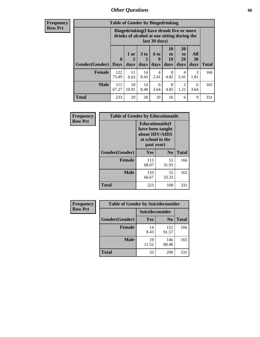## *Other Questions* **88**

**Frequency Row Pct**

| <b>Table of Gender by Bingedrinking</b> |                             |                                                                                                         |                   |                   |                               |                               |           |              |
|-----------------------------------------|-----------------------------|---------------------------------------------------------------------------------------------------------|-------------------|-------------------|-------------------------------|-------------------------------|-----------|--------------|
|                                         |                             | Bingedrinking(I have drunk five or more<br>drinks of alcohol at one sitting during the<br>last 30 days) |                   |                   |                               |                               |           |              |
| <b>Gender</b> (Gender)                  | $\mathbf{0}$<br><b>Days</b> | 1 or<br>2<br>days                                                                                       | 3 to<br>5<br>days | 6 to<br>q<br>days | <b>10</b><br>to<br>19<br>days | <b>20</b><br>to<br>29<br>days | All<br>30 |              |
|                                         |                             |                                                                                                         |                   |                   |                               |                               | days      | <b>Total</b> |
| <b>Female</b>                           | 122<br>73.49                | 11<br>6.63                                                                                              | 14<br>8.43        | 4<br>2.41         | 8<br>4.82                     | 4<br>2.41                     | 3<br>1.81 | 166          |
| <b>Male</b>                             | 111<br>67.27                | 18<br>10.91                                                                                             | 14<br>8.48        | 6<br>3.64         | 8<br>4.85                     | 2<br>1.21                     | 6<br>3.64 | 165          |

| Frequency      | <b>Table of Gender by Educationaids</b> |                                                                                                 |                |              |  |
|----------------|-----------------------------------------|-------------------------------------------------------------------------------------------------|----------------|--------------|--|
| <b>Row Pct</b> |                                         | <b>Educationaids</b> (I<br>have been taught<br>about HIV/AIDS<br>at school in the<br>past year) |                |              |  |
|                | Gender(Gender)                          | Yes                                                                                             | N <sub>0</sub> | <b>Total</b> |  |
|                | <b>Female</b>                           | 113<br>68.07                                                                                    | 53<br>31.93    | 166          |  |
|                | <b>Male</b>                             | 110<br>66.67                                                                                    | 55<br>33.33    | 165          |  |
|                | <b>Total</b>                            | 223                                                                                             | 108            | 331          |  |

| <b>Frequency</b> | <b>Table of Gender by Suicideconsider</b> |                 |                |              |  |
|------------------|-------------------------------------------|-----------------|----------------|--------------|--|
| <b>Row Pct</b>   |                                           | Suicideconsider |                |              |  |
|                  | Gender(Gender)                            | <b>Yes</b>      | N <sub>0</sub> | <b>Total</b> |  |
|                  | <b>Female</b>                             | 14<br>8.43      | 152<br>91.57   | 166          |  |
|                  | <b>Male</b>                               | 19<br>11.52     | 146<br>88.48   | 165          |  |
|                  | Total                                     | 33              | 298            | 331          |  |